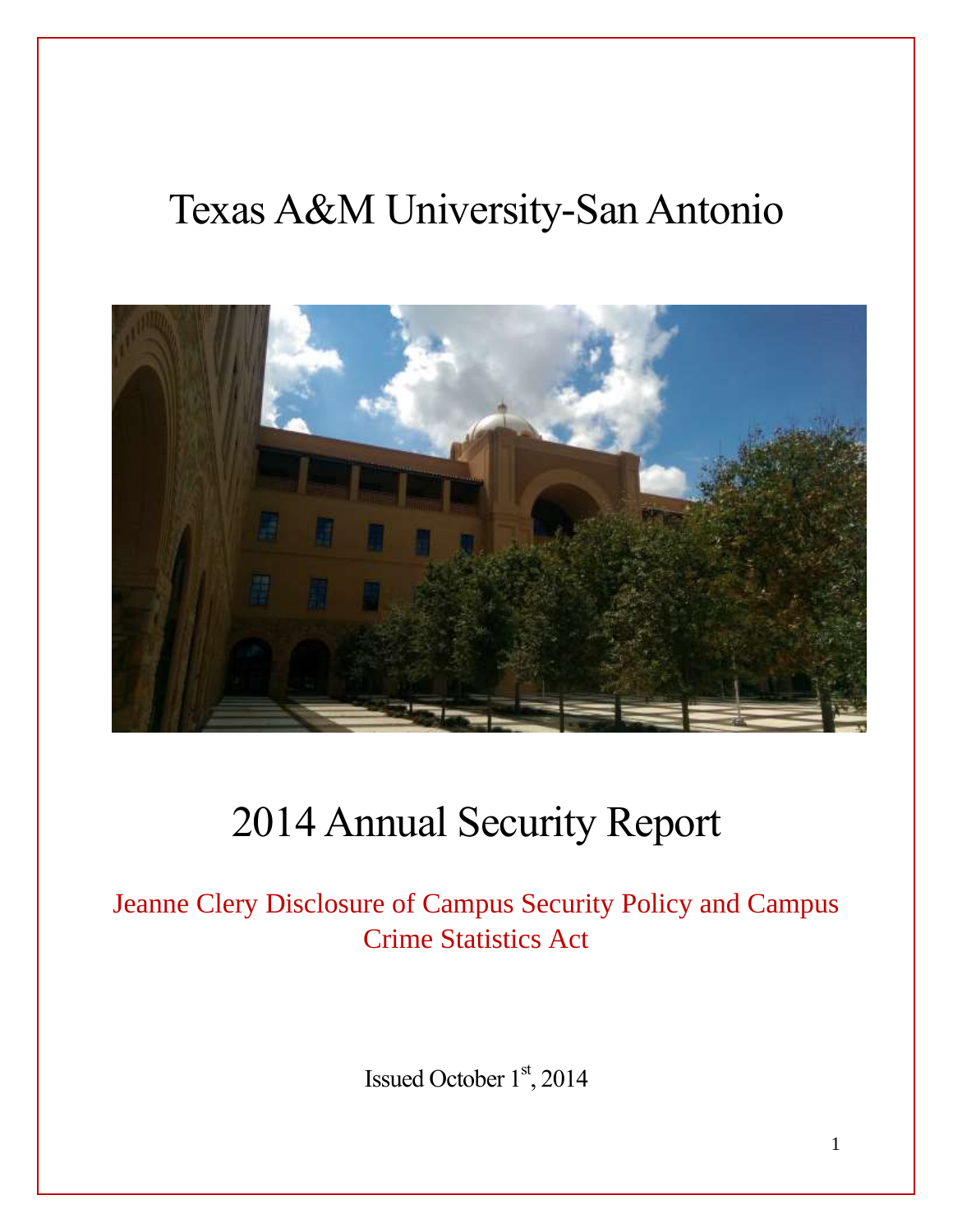# Texas A&M University-San Antonio



# 2014 Annual Security Report

Jeanne Clery Disclosure of Campus Security Policy and Campus Crime Statistics Act

Issued October 1st, 2014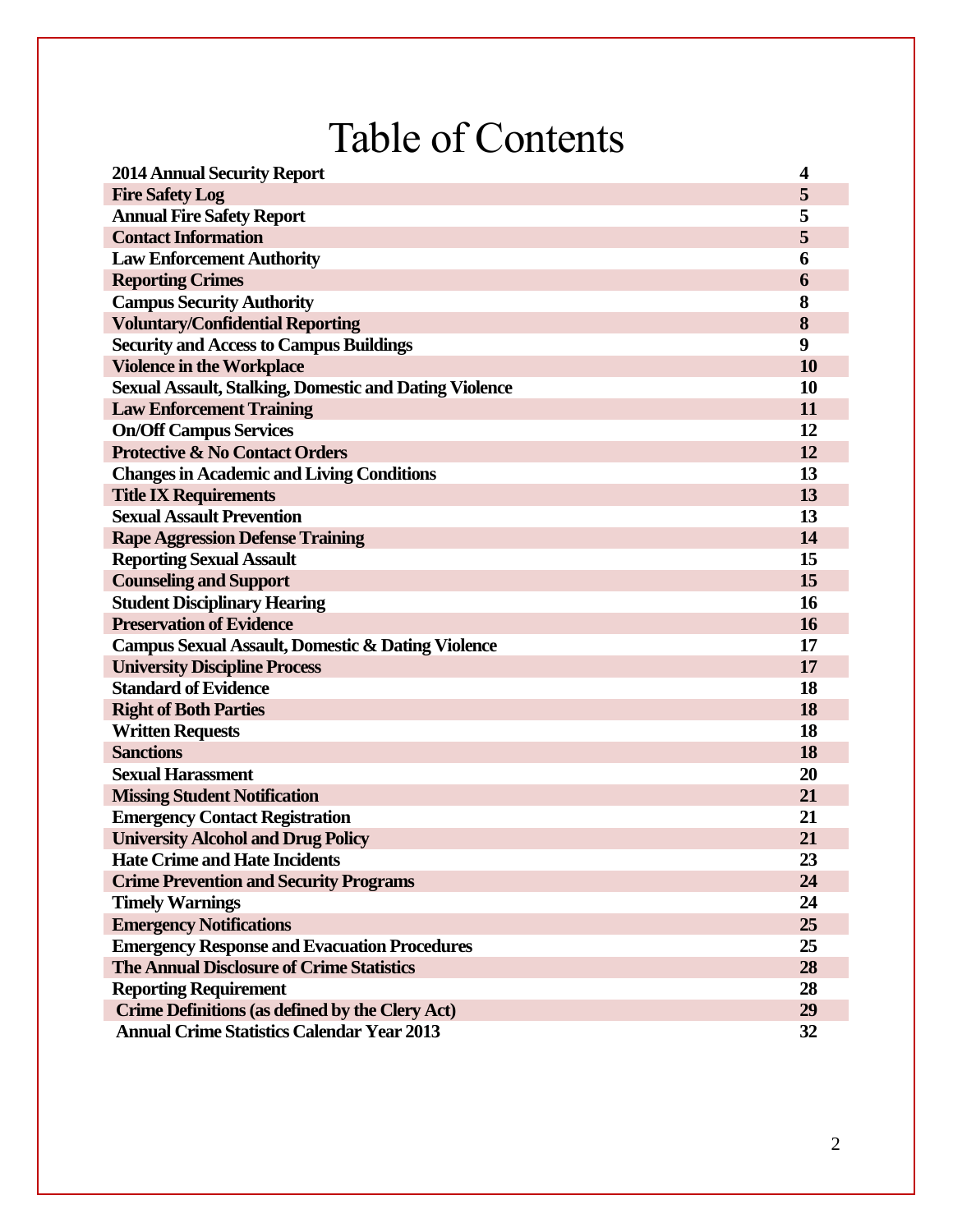# Table of Contents

| <b>2014 Annual Security Report</b>                            | 4  |
|---------------------------------------------------------------|----|
| <b>Fire Safety Log</b>                                        | 5  |
| <b>Annual Fire Safety Report</b>                              | 5  |
| <b>Contact Information</b>                                    | 5  |
| <b>Law Enforcement Authority</b>                              | 6  |
| <b>Reporting Crimes</b>                                       | 6  |
| <b>Campus Security Authority</b>                              | 8  |
| <b>Voluntary/Confidential Reporting</b>                       | 8  |
| <b>Security and Access to Campus Buildings</b>                | 9  |
| <b>Violence in the Workplace</b>                              | 10 |
| <b>Sexual Assault, Stalking, Domestic and Dating Violence</b> | 10 |
| <b>Law Enforcement Training</b>                               | 11 |
| <b>On/Off Campus Services</b>                                 | 12 |
| <b>Protective &amp; No Contact Orders</b>                     | 12 |
| <b>Changes in Academic and Living Conditions</b>              | 13 |
| <b>Title IX Requirements</b>                                  | 13 |
| <b>Sexual Assault Prevention</b>                              | 13 |
| <b>Rape Aggression Defense Training</b>                       | 14 |
| <b>Reporting Sexual Assault</b>                               | 15 |
| <b>Counseling and Support</b>                                 | 15 |
| <b>Student Disciplinary Hearing</b>                           | 16 |
| <b>Preservation of Evidence</b>                               | 16 |
| <b>Campus Sexual Assault, Domestic &amp; Dating Violence</b>  | 17 |
| <b>University Discipline Process</b>                          | 17 |
| <b>Standard of Evidence</b>                                   | 18 |
| <b>Right of Both Parties</b>                                  | 18 |
| <b>Written Requests</b>                                       | 18 |
| <b>Sanctions</b>                                              | 18 |
| <b>Sexual Harassment</b>                                      | 20 |
| <b>Missing Student Notification</b>                           | 21 |
| <b>Emergency Contact Registration</b>                         | 21 |
| <b>University Alcohol and Drug Policy</b>                     | 21 |
| <b>Hate Crime and Hate Incidents</b>                          | 23 |
| <b>Crime Prevention and Security Programs</b>                 | 24 |
| <b>Timely Warnings</b>                                        | 24 |
| <b>Emergency Notifications</b>                                | 25 |
| <b>Emergency Response and Evacuation Procedures</b>           | 25 |
| <b>The Annual Disclosure of Crime Statistics</b>              | 28 |
| <b>Reporting Requirement</b>                                  | 28 |
| Crime Definitions (as defined by the Clery Act)               | 29 |
| <b>Annual Crime Statistics Calendar Year 2013</b>             | 32 |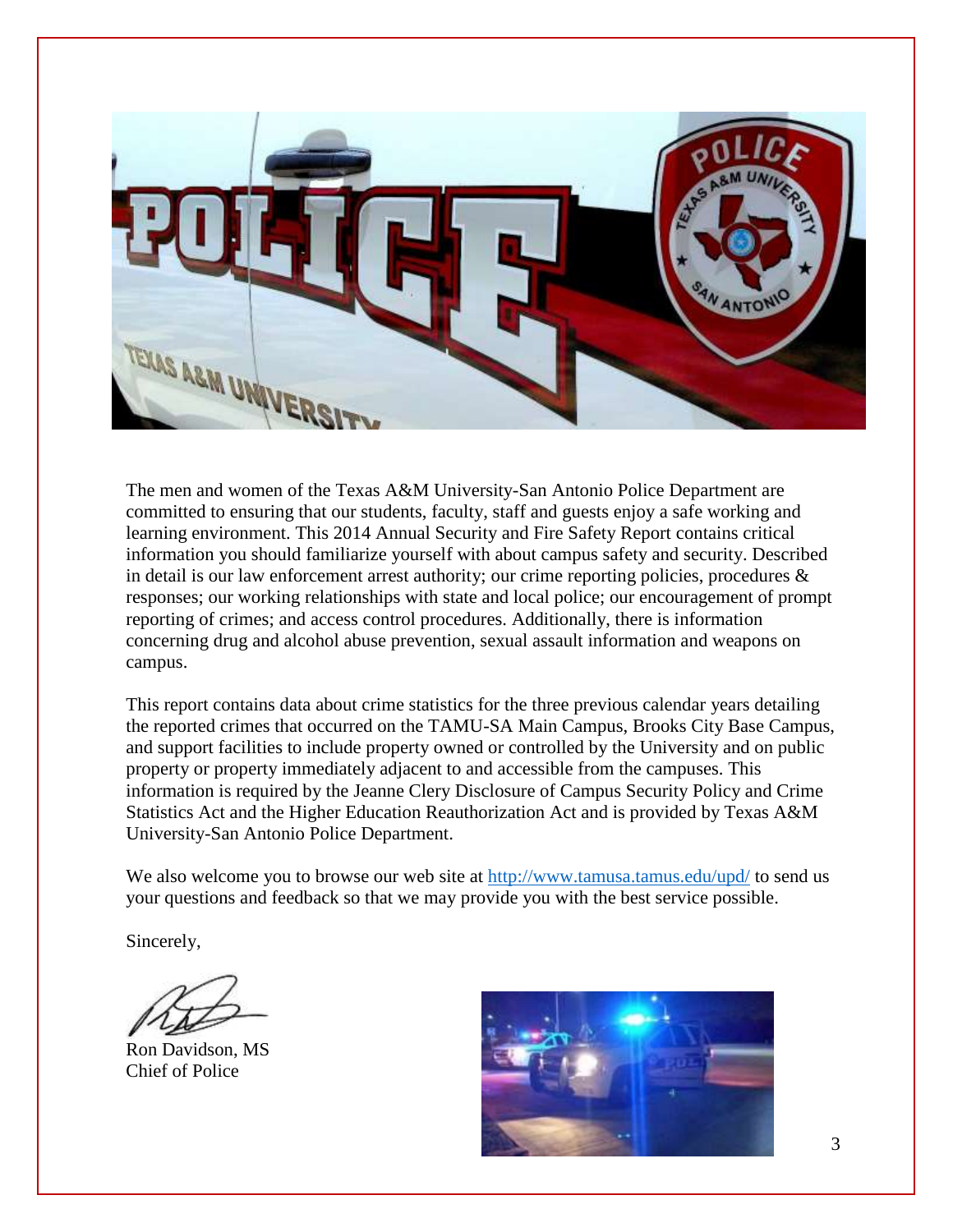

The men and women of the Texas A&M University-San Antonio Police Department are committed to ensuring that our students, faculty, staff and guests enjoy a safe working and learning environment. This 2014 Annual Security and Fire Safety Report contains critical information you should familiarize yourself with about campus safety and security. Described in detail is our law enforcement arrest authority; our crime reporting policies, procedures  $\&$ responses; our working relationships with state and local police; our encouragement of prompt reporting of crimes; and access control procedures. Additionally, there is information concerning drug and alcohol abuse prevention, sexual assault information and weapons on campus.

This report contains data about crime statistics for the three previous calendar years detailing the reported crimes that occurred on the TAMU-SA Main Campus, Brooks City Base Campus, and support facilities to include property owned or controlled by the University and on public property or property immediately adjacent to and accessible from the campuses. This information is required by the Jeanne Clery Disclosure of Campus Security Policy and Crime Statistics Act and the Higher Education Reauthorization Act and is provided by Texas A&M University-San Antonio Police Department.

We also welcome you to browse our web site at<http://www.tamusa.tamus.edu/upd/> to send us your questions and feedback so that we may provide you with the best service possible.

Sincerely,

Ron Davidson, MS Chief of Police

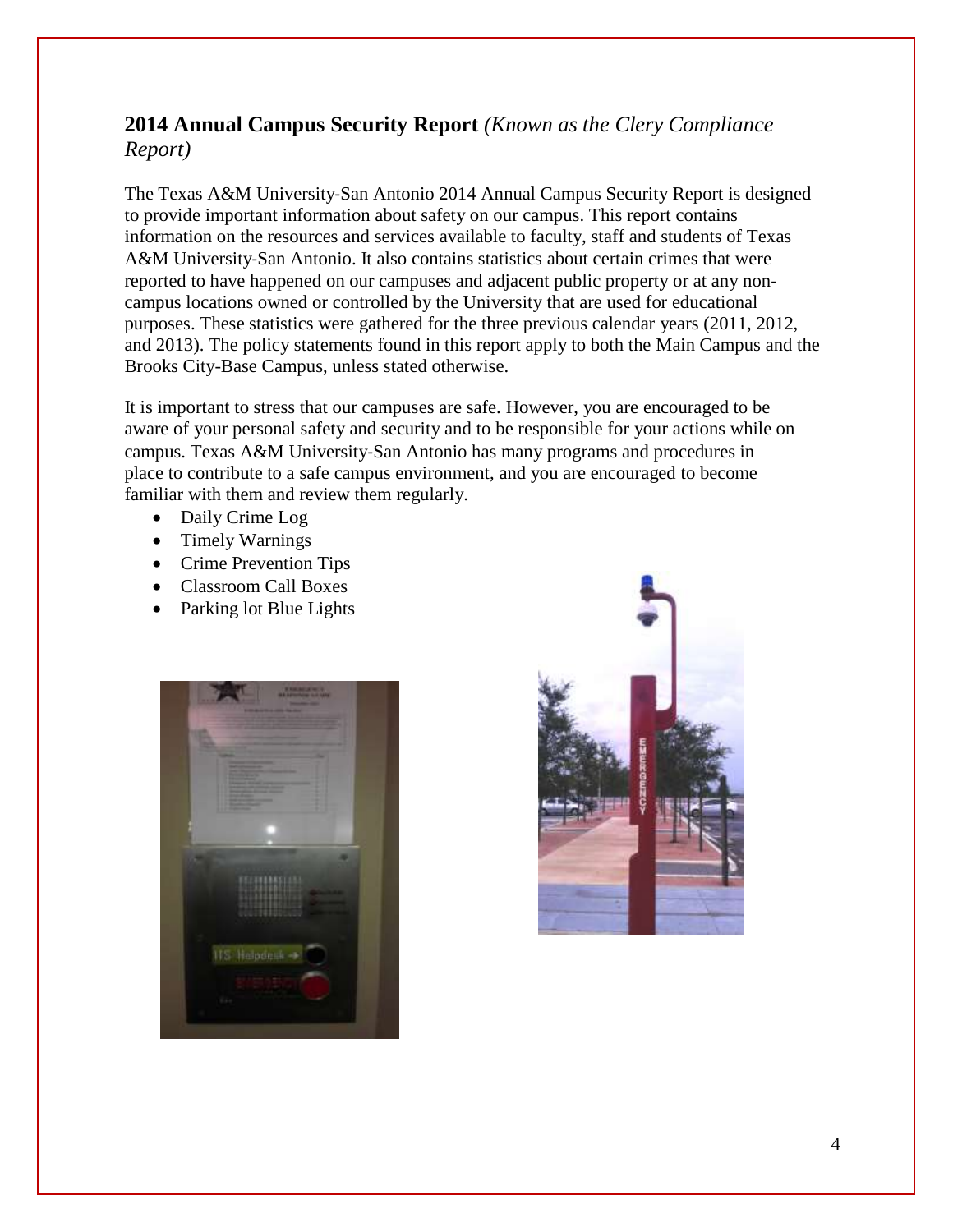#### **2014 Annual Campus Security Report** *(Known as the Clery Compliance Report)*

The Texas A&M University‐San Antonio 2014 Annual Campus Security Report is designed to provide important information about safety on our campus. This report contains information on the resources and services available to faculty, staff and students of Texas A&M University‐San Antonio. It also contains statistics about certain crimes that were reported to have happened on our campuses and adjacent public property or at any noncampus locations owned or controlled by the University that are used for educational purposes. These statistics were gathered for the three previous calendar years (2011, 2012, and 2013). The policy statements found in this report apply to both the Main Campus and the Brooks City-Base Campus, unless stated otherwise.

It is important to stress that our campuses are safe. However, you are encouraged to be aware of your personal safety and security and to be responsible for your actions while on campus. Texas A&M University‐San Antonio has many programs and procedures in place to contribute to a safe campus environment, and you are encouraged to become familiar with them and review them regularly.

- Daily Crime Log
- Timely Warnings
- Crime Prevention Tips
- Classroom Call Boxes
- Parking lot Blue Lights



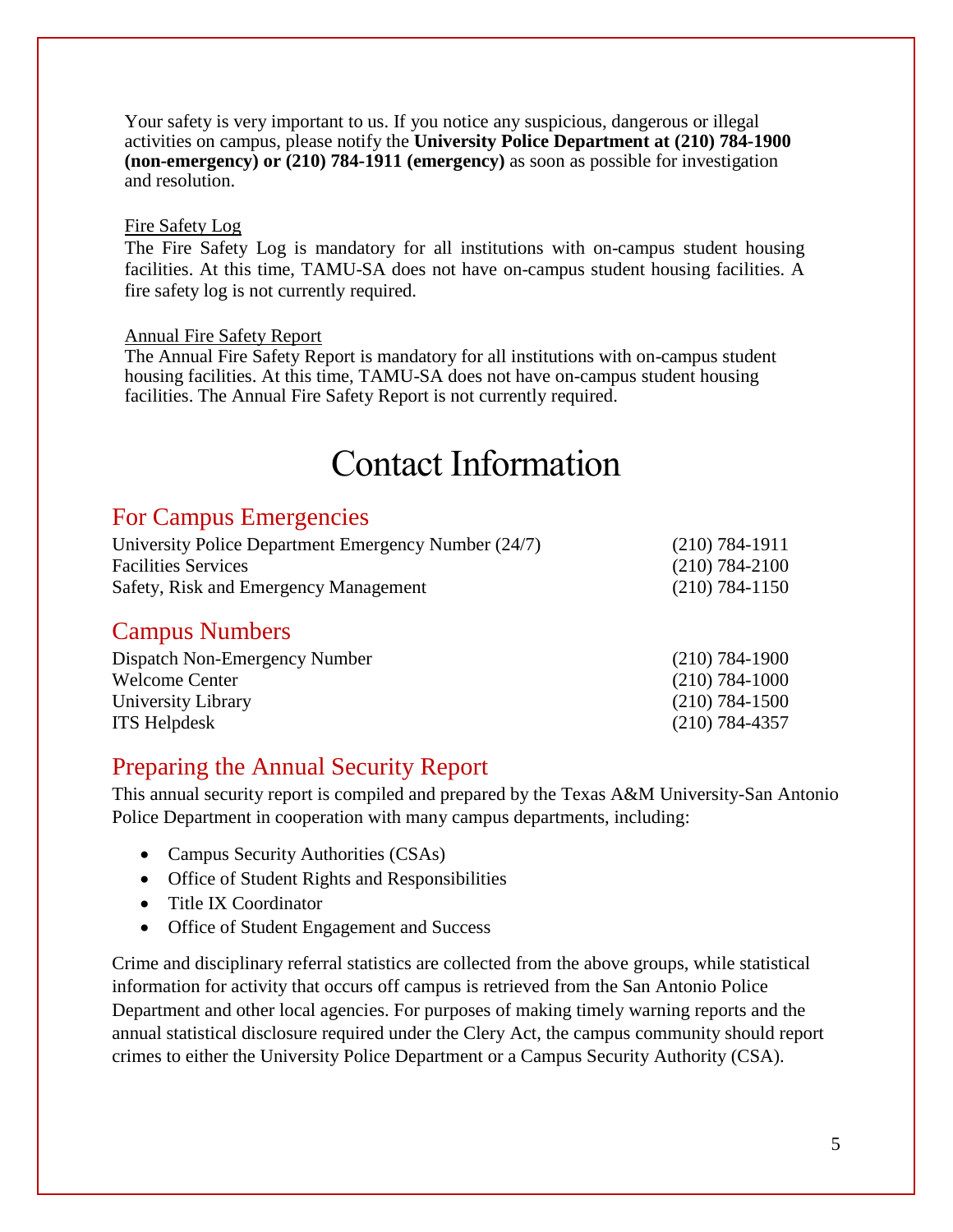Your safety is very important to us. If you notice any suspicious, dangerous or illegal activities on campus, please notify the **University Police Department at (210) 784-1900 (non-emergency) or (210) 784-1911 (emergency)** as soon as possible for investigation and resolution.

#### Fire Safety Log

The Fire Safety Log is mandatory for all institutions with on-campus student housing facilities. At this time, TAMU-SA does not have on-campus student housing facilities. A fire safety log is not currently required.

#### Annual Fire Safety Report

The Annual Fire Safety Report is mandatory for all institutions with on-campus student housing facilities. At this time, TAMU-SA does not have on-campus student housing facilities. The Annual Fire Safety Report is not currently required.

## Contact Information

#### For Campus Emergencies

| University Police Department Emergency Number (24/7) | $(210) 784 - 1911$ |
|------------------------------------------------------|--------------------|
| <b>Facilities Services</b>                           | $(210) 784 - 2100$ |
| Safety, Risk and Emergency Management                | $(210)$ 784-1150   |

#### Campus Numbers

| Dispatch Non-Emergency Number | $(210)$ 784-1900 |
|-------------------------------|------------------|
| Welcome Center                | $(210)$ 784-1000 |
| University Library            | $(210)$ 784-1500 |
| <b>ITS Helpdesk</b>           | $(210)$ 784-4357 |

#### Preparing the Annual Security Report

This annual security report is compiled and prepared by the Texas A&M University-San Antonio Police Department in cooperation with many campus departments, including:

- Campus Security Authorities (CSAs)
- Office of Student Rights and Responsibilities
- Title IX Coordinator
- Office of Student Engagement and Success

Crime and disciplinary referral statistics are collected from the above groups, while statistical information for activity that occurs off campus is retrieved from the San Antonio Police Department and other local agencies. For purposes of making timely warning reports and the annual statistical disclosure required under the Clery Act, the campus community should report crimes to either the University Police Department or a Campus Security Authority (CSA).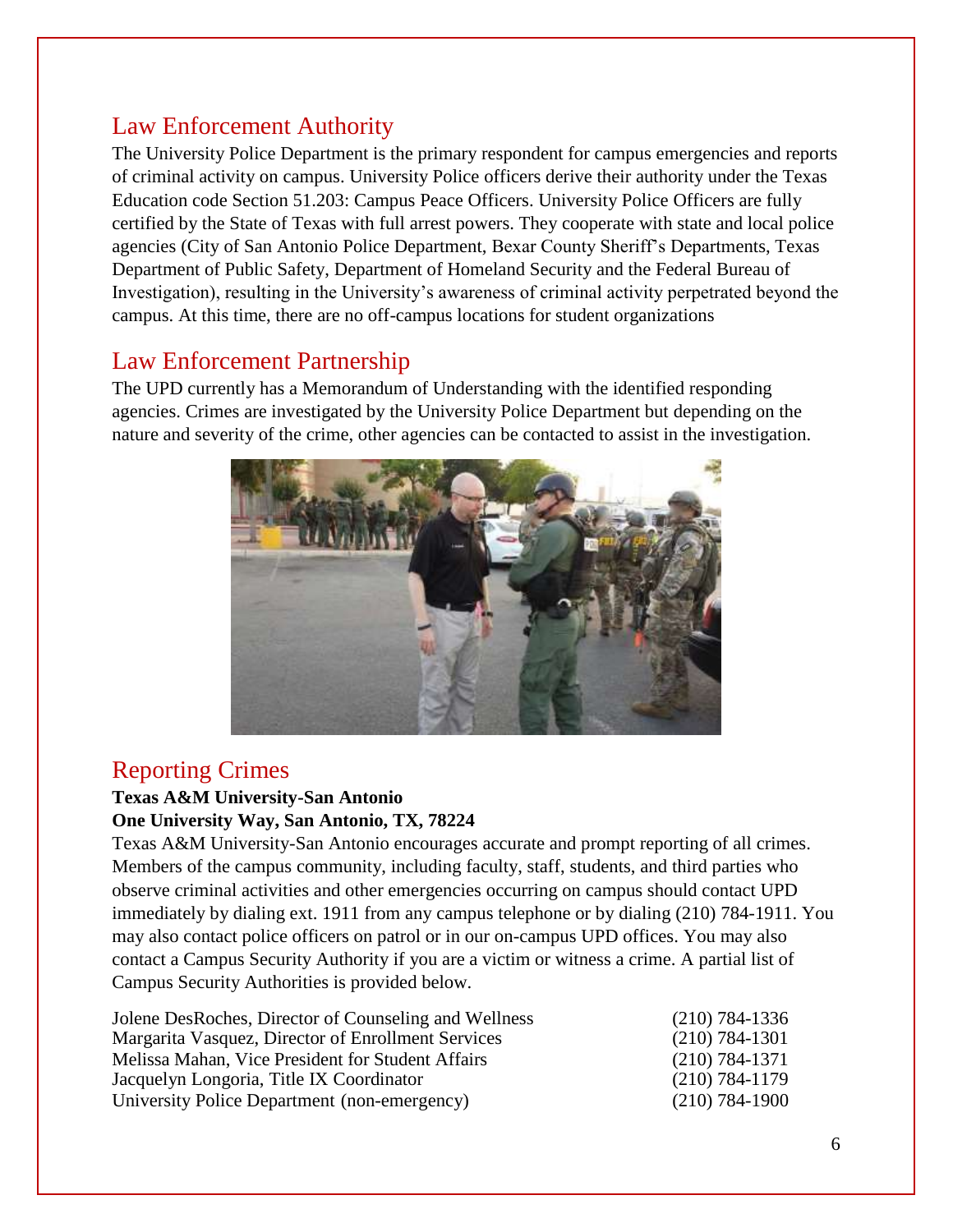## Law Enforcement Authority

The University Police Department is the primary respondent for campus emergencies and reports of criminal activity on campus. University Police officers derive their authority under the Texas Education code Section 51.203: Campus Peace Officers. University Police Officers are fully certified by the State of Texas with full arrest powers. They cooperate with state and local police agencies (City of San Antonio Police Department, Bexar County Sheriff's Departments, Texas Department of Public Safety, Department of Homeland Security and the Federal Bureau of Investigation), resulting in the University's awareness of criminal activity perpetrated beyond the campus. At this time, there are no off-campus locations for student organizations

#### Law Enforcement Partnership

The UPD currently has a Memorandum of Understanding with the identified responding agencies. Crimes are investigated by the University Police Department but depending on the nature and severity of the crime, other agencies can be contacted to assist in the investigation.



#### Reporting Crimes

#### **Texas A&M University-San Antonio One University Way, San Antonio, TX, 78224**

Texas A&M University-San Antonio encourages accurate and prompt reporting of all crimes. Members of the campus community, including faculty, staff, students, and third parties who observe criminal activities and other emergencies occurring on campus should contact UPD immediately by dialing ext. 1911 from any campus telephone or by dialing (210) 784-1911. You may also contact police officers on patrol or in our on-campus UPD offices. You may also contact a Campus Security Authority if you are a victim or witness a crime. A partial list of Campus Security Authorities is provided below.

| Jolene DesRoches, Director of Counseling and Wellness | $(210)$ 784-1336   |
|-------------------------------------------------------|--------------------|
| Margarita Vasquez, Director of Enrollment Services    | $(210) 784 - 1301$ |
| Melissa Mahan, Vice President for Student Affairs     | $(210) 784 - 1371$ |
| Jacquelyn Longoria, Title IX Coordinator              | $(210) 784 - 1179$ |
| University Police Department (non-emergency)          | $(210) 784 - 1900$ |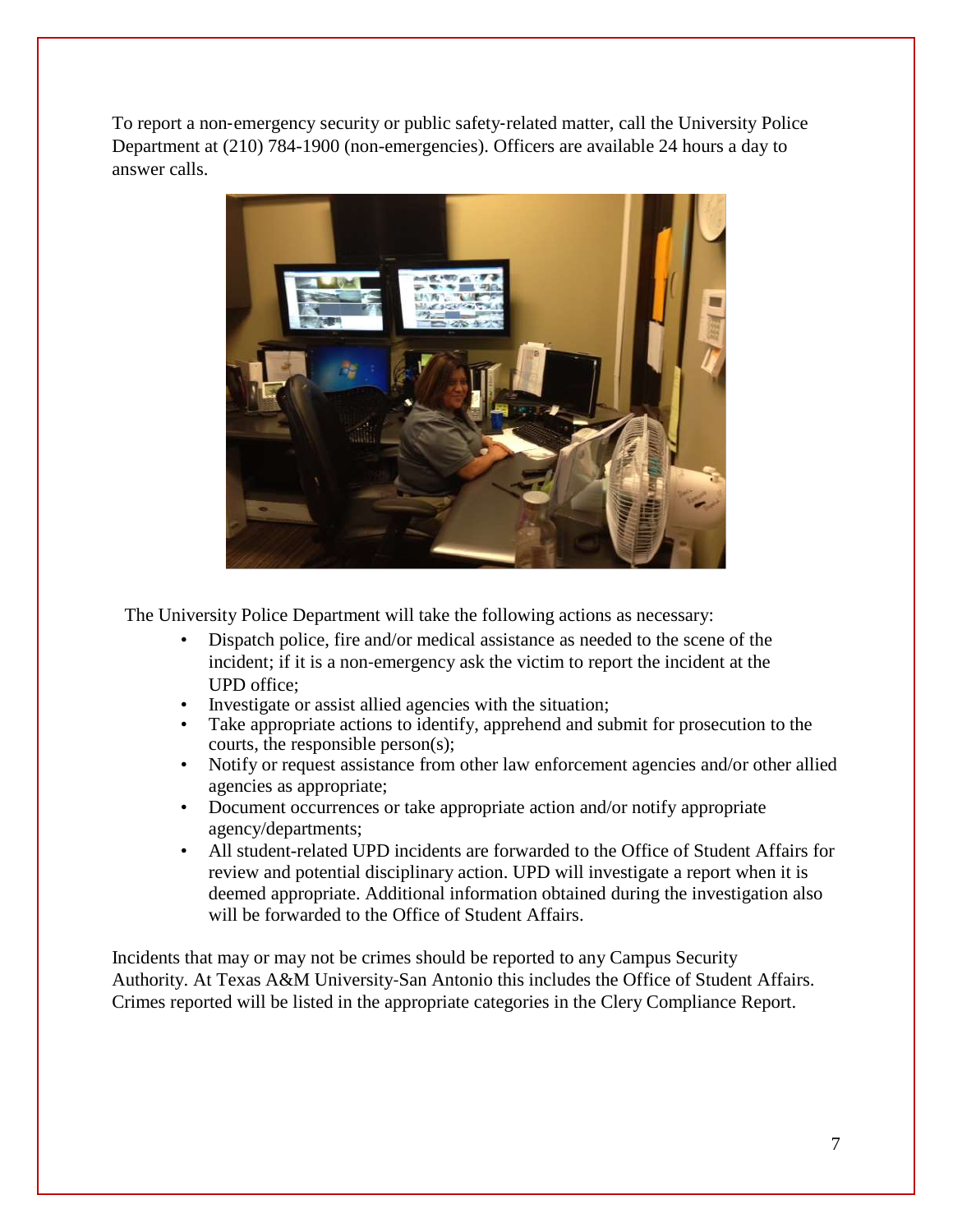To report a non-emergency security or public safety-related matter, call the University Police Department at (210) 784-1900 (non-emergencies). Officers are available 24 hours a day to answer calls.



The University Police Department will take the following actions as necessary:

- Dispatch police, fire and/or medical assistance as needed to the scene of the incident; if it is a non-emergency ask the victim to report the incident at the UPD office;
- Investigate or assist allied agencies with the situation;
- Take appropriate actions to identify, apprehend and submit for prosecution to the courts, the responsible person(s);
- Notify or request assistance from other law enforcement agencies and/or other allied agencies as appropriate;
- Document occurrences or take appropriate action and/or notify appropriate agency/departments;
- All student-related UPD incidents are forwarded to the Office of Student Affairs for review and potential disciplinary action. UPD will investigate a report when it is deemed appropriate. Additional information obtained during the investigation also will be forwarded to the Office of Student Affairs.

Incidents that may or may not be crimes should be reported to any Campus Security Authority. At Texas A&M University‐San Antonio this includes the Office of Student Affairs. Crimes reported will be listed in the appropriate categories in the Clery Compliance Report.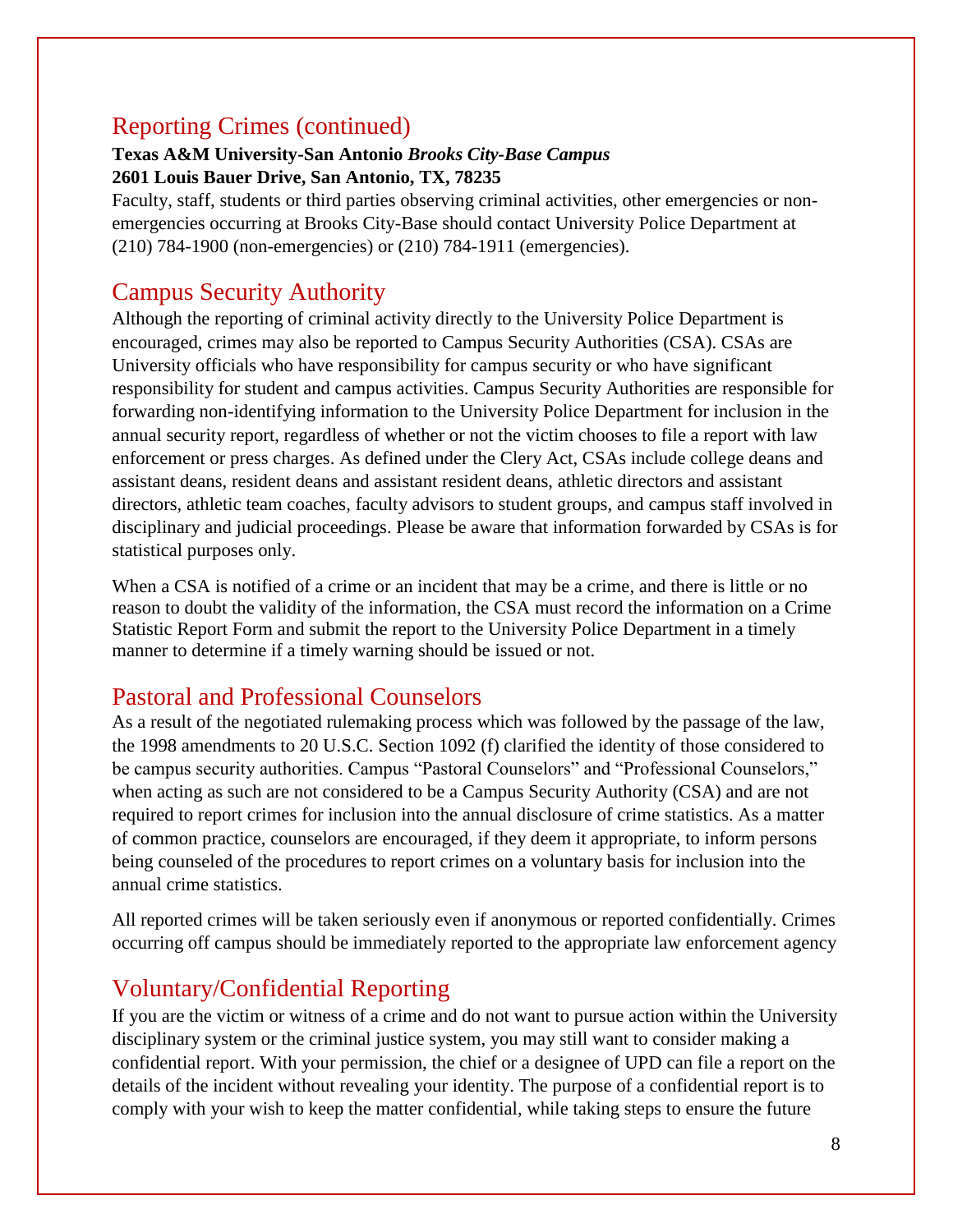### Reporting Crimes (continued)

#### **Texas A&M University-San Antonio** *Brooks City-Base Campus* **2601 Louis Bauer Drive, San Antonio, TX, 78235**

Faculty, staff, students or third parties observing criminal activities, other emergencies or nonemergencies occurring at Brooks City-Base should contact University Police Department at (210) 784-1900 (non-emergencies) or (210) 784-1911 (emergencies).

## Campus Security Authority

Although the reporting of criminal activity directly to the University Police Department is encouraged, crimes may also be reported to Campus Security Authorities (CSA). CSAs are University officials who have responsibility for campus security or who have significant responsibility for student and campus activities. Campus Security Authorities are responsible for forwarding non-identifying information to the University Police Department for inclusion in the annual security report, regardless of whether or not the victim chooses to file a report with law enforcement or press charges. As defined under the Clery Act, CSAs include college deans and assistant deans, resident deans and assistant resident deans, athletic directors and assistant directors, athletic team coaches, faculty advisors to student groups, and campus staff involved in disciplinary and judicial proceedings. Please be aware that information forwarded by CSAs is for statistical purposes only.

When a CSA is notified of a crime or an incident that may be a crime, and there is little or no reason to doubt the validity of the information, the CSA must record the information on a Crime Statistic Report Form and submit the report to the University Police Department in a timely manner to determine if a timely warning should be issued or not.

### Pastoral and Professional Counselors

As a result of the negotiated rulemaking process which was followed by the passage of the law, the 1998 amendments to 20 U.S.C. Section 1092 (f) clarified the identity of those considered to be campus security authorities. Campus "Pastoral Counselors" and "Professional Counselors," when acting as such are not considered to be a Campus Security Authority (CSA) and are not required to report crimes for inclusion into the annual disclosure of crime statistics. As a matter of common practice, counselors are encouraged, if they deem it appropriate, to inform persons being counseled of the procedures to report crimes on a voluntary basis for inclusion into the annual crime statistics.

All reported crimes will be taken seriously even if anonymous or reported confidentially. Crimes occurring off campus should be immediately reported to the appropriate law enforcement agency

## Voluntary/Confidential Reporting

If you are the victim or witness of a crime and do not want to pursue action within the University disciplinary system or the criminal justice system, you may still want to consider making a confidential report. With your permission, the chief or a designee of UPD can file a report on the details of the incident without revealing your identity. The purpose of a confidential report is to comply with your wish to keep the matter confidential, while taking steps to ensure the future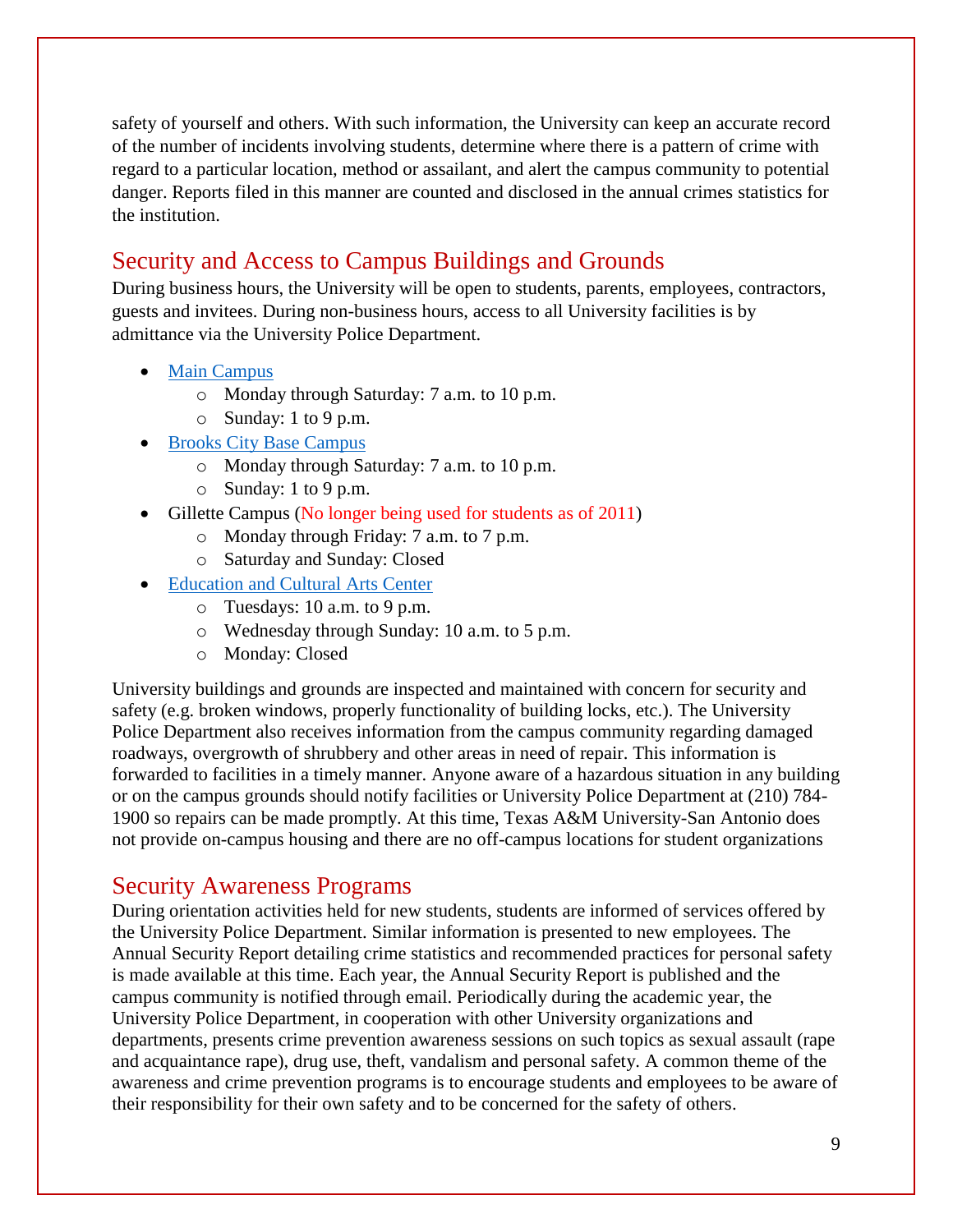safety of yourself and others. With such information, the University can keep an accurate record of the number of incidents involving students, determine where there is a pattern of crime with regard to a particular location, method or assailant, and alert the campus community to potential danger. Reports filed in this manner are counted and disclosed in the annual crimes statistics for the institution.

#### Security and Access to Campus Buildings and Grounds

During business hours, the University will be open to students, parents, employees, contractors, guests and invitees. During non-business hours, access to all University facilities is by admittance via the University Police Department.

- [Main Campus](http://www.tamusa.tamus.edu/tamusacampuses/maincampus/madla.html)
	- o Monday through Saturday: 7 a.m. to 10 p.m.
	- o Sunday: 1 to 9 p.m.
- [Brooks City Base](http://www.tamusa.tamus.edu/tamusacampuses/brookscampus.html) Campus
	- o Monday through Saturday: 7 a.m. to 10 p.m.
	- o Sunday: 1 to 9 p.m.
- Gillette Campus (No longer being used for students as of 2011)
	- o Monday through Friday: 7 a.m. to 7 p.m.
	- o Saturday and Sunday: Closed
- [Education and Cultural Arts Center](http://www.tamusa-ecac.com/)
	- o Tuesdays: 10 a.m. to 9 p.m.
	- o Wednesday through Sunday: 10 a.m. to 5 p.m.
	- o Monday: Closed

University buildings and grounds are inspected and maintained with concern for security and safety (e.g. broken windows, properly functionality of building locks, etc.). The University Police Department also receives information from the campus community regarding damaged roadways, overgrowth of shrubbery and other areas in need of repair. This information is forwarded to facilities in a timely manner. Anyone aware of a hazardous situation in any building or on the campus grounds should notify facilities or University Police Department at (210) 784- 1900 so repairs can be made promptly. At this time, Texas A&M University-San Antonio does not provide on-campus housing and there are no off-campus locations for student organizations

#### Security Awareness Programs

During orientation activities held for new students, students are informed of services offered by the University Police Department. Similar information is presented to new employees. The Annual Security Report detailing crime statistics and recommended practices for personal safety is made available at this time. Each year, the Annual Security Report is published and the campus community is notified through email. Periodically during the academic year, the University Police Department, in cooperation with other University organizations and departments, presents crime prevention awareness sessions on such topics as sexual assault (rape and acquaintance rape), drug use, theft, vandalism and personal safety. A common theme of the awareness and crime prevention programs is to encourage students and employees to be aware of their responsibility for their own safety and to be concerned for the safety of others.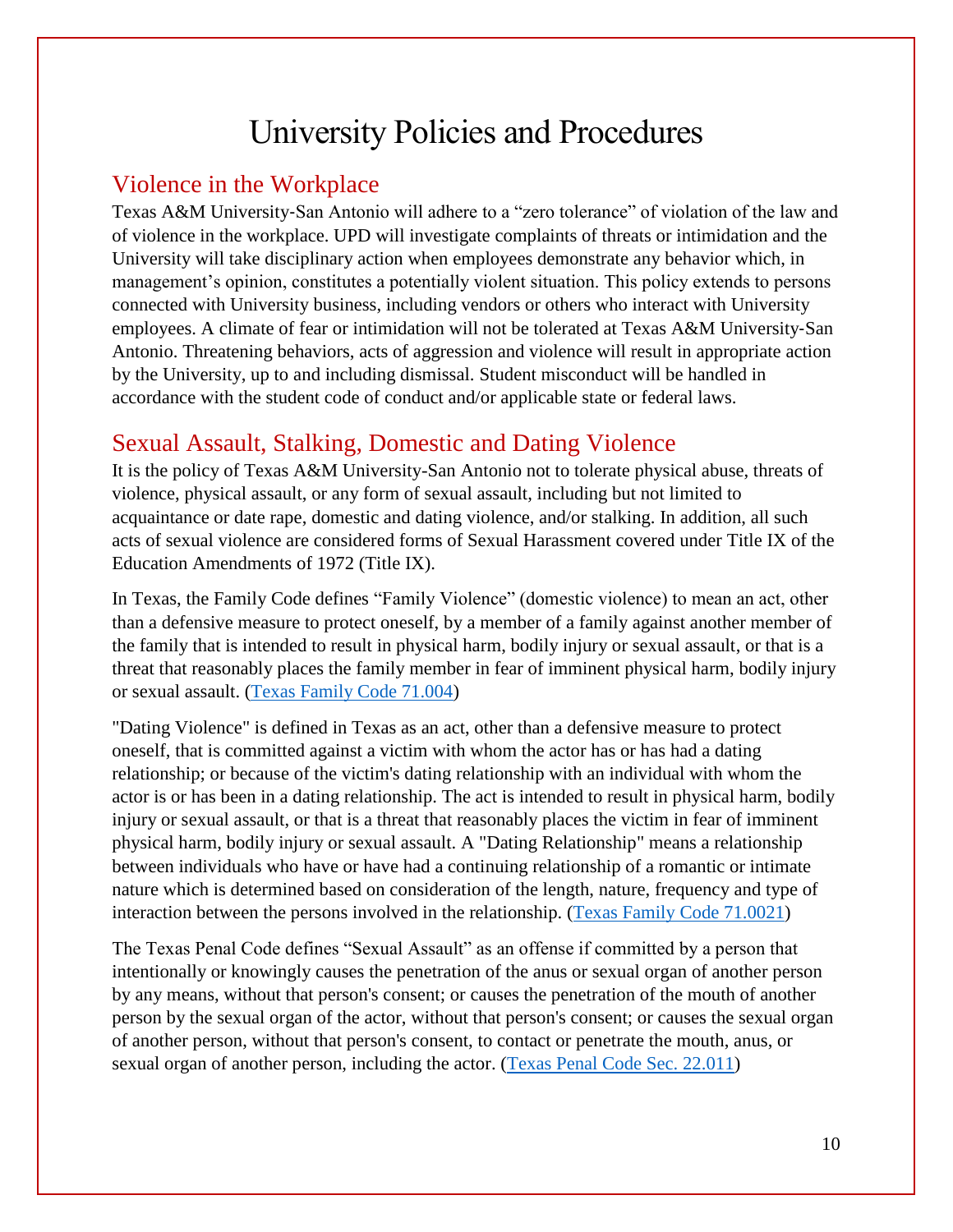## University Policies and Procedures

#### Violence in the Workplace

Texas A&M University-San Antonio will adhere to a "zero tolerance" of violation of the law and of violence in the workplace. UPD will investigate complaints of threats or intimidation and the University will take disciplinary action when employees demonstrate any behavior which, in management's opinion, constitutes a potentially violent situation. This policy extends to persons connected with University business, including vendors or others who interact with University employees. A climate of fear or intimidation will not be tolerated at Texas A&M University‐San Antonio. Threatening behaviors, acts of aggression and violence will result in appropriate action by the University, up to and including dismissal. Student misconduct will be handled in accordance with the student code of conduct and/or applicable state or federal laws.

#### Sexual Assault, Stalking, Domestic and Dating Violence

It is the policy of Texas A&M University-San Antonio not to tolerate physical abuse, threats of violence, physical assault, or any form of sexual assault, including but not limited to acquaintance or date rape, domestic and dating violence, and/or stalking. In addition, all such acts of sexual violence are considered forms of Sexual Harassment covered under Title IX of the Education Amendments of 1972 (Title IX).

In Texas, the Family Code defines "Family Violence" (domestic violence) to mean an act, other than a defensive measure to protect oneself, by a member of a family against another member of the family that is intended to result in physical harm, bodily injury or sexual assault, or that is a threat that reasonably places the family member in fear of imminent physical harm, bodily injury or sexual assault. [\(Texas Family Code 71.004\)](http://www.statutes.legis.state.tx.us/docs/FA/htm/FA.71.htm)

"Dating Violence" is defined in Texas as an act, other than a defensive measure to protect oneself, that is committed against a victim with whom the actor has or has had a dating relationship; or because of the victim's dating relationship with an individual with whom the actor is or has been in a dating relationship. The act is intended to result in physical harm, bodily injury or sexual assault, or that is a threat that reasonably places the victim in fear of imminent physical harm, bodily injury or sexual assault. A "Dating Relationship" means a relationship between individuals who have or have had a continuing relationship of a romantic or intimate nature which is determined based on consideration of the length, nature, frequency and type of interaction between the persons involved in the relationship. [\(Texas Family Code 71.0021\)](http://www.statutes.legis.state.tx.us/docs/FA/htm/FA.71.htm)

The Texas Penal Code defines "Sexual Assault" as an offense if committed by a person that intentionally or knowingly causes the penetration of the anus or sexual organ of another person by any means, without that person's consent; or causes the penetration of the mouth of another person by the sexual organ of the actor, without that person's consent; or causes the sexual organ of another person, without that person's consent, to contact or penetrate the mouth, anus, or sexual organ of another person, including the actor. [\(Texas Penal Code Sec. 22.011\)](http://www.statutes.legis.state.tx.us/Docs/PE/htm/PE.22.htm)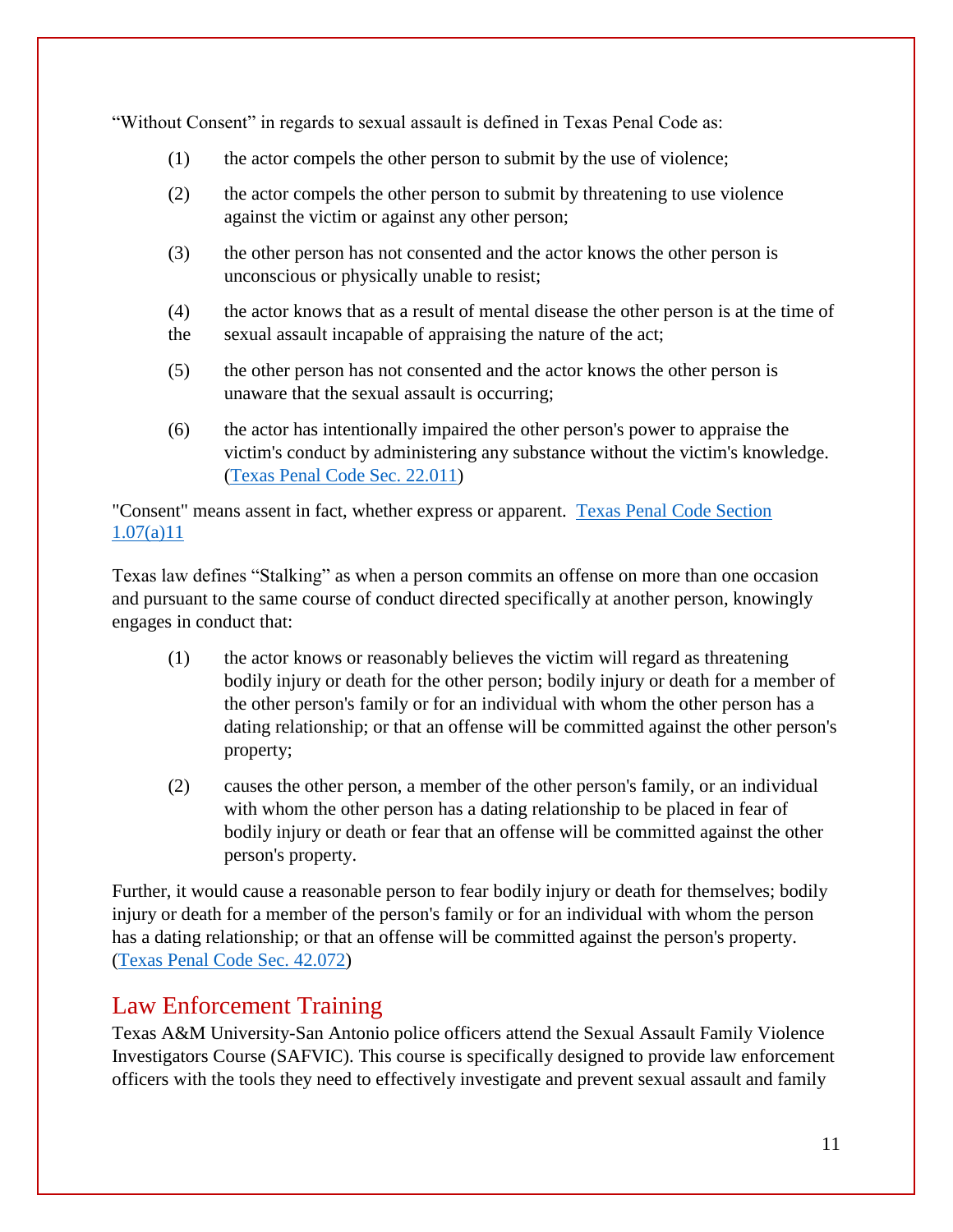"Without Consent" in regards to sexual assault is defined in Texas Penal Code as:

- (1) the actor compels the other person to submit by the use of violence;
- (2) the actor compels the other person to submit by threatening to use violence against the victim or against any other person;
- (3) the other person has not consented and the actor knows the other person is unconscious or physically unable to resist;
- (4) the actor knows that as a result of mental disease the other person is at the time of the sexual assault incapable of appraising the nature of the act;
- (5) the other person has not consented and the actor knows the other person is unaware that the sexual assault is occurring;
- (6) the actor has intentionally impaired the other person's power to appraise the victim's conduct by administering any substance without the victim's knowledge. [\(Texas Penal Code Sec. 22.011\)](http://www.statutes.legis.state.tx.us/Docs/PE/htm/PE.22.htm)

"Consent" means assent in fact, whether express or apparent. [Texas Penal Code Section](http://www.statutes.legis.state.tx.us/Docs/PE/htm/PE.1.htm)  [1.07\(a\)11](http://www.statutes.legis.state.tx.us/Docs/PE/htm/PE.1.htm)

Texas law defines "Stalking" as when a person commits an offense on more than one occasion and pursuant to the same course of conduct directed specifically at another person, knowingly engages in conduct that:

- (1) the actor knows or reasonably believes the victim will regard as threatening bodily injury or death for the other person; bodily injury or death for a member of the other person's family or for an individual with whom the other person has a dating relationship; or that an offense will be committed against the other person's property;
- (2) causes the other person, a member of the other person's family, or an individual with whom the other person has a dating relationship to be placed in fear of bodily injury or death or fear that an offense will be committed against the other person's property.

Further, it would cause a reasonable person to fear bodily injury or death for themselves; bodily injury or death for a member of the person's family or for an individual with whom the person has a dating relationship; or that an offense will be committed against the person's property. [\(Texas Penal Code Sec. 42.072\)](http://www.statutes.legis.state.tx.us/Docs/PE/htm/PE.22.htm)

#### Law Enforcement Training

Texas A&M University-San Antonio police officers attend the Sexual Assault Family Violence Investigators Course (SAFVIC). This course is specifically designed to provide law enforcement officers with the tools they need to effectively investigate and prevent sexual assault and family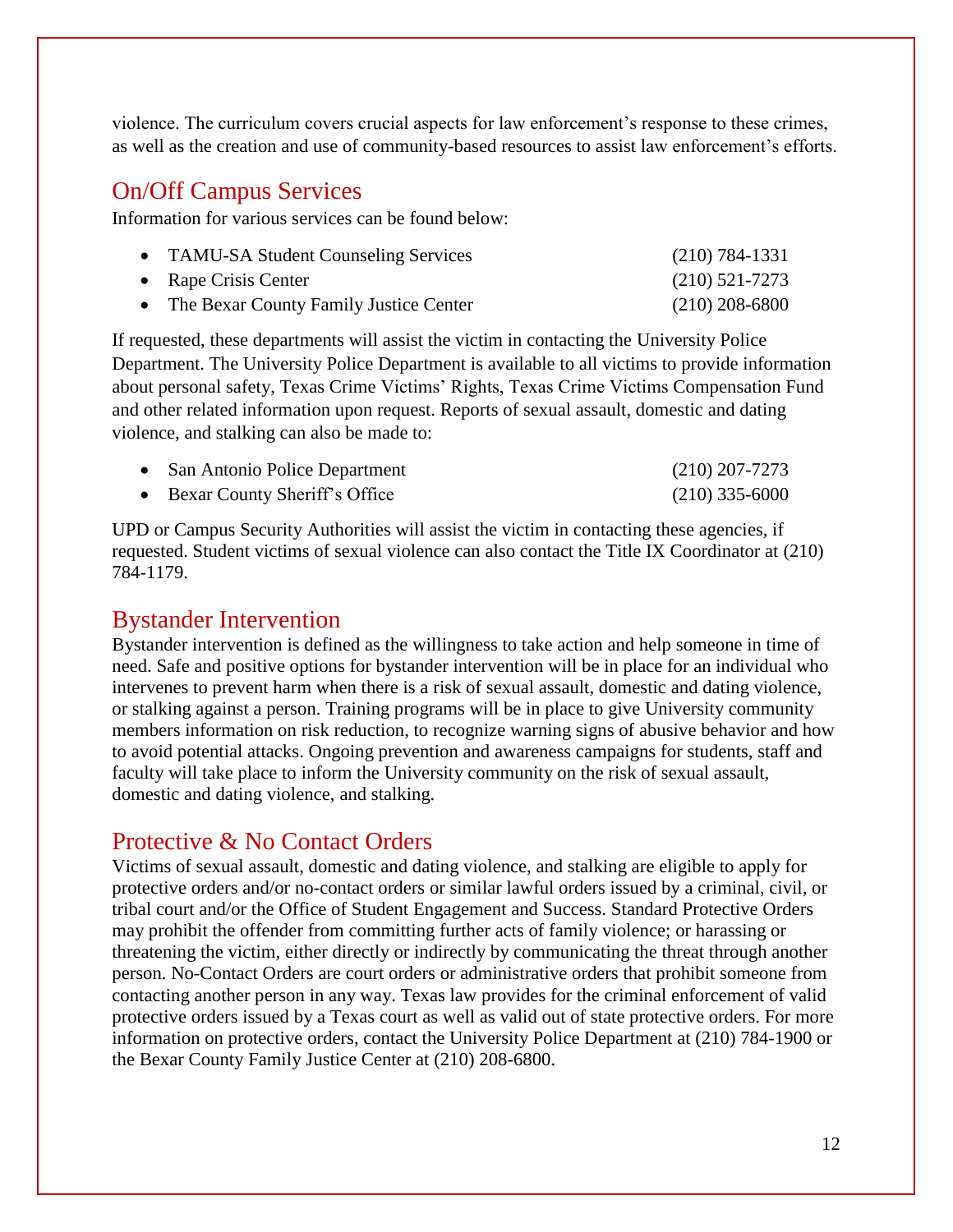violence. The curriculum covers crucial aspects for law enforcement's response to these crimes, as well as the creation and use of community-based resources to assist law enforcement's efforts.

#### On/Off Campus Services

Information for various services can be found below:

| • TAMU-SA Student Counseling Services    | $(210) 784 - 1331$ |
|------------------------------------------|--------------------|
| • Rape Crisis Center                     | $(210)$ 521-7273   |
| • The Bexar County Family Justice Center | $(210)$ 208-6800   |

If requested, these departments will assist the victim in contacting the University Police Department. The University Police Department is available to all victims to provide information about personal safety, Texas Crime Victims' Rights, Texas Crime Victims Compensation Fund and other related information upon request. Reports of sexual assault, domestic and dating violence, and stalking can also be made to:

| • San Antonio Police Department | $(210)$ 207-7273 |
|---------------------------------|------------------|
| • Bexar County Sheriff's Office | $(210)$ 335-6000 |

UPD or Campus Security Authorities will assist the victim in contacting these agencies, if requested. Student victims of sexual violence can also contact the Title IX Coordinator at (210) 784-1179.

#### Bystander Intervention

Bystander intervention is defined as the willingness to take action and help someone in time of need. Safe and positive options for bystander intervention will be in place for an individual who intervenes to prevent harm when there is a risk of sexual assault, domestic and dating violence, or stalking against a person. Training programs will be in place to give University community members information on risk reduction, to recognize warning signs of abusive behavior and how to avoid potential attacks. Ongoing prevention and awareness campaigns for students, staff and faculty will take place to inform the University community on the risk of sexual assault, domestic and dating violence, and stalking.

#### Protective & No Contact Orders

Victims of sexual assault, domestic and dating violence, and stalking are eligible to apply for protective orders and/or no-contact orders or similar lawful orders issued by a criminal, civil, or tribal court and/or the Office of Student Engagement and Success. Standard Protective Orders may prohibit the offender from committing further acts of family violence; or harassing or threatening the victim, either directly or indirectly by communicating the threat through another person. No-Contact Orders are court orders or administrative orders that prohibit someone from contacting another person in any way. Texas law provides for the criminal enforcement of valid protective orders issued by a Texas court as well as valid out of state protective orders. For more information on protective orders, contact the University Police Department at (210) 784-1900 or the Bexar County Family Justice Center at (210) 208-6800.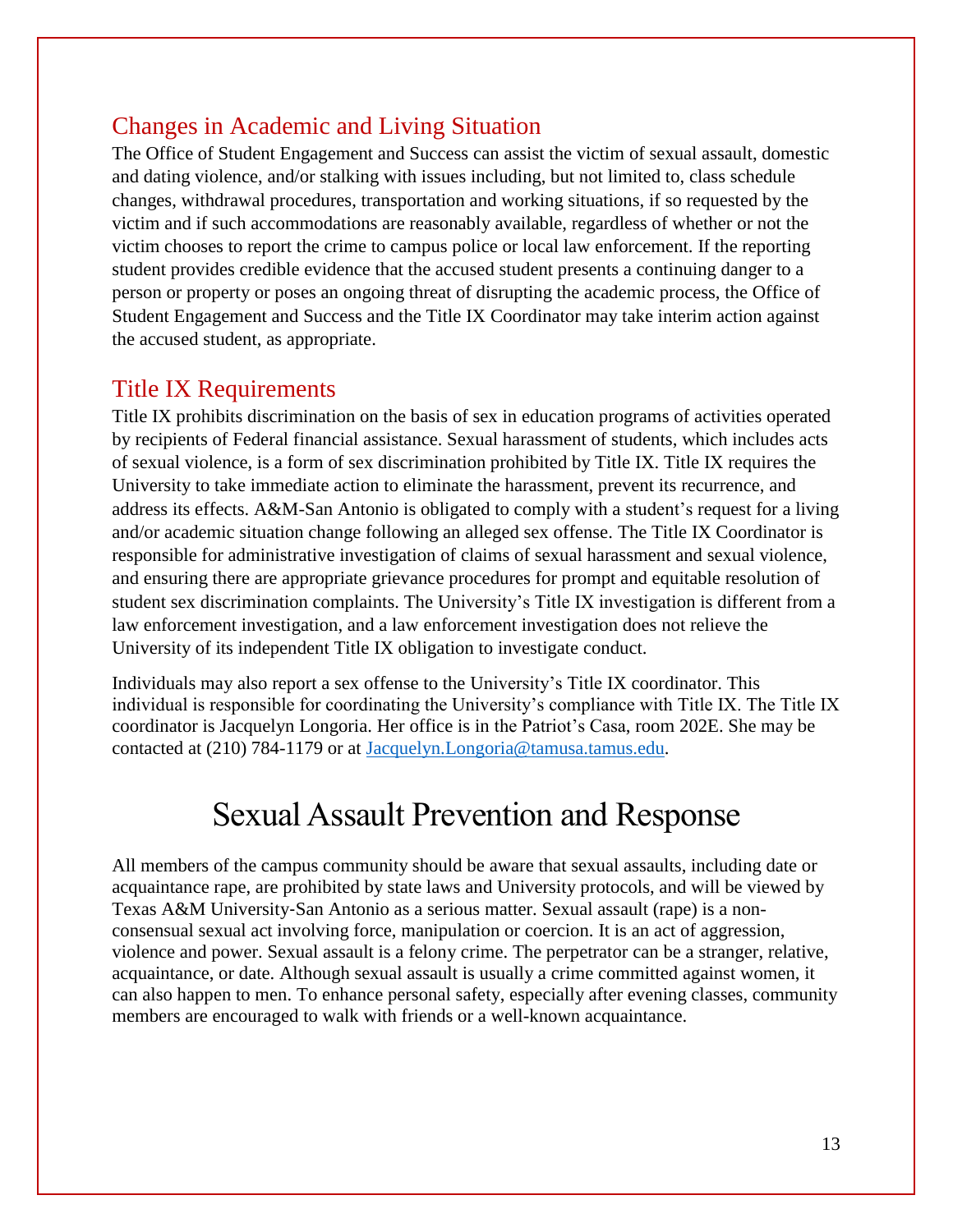#### Changes in Academic and Living Situation

The Office of Student Engagement and Success can assist the victim of sexual assault, domestic and dating violence, and/or stalking with issues including, but not limited to, class schedule changes, withdrawal procedures, transportation and working situations, if so requested by the victim and if such accommodations are reasonably available, regardless of whether or not the victim chooses to report the crime to campus police or local law enforcement. If the reporting student provides credible evidence that the accused student presents a continuing danger to a person or property or poses an ongoing threat of disrupting the academic process, the Office of Student Engagement and Success and the Title IX Coordinator may take interim action against the accused student, as appropriate.

#### Title IX Requirements

Title IX prohibits discrimination on the basis of sex in education programs of activities operated by recipients of Federal financial assistance. Sexual harassment of students, which includes acts of sexual violence, is a form of sex discrimination prohibited by Title IX. Title IX requires the University to take immediate action to eliminate the harassment, prevent its recurrence, and address its effects. A&M-San Antonio is obligated to comply with a student's request for a living and/or academic situation change following an alleged sex offense. The Title IX Coordinator is responsible for administrative investigation of claims of sexual harassment and sexual violence, and ensuring there are appropriate grievance procedures for prompt and equitable resolution of student sex discrimination complaints. The University's Title IX investigation is different from a law enforcement investigation, and a law enforcement investigation does not relieve the University of its independent Title IX obligation to investigate conduct.

Individuals may also report a sex offense to the University's Title IX coordinator. This individual is responsible for coordinating the University's compliance with Title IX. The Title IX coordinator is Jacquelyn Longoria. Her office is in the Patriot's Casa, room 202E. She may be contacted at (210) 784-1179 or at [Jacquelyn.Longoria@tamusa.tamus.edu.](file://fl1m2fs1/gduran/Clery/ASR/Jacquelyn.Longoria@tamusa.tamus.edu)

## Sexual Assault Prevention and Response

All members of the campus community should be aware that sexual assaults, including date or acquaintance rape, are prohibited by state laws and University protocols, and will be viewed by Texas A&M University‐San Antonio as a serious matter. Sexual assault (rape) is a nonconsensual sexual act involving force, manipulation or coercion. It is an act of aggression, violence and power. Sexual assault is a felony crime. The perpetrator can be a stranger, relative, acquaintance, or date. Although sexual assault is usually a crime committed against women, it can also happen to men. To enhance personal safety, especially after evening classes, community members are encouraged to walk with friends or a well-known acquaintance.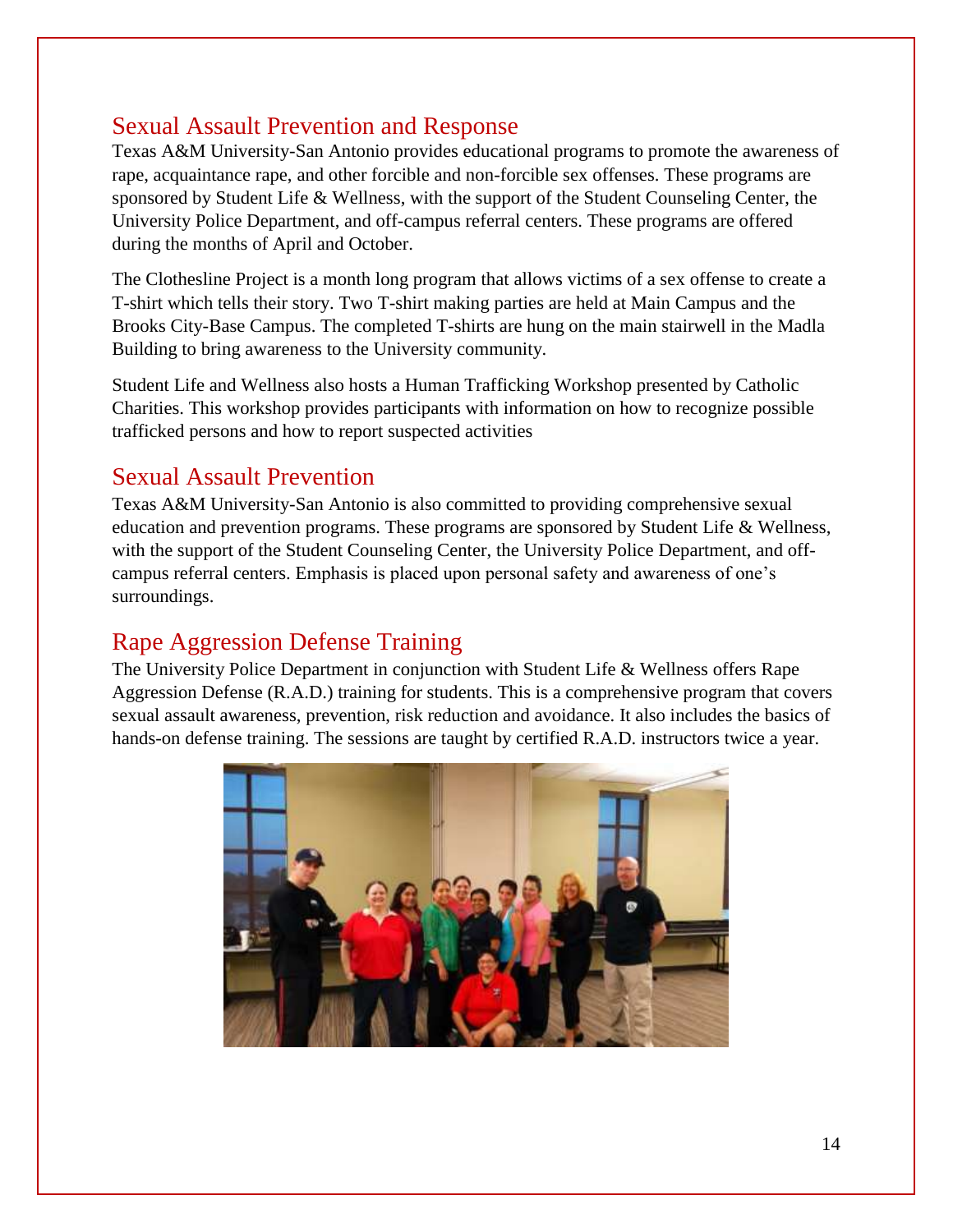#### Sexual Assault Prevention and Response

Texas A&M University-San Antonio provides educational programs to promote the awareness of rape, acquaintance rape, and other forcible and non-forcible sex offenses. These programs are sponsored by Student Life & Wellness, with the support of the Student Counseling Center, the University Police Department, and off-campus referral centers. These programs are offered during the months of April and October.

The Clothesline Project is a month long program that allows victims of a sex offense to create a T-shirt which tells their story. Two T-shirt making parties are held at Main Campus and the Brooks City-Base Campus. The completed T-shirts are hung on the main stairwell in the Madla Building to bring awareness to the University community.

Student Life and Wellness also hosts a Human Trafficking Workshop presented by Catholic Charities. This workshop provides participants with information on how to recognize possible trafficked persons and how to report suspected activities

#### Sexual Assault Prevention

Texas A&M University-San Antonio is also committed to providing comprehensive sexual education and prevention programs. These programs are sponsored by Student Life & Wellness, with the support of the Student Counseling Center, the University Police Department, and offcampus referral centers. Emphasis is placed upon personal safety and awareness of one's surroundings.

#### Rape Aggression Defense Training

The University Police Department in conjunction with Student Life & Wellness offers Rape Aggression Defense (R.A.D.) training for students. This is a comprehensive program that covers sexual assault awareness, prevention, risk reduction and avoidance. It also includes the basics of hands-on defense training. The sessions are taught by certified R.A.D. instructors twice a year.

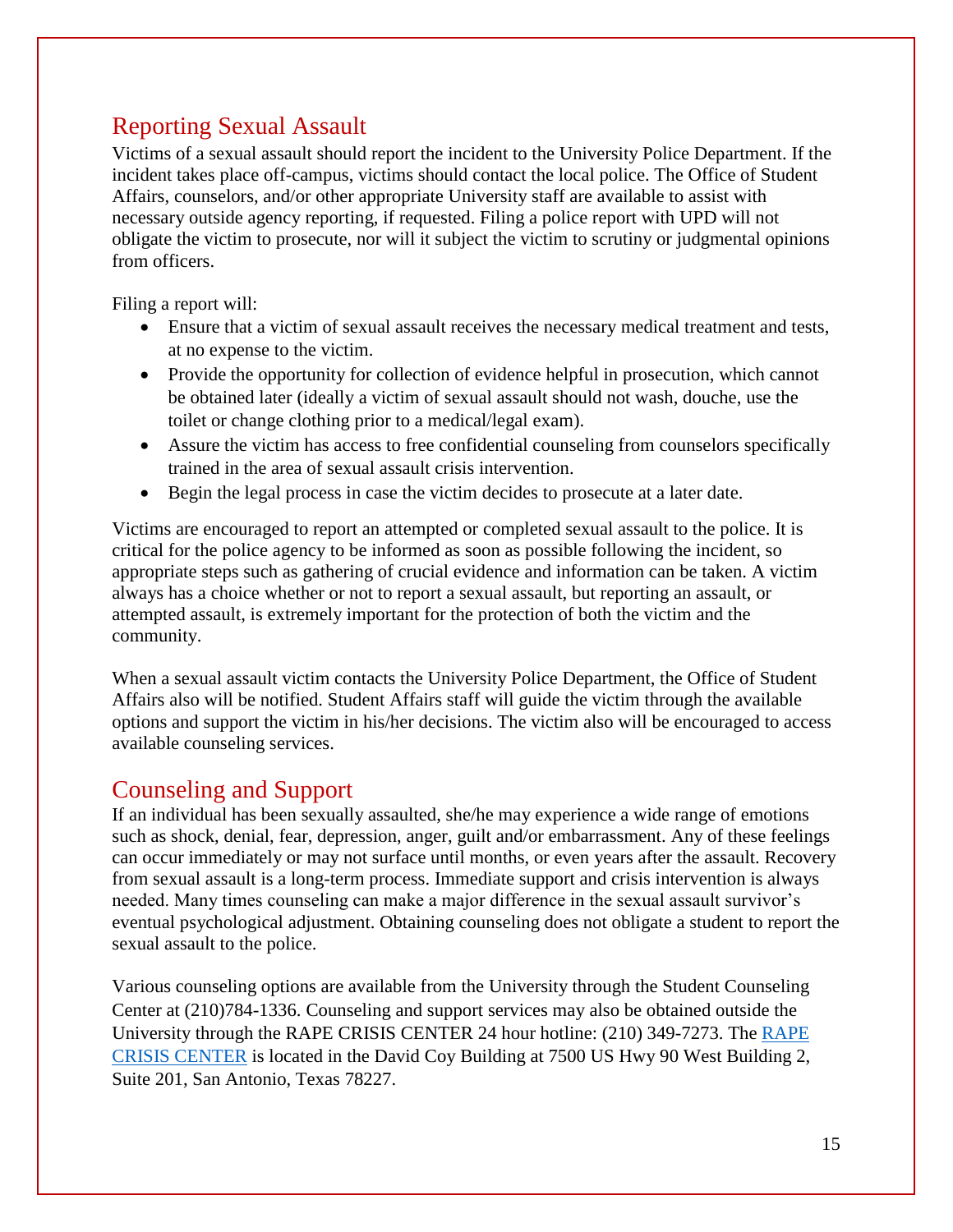## Reporting Sexual Assault

Victims of a sexual assault should report the incident to the University Police Department. If the incident takes place off-campus, victims should contact the local police. The Office of Student Affairs, counselors, and/or other appropriate University staff are available to assist with necessary outside agency reporting, if requested. Filing a police report with UPD will not obligate the victim to prosecute, nor will it subject the victim to scrutiny or judgmental opinions from officers.

Filing a report will:

- Ensure that a victim of sexual assault receives the necessary medical treatment and tests, at no expense to the victim.
- Provide the opportunity for collection of evidence helpful in prosecution, which cannot be obtained later (ideally a victim of sexual assault should not wash, douche, use the toilet or change clothing prior to a medical/legal exam).
- Assure the victim has access to free confidential counseling from counselors specifically trained in the area of sexual assault crisis intervention.
- Begin the legal process in case the victim decides to prosecute at a later date.

Victims are encouraged to report an attempted or completed sexual assault to the police. It is critical for the police agency to be informed as soon as possible following the incident, so appropriate steps such as gathering of crucial evidence and information can be taken. A victim always has a choice whether or not to report a sexual assault, but reporting an assault, or attempted assault, is extremely important for the protection of both the victim and the community.

When a sexual assault victim contacts the University Police Department, the Office of Student Affairs also will be notified. Student Affairs staff will guide the victim through the available options and support the victim in his/her decisions. The victim also will be encouraged to access available counseling services.

### Counseling and Support

If an individual has been sexually assaulted, she/he may experience a wide range of emotions such as shock, denial, fear, depression, anger, guilt and/or embarrassment. Any of these feelings can occur immediately or may not surface until months, or even years after the assault. Recovery from sexual assault is a long-term process. Immediate support and crisis intervention is always needed. Many times counseling can make a major difference in the sexual assault survivor's eventual psychological adjustment. Obtaining counseling does not obligate a student to report the sexual assault to the police.

Various counseling options are available from the University through the Student Counseling Center at (210)784-1336. Counseling and support services may also be obtained outside the University through the RAPE CRISIS CENTER 24 hour hotline: (210) 349-7273. The [RAPE](http://www.rapecrisis.com/)  [CRISIS CENTER](http://www.rapecrisis.com/) is located in the David Coy Building at 7500 US Hwy 90 West Building 2, Suite 201, San Antonio, Texas 78227.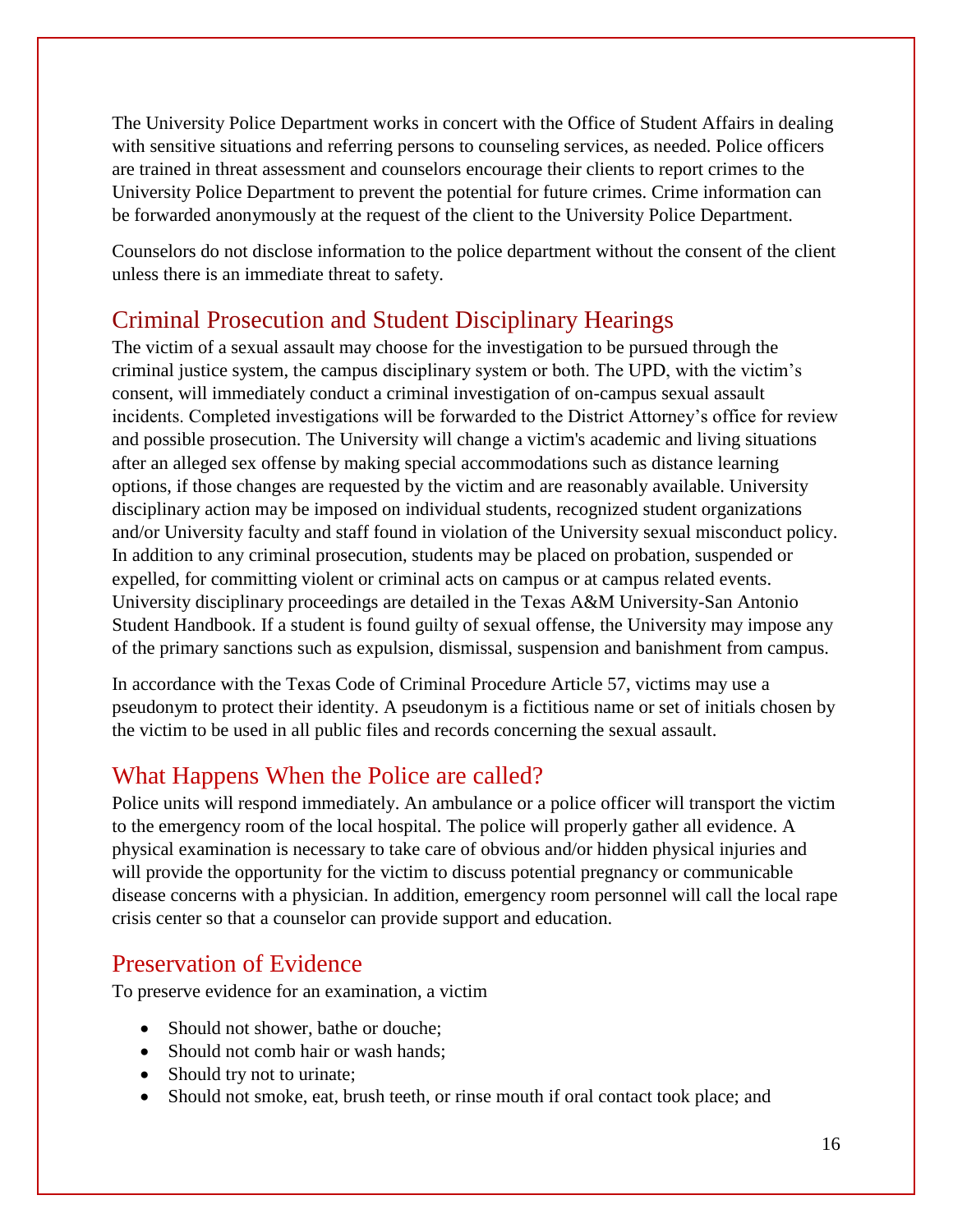The University Police Department works in concert with the Office of Student Affairs in dealing with sensitive situations and referring persons to counseling services, as needed. Police officers are trained in threat assessment and counselors encourage their clients to report crimes to the University Police Department to prevent the potential for future crimes. Crime information can be forwarded anonymously at the request of the client to the University Police Department.

Counselors do not disclose information to the police department without the consent of the client unless there is an immediate threat to safety.

## Criminal Prosecution and Student Disciplinary Hearings

The victim of a sexual assault may choose for the investigation to be pursued through the criminal justice system, the campus disciplinary system or both. The UPD, with the victim's consent, will immediately conduct a criminal investigation of on-campus sexual assault incidents. Completed investigations will be forwarded to the District Attorney's office for review and possible prosecution. The University will change a victim's academic and living situations after an alleged sex offense by making special accommodations such as distance learning options, if those changes are requested by the victim and are reasonably available. University disciplinary action may be imposed on individual students, recognized student organizations and/or University faculty and staff found in violation of the University sexual misconduct policy. In addition to any criminal prosecution, students may be placed on probation, suspended or expelled, for committing violent or criminal acts on campus or at campus related events. University disciplinary proceedings are detailed in the Texas A&M University-San Antonio Student Handbook. If a student is found guilty of sexual offense, the University may impose any of the primary sanctions such as expulsion, dismissal, suspension and banishment from campus.

In accordance with the Texas Code of Criminal Procedure Article 57, victims may use a pseudonym to protect their identity. A pseudonym is a fictitious name or set of initials chosen by the victim to be used in all public files and records concerning the sexual assault.

### What Happens When the Police are called?

Police units will respond immediately. An ambulance or a police officer will transport the victim to the emergency room of the local hospital. The police will properly gather all evidence. A physical examination is necessary to take care of obvious and/or hidden physical injuries and will provide the opportunity for the victim to discuss potential pregnancy or communicable disease concerns with a physician. In addition, emergency room personnel will call the local rape crisis center so that a counselor can provide support and education.

#### Preservation of Evidence

To preserve evidence for an examination, a victim

- Should not shower, bathe or douche;
- Should not comb hair or wash hands;
- Should try not to urinate;
- Should not smoke, eat, brush teeth, or rinse mouth if oral contact took place; and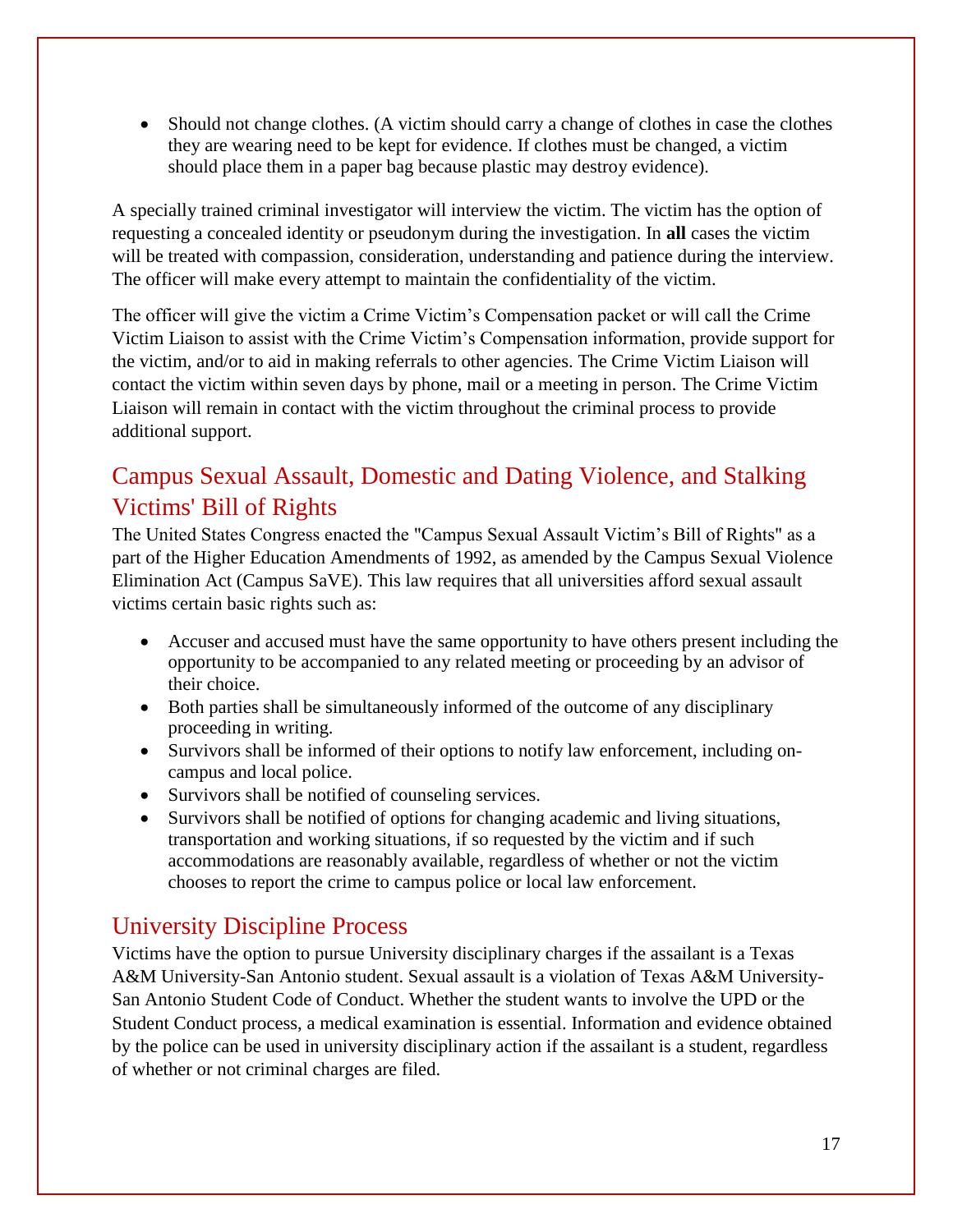Should not change clothes. (A victim should carry a change of clothes in case the clothes they are wearing need to be kept for evidence. If clothes must be changed, a victim should place them in a paper bag because plastic may destroy evidence).

A specially trained criminal investigator will interview the victim. The victim has the option of requesting a concealed identity or pseudonym during the investigation. In **all** cases the victim will be treated with compassion, consideration, understanding and patience during the interview. The officer will make every attempt to maintain the confidentiality of the victim.

The officer will give the victim a Crime Victim's Compensation packet or will call the Crime Victim Liaison to assist with the Crime Victim's Compensation information, provide support for the victim, and/or to aid in making referrals to other agencies. The Crime Victim Liaison will contact the victim within seven days by phone, mail or a meeting in person. The Crime Victim Liaison will remain in contact with the victim throughout the criminal process to provide additional support.

## Campus Sexual Assault, Domestic and Dating Violence, and Stalking Victims' Bill of Rights

The United States Congress enacted the "Campus Sexual Assault Victim's Bill of Rights" as a part of the Higher Education Amendments of 1992, as amended by the Campus Sexual Violence Elimination Act (Campus SaVE). This law requires that all universities afford sexual assault victims certain basic rights such as:

- Accuser and accused must have the same opportunity to have others present including the opportunity to be accompanied to any related meeting or proceeding by an advisor of their choice.
- Both parties shall be simultaneously informed of the outcome of any disciplinary proceeding in writing.
- Survivors shall be informed of their options to notify law enforcement, including oncampus and local police.
- Survivors shall be notified of counseling services.
- Survivors shall be notified of options for changing academic and living situations, transportation and working situations, if so requested by the victim and if such accommodations are reasonably available, regardless of whether or not the victim chooses to report the crime to campus police or local law enforcement.

### University Discipline Process

Victims have the option to pursue University disciplinary charges if the assailant is a Texas A&M University-San Antonio student. Sexual assault is a violation of Texas A&M University-San Antonio Student Code of Conduct. Whether the student wants to involve the UPD or the Student Conduct process, a medical examination is essential. Information and evidence obtained by the police can be used in university disciplinary action if the assailant is a student, regardless of whether or not criminal charges are filed.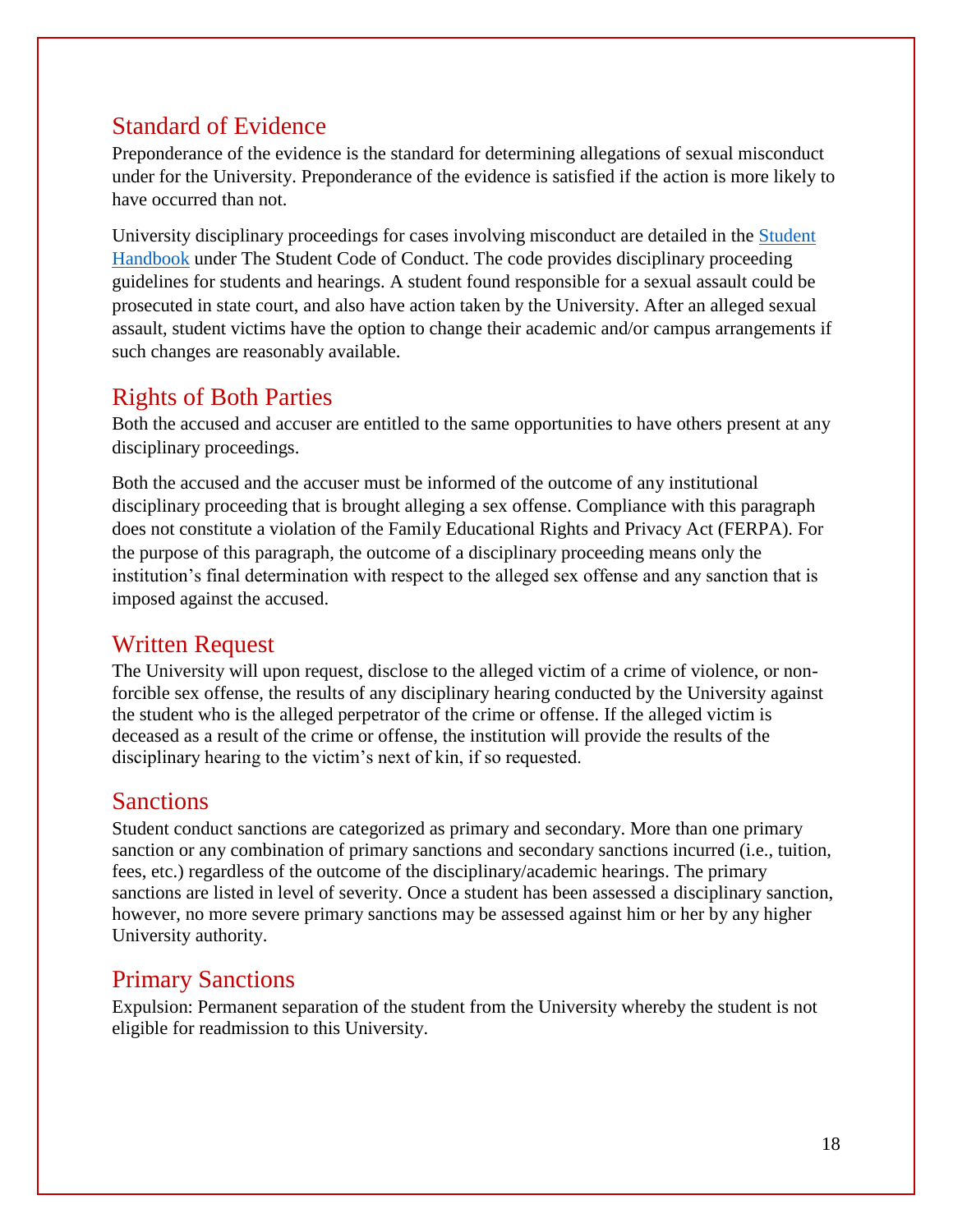#### Standard of Evidence

Preponderance of the evidence is the standard for determining allegations of sexual misconduct under for the University. Preponderance of the evidence is satisfied if the action is more likely to have occurred than not.

University disciplinary proceedings for cases involving misconduct are detailed in the [Student](http://www.tamusa.tamus.edu/studentengagementsuccess/TexasA&MSanAntonioStudenthandbook.pdf)  [Handbook](http://www.tamusa.tamus.edu/studentengagementsuccess/TexasA&MSanAntonioStudenthandbook.pdf) under The Student Code of Conduct. The code provides disciplinary proceeding guidelines for students and hearings. A student found responsible for a sexual assault could be prosecuted in state court, and also have action taken by the University. After an alleged sexual assault, student victims have the option to change their academic and/or campus arrangements if such changes are reasonably available.

#### Rights of Both Parties

Both the accused and accuser are entitled to the same opportunities to have others present at any disciplinary proceedings.

Both the accused and the accuser must be informed of the outcome of any institutional disciplinary proceeding that is brought alleging a sex offense. Compliance with this paragraph does not constitute a violation of the Family Educational Rights and Privacy Act (FERPA). For the purpose of this paragraph, the outcome of a disciplinary proceeding means only the institution's final determination with respect to the alleged sex offense and any sanction that is imposed against the accused.

### Written Request

The University will upon request, disclose to the alleged victim of a crime of violence, or nonforcible sex offense, the results of any disciplinary hearing conducted by the University against the student who is the alleged perpetrator of the crime or offense. If the alleged victim is deceased as a result of the crime or offense, the institution will provide the results of the disciplinary hearing to the victim's next of kin, if so requested.

#### Sanctions

Student conduct sanctions are categorized as primary and secondary. More than one primary sanction or any combination of primary sanctions and secondary sanctions incurred (i.e., tuition, fees, etc.) regardless of the outcome of the disciplinary/academic hearings. The primary sanctions are listed in level of severity. Once a student has been assessed a disciplinary sanction, however, no more severe primary sanctions may be assessed against him or her by any higher University authority.

### Primary Sanctions

Expulsion: Permanent separation of the student from the University whereby the student is not eligible for readmission to this University.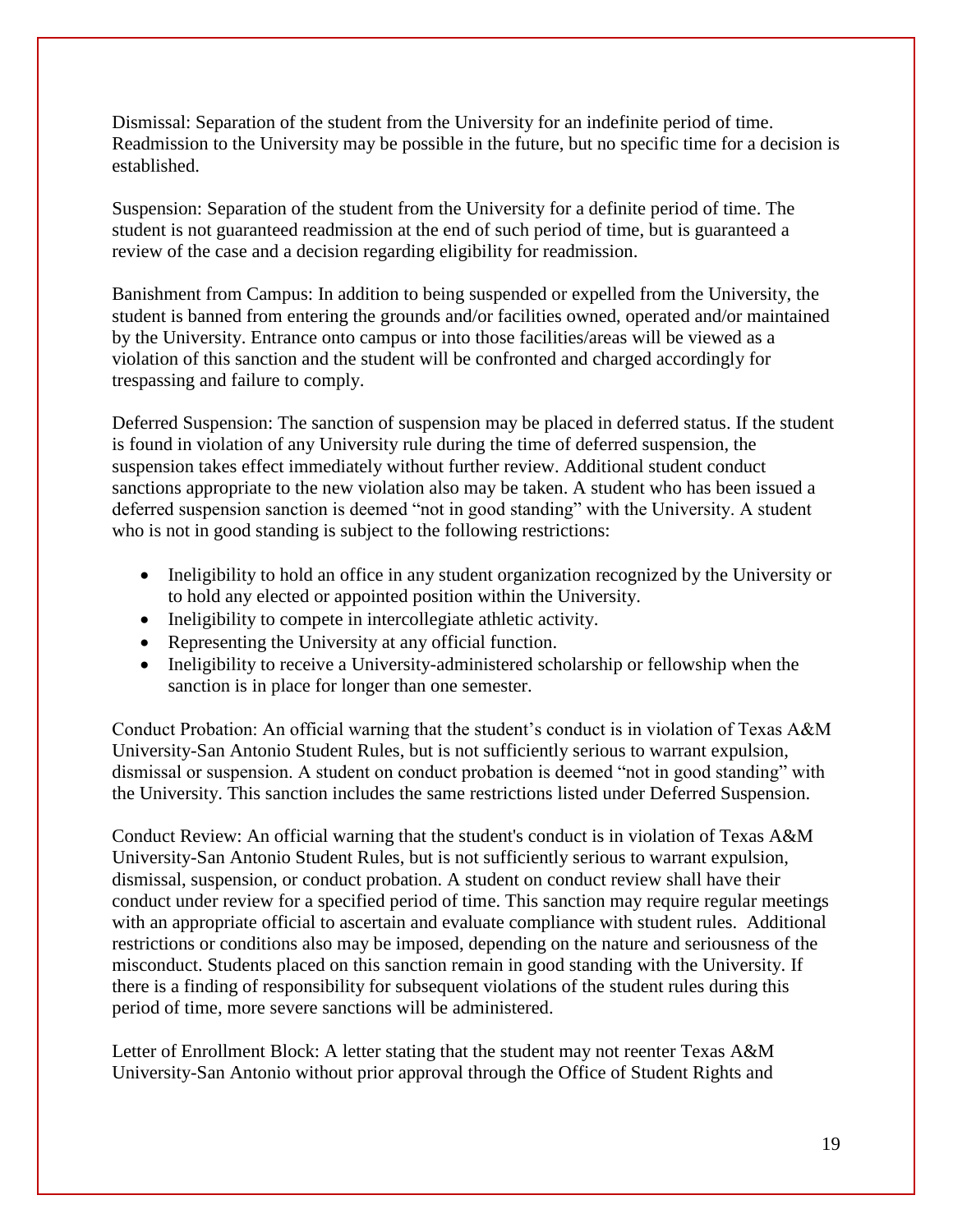Dismissal: Separation of the student from the University for an indefinite period of time. Readmission to the University may be possible in the future, but no specific time for a decision is established.

Suspension: Separation of the student from the University for a definite period of time. The student is not guaranteed readmission at the end of such period of time, but is guaranteed a review of the case and a decision regarding eligibility for readmission.

Banishment from Campus: In addition to being suspended or expelled from the University, the student is banned from entering the grounds and/or facilities owned, operated and/or maintained by the University. Entrance onto campus or into those facilities/areas will be viewed as a violation of this sanction and the student will be confronted and charged accordingly for trespassing and failure to comply.

Deferred Suspension: The sanction of suspension may be placed in deferred status. If the student is found in violation of any University rule during the time of deferred suspension, the suspension takes effect immediately without further review. Additional student conduct sanctions appropriate to the new violation also may be taken. A student who has been issued a deferred suspension sanction is deemed "not in good standing" with the University. A student who is not in good standing is subject to the following restrictions:

- Ineligibility to hold an office in any student organization recognized by the University or to hold any elected or appointed position within the University.
- Ineligibility to compete in intercollegiate athletic activity.
- Representing the University at any official function.
- Ineligibility to receive a University-administered scholarship or fellowship when the sanction is in place for longer than one semester.

Conduct Probation: An official warning that the student's conduct is in violation of Texas A&M University-San Antonio Student Rules, but is not sufficiently serious to warrant expulsion, dismissal or suspension. A student on conduct probation is deemed "not in good standing" with the University. This sanction includes the same restrictions listed under Deferred Suspension.

Conduct Review: An official warning that the student's conduct is in violation of Texas A&M University-San Antonio Student Rules, but is not sufficiently serious to warrant expulsion, dismissal, suspension, or conduct probation. A student on conduct review shall have their conduct under review for a specified period of time. This sanction may require regular meetings with an appropriate official to ascertain and evaluate compliance with student rules. Additional restrictions or conditions also may be imposed, depending on the nature and seriousness of the misconduct. Students placed on this sanction remain in good standing with the University. If there is a finding of responsibility for subsequent violations of the student rules during this period of time, more severe sanctions will be administered.

Letter of Enrollment Block: A letter stating that the student may not reenter Texas A&M University-San Antonio without prior approval through the Office of Student Rights and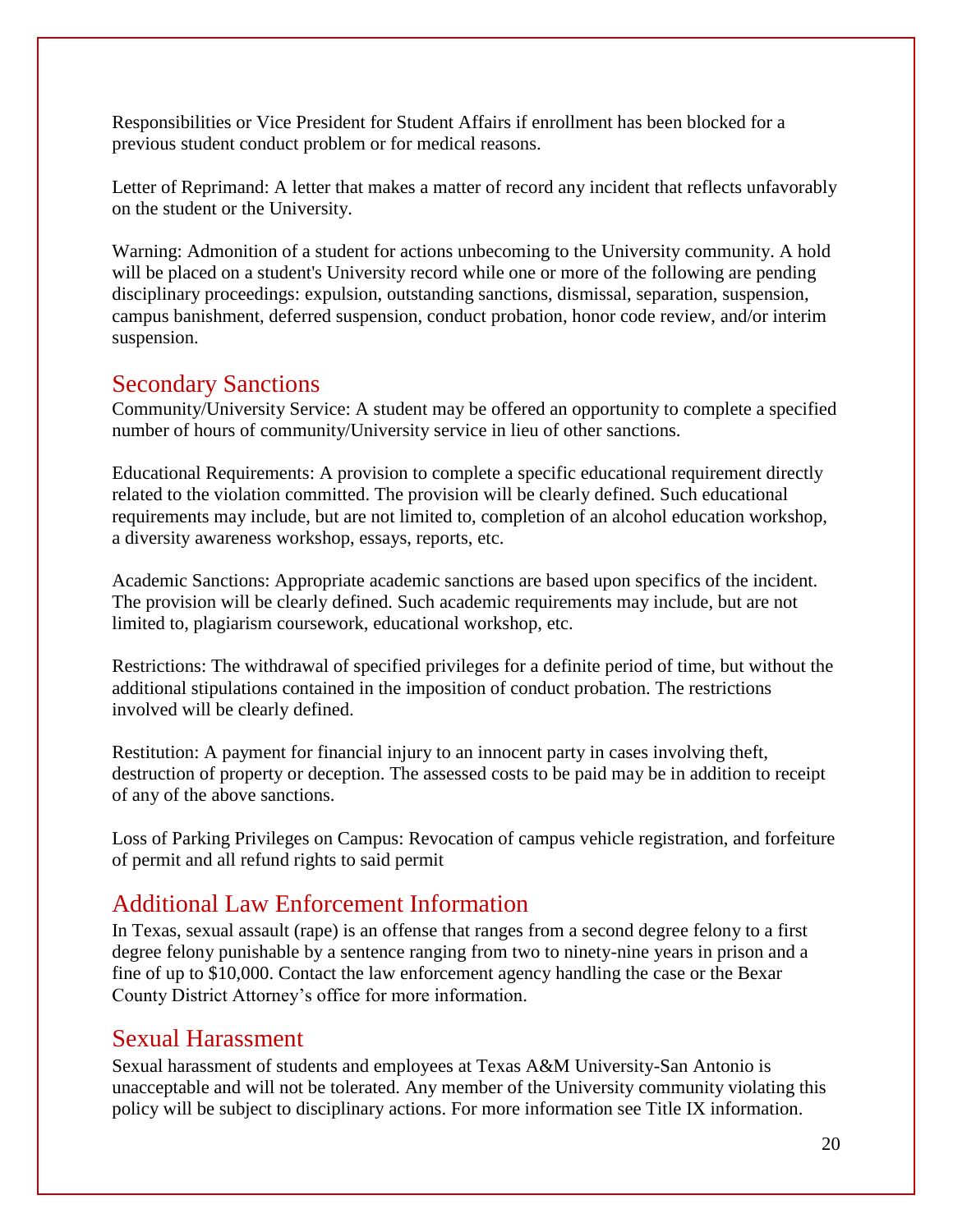Responsibilities or Vice President for Student Affairs if enrollment has been blocked for a previous student conduct problem or for medical reasons.

Letter of Reprimand: A letter that makes a matter of record any incident that reflects unfavorably on the student or the University.

Warning: Admonition of a student for actions unbecoming to the University community. A hold will be placed on a student's University record while one or more of the following are pending disciplinary proceedings: expulsion, outstanding sanctions, dismissal, separation, suspension, campus banishment, deferred suspension, conduct probation, honor code review, and/or interim suspension.

#### Secondary Sanctions

Community/University Service: A student may be offered an opportunity to complete a specified number of hours of community/University service in lieu of other sanctions.

Educational Requirements: A provision to complete a specific educational requirement directly related to the violation committed. The provision will be clearly defined. Such educational requirements may include, but are not limited to, completion of an alcohol education workshop, a diversity awareness workshop, essays, reports, etc.

Academic Sanctions: Appropriate academic sanctions are based upon specifics of the incident. The provision will be clearly defined. Such academic requirements may include, but are not limited to, plagiarism coursework, educational workshop, etc.

Restrictions: The withdrawal of specified privileges for a definite period of time, but without the additional stipulations contained in the imposition of conduct probation. The restrictions involved will be clearly defined.

Restitution: A payment for financial injury to an innocent party in cases involving theft, destruction of property or deception. The assessed costs to be paid may be in addition to receipt of any of the above sanctions.

Loss of Parking Privileges on Campus: Revocation of campus vehicle registration, and forfeiture of permit and all refund rights to said permit

#### Additional Law Enforcement Information

In Texas, sexual assault (rape) is an offense that ranges from a second degree felony to a first degree felony punishable by a sentence ranging from two to ninety-nine years in prison and a fine of up to \$10,000. Contact the law enforcement agency handling the case or the Bexar County District Attorney's office for more information.

#### Sexual Harassment

Sexual harassment of students and employees at Texas A&M University-San Antonio is unacceptable and will not be tolerated. Any member of the University community violating this policy will be subject to disciplinary actions. For more information see Title IX information.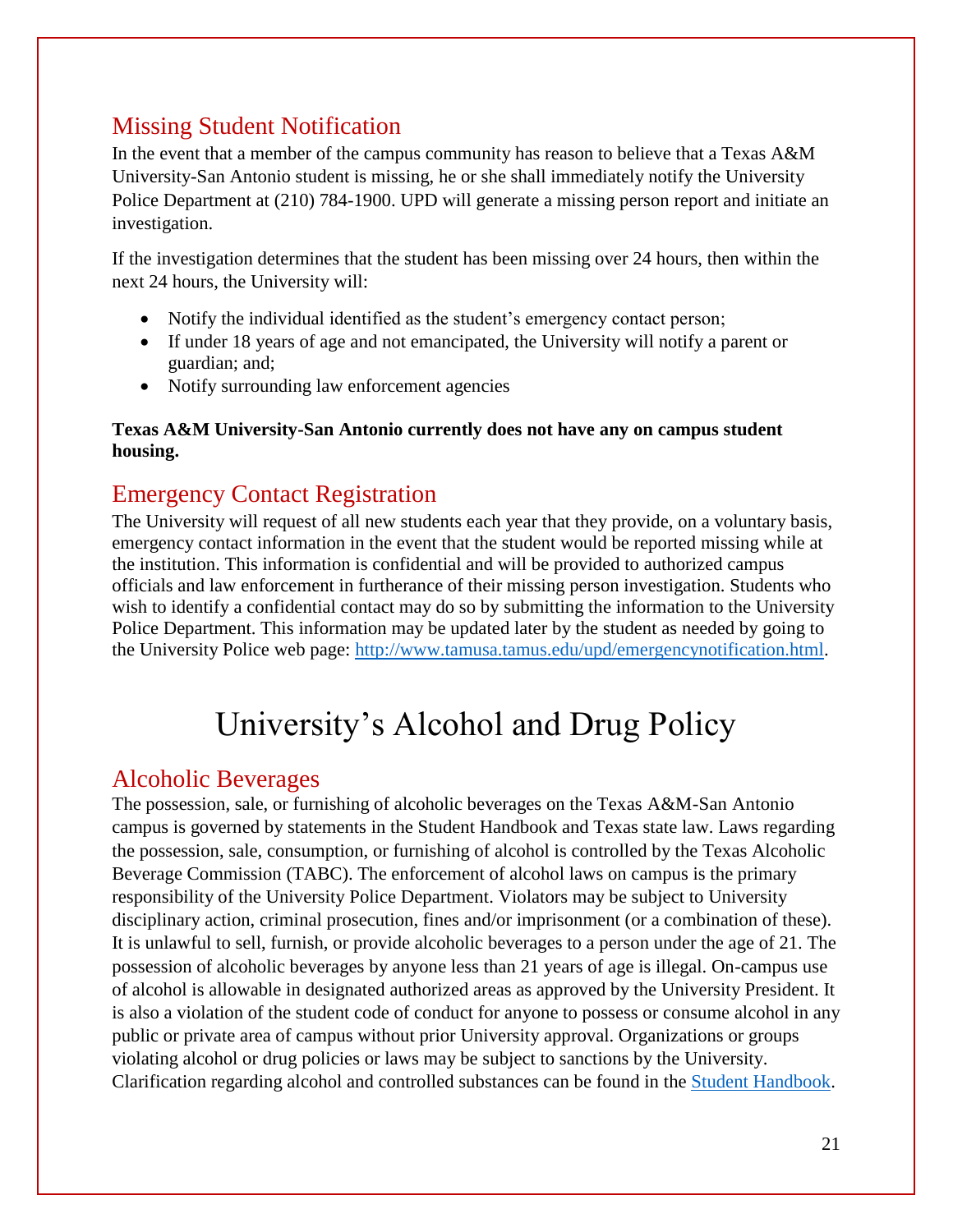## Missing Student Notification

In the event that a member of the campus community has reason to believe that a Texas A&M University-San Antonio student is missing, he or she shall immediately notify the University Police Department at (210) 784-1900. UPD will generate a missing person report and initiate an investigation.

If the investigation determines that the student has been missing over 24 hours, then within the next 24 hours, the University will:

- Notify the individual identified as the student's emergency contact person;
- If under 18 years of age and not emancipated, the University will notify a parent or guardian; and;
- Notify surrounding law enforcement agencies

#### **Texas A&M University-San Antonio currently does not have any on campus student housing.**

#### Emergency Contact Registration

The University will request of all new students each year that they provide, on a voluntary basis, emergency contact information in the event that the student would be reported missing while at the institution. This information is confidential and will be provided to authorized campus officials and law enforcement in furtherance of their missing person investigation. Students who wish to identify a confidential contact may do so by submitting the information to the University Police Department. This information may be updated later by the student as needed by going to the University Police web page: [http://www.tamusa.tamus.edu/upd/emergencynotification.html.](http://www.tamusa.tamus.edu/upd/emergencynotification.html)

## University's Alcohol and Drug Policy

#### Alcoholic Beverages

The possession, sale, or furnishing of alcoholic beverages on the Texas A&M-San Antonio campus is governed by statements in the Student Handbook and Texas state law. Laws regarding the possession, sale, consumption, or furnishing of alcohol is controlled by the Texas Alcoholic Beverage Commission (TABC). The enforcement of alcohol laws on campus is the primary responsibility of the University Police Department. Violators may be subject to University disciplinary action, criminal prosecution, fines and/or imprisonment (or a combination of these). It is unlawful to sell, furnish, or provide alcoholic beverages to a person under the age of 21. The possession of alcoholic beverages by anyone less than 21 years of age is illegal. On-campus use of alcohol is allowable in designated authorized areas as approved by the University President. It is also a violation of the student code of conduct for anyone to possess or consume alcohol in any public or private area of campus without prior University approval. Organizations or groups violating alcohol or drug policies or laws may be subject to sanctions by the University. Clarification regarding alcohol and controlled substances can be found in the [Student Handbook.](http://www.tamusa.tamus.edu/studentengagementsuccess/TexasA&MSanAntonioStudenthandbook.pdf)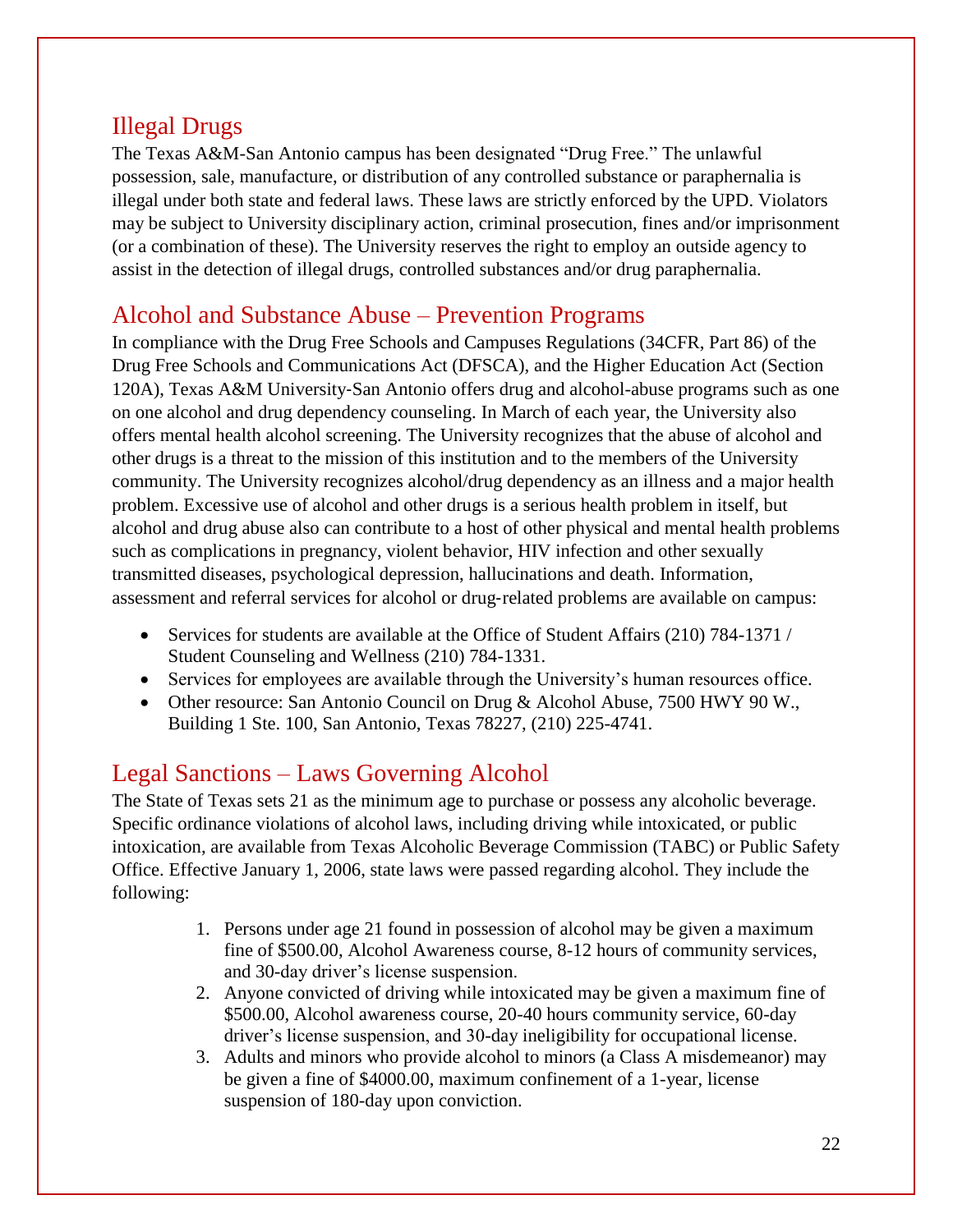#### Illegal Drugs

The Texas A&M-San Antonio campus has been designated "Drug Free." The unlawful possession, sale, manufacture, or distribution of any controlled substance or paraphernalia is illegal under both state and federal laws. These laws are strictly enforced by the UPD. Violators may be subject to University disciplinary action, criminal prosecution, fines and/or imprisonment (or a combination of these). The University reserves the right to employ an outside agency to assist in the detection of illegal drugs, controlled substances and/or drug paraphernalia.

### Alcohol and Substance Abuse – Prevention Programs

In compliance with the Drug Free Schools and Campuses Regulations (34CFR, Part 86) of the Drug Free Schools and Communications Act (DFSCA), and the Higher Education Act (Section 120A), Texas A&M University‐San Antonio offers drug and alcohol-abuse programs such as one on one alcohol and drug dependency counseling. In March of each year, the University also offers mental health alcohol screening. The University recognizes that the abuse of alcohol and other drugs is a threat to the mission of this institution and to the members of the University community. The University recognizes alcohol/drug dependency as an illness and a major health problem. Excessive use of alcohol and other drugs is a serious health problem in itself, but alcohol and drug abuse also can contribute to a host of other physical and mental health problems such as complications in pregnancy, violent behavior, HIV infection and other sexually transmitted diseases, psychological depression, hallucinations and death. Information, assessment and referral services for alcohol or drug-related problems are available on campus:

- Services for students are available at the Office of Student Affairs (210) 784-1371 / Student Counseling and Wellness (210) 784-1331.
- Services for employees are available through the University's human resources office.
- Other resource: San Antonio Council on Drug & Alcohol Abuse, 7500 HWY 90 W., Building 1 Ste. 100, San Antonio, Texas 78227, (210) 225-4741.

## Legal Sanctions – Laws Governing Alcohol

The State of Texas sets 21 as the minimum age to purchase or possess any alcoholic beverage. Specific ordinance violations of alcohol laws, including driving while intoxicated, or public intoxication, are available from Texas Alcoholic Beverage Commission (TABC) or Public Safety Office. Effective January 1, 2006, state laws were passed regarding alcohol. They include the following:

- 1. Persons under age 21 found in possession of alcohol may be given a maximum fine of \$500.00, Alcohol Awareness course, 8-12 hours of community services, and 30-day driver's license suspension.
- 2. Anyone convicted of driving while intoxicated may be given a maximum fine of \$500.00, Alcohol awareness course, 20-40 hours community service, 60-day driver's license suspension, and 30-day ineligibility for occupational license.
- 3. Adults and minors who provide alcohol to minors (a Class A misdemeanor) may be given a fine of \$4000.00, maximum confinement of a 1-year, license suspension of 180-day upon conviction.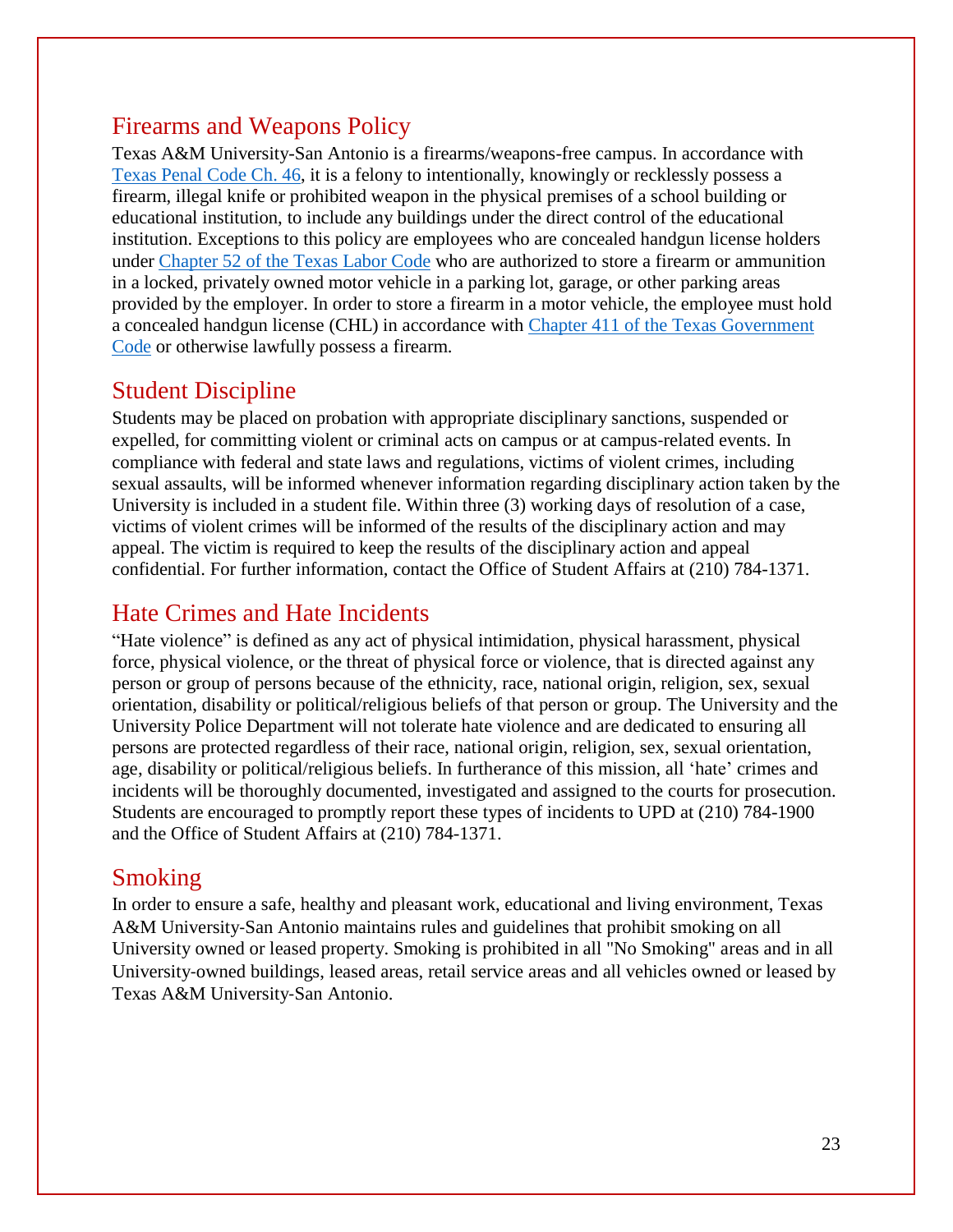#### Firearms and Weapons Policy

Texas A&M University-San Antonio is a firearms/weapons-free campus. In accordance with Texas Penal [Code Ch.](http://www.statutes.legis.state.tx.us/Docs/PE/htm/PE.46.htm) 46, it is a felony to intentionally, knowingly or recklessly possess a firearm, illegal knife or prohibited weapon in the physical premises of a school building or educational institution, to include any buildings under the direct control of the educational institution. Exceptions to this policy are employees who are concealed handgun license holders under [Chapter](http://www.statutes.legis.state.tx.us/Docs/LA/htm/LA.52.htm) 52 of the Texas Labor Code who are authorized to store a firearm or ammunition in a locked, privately owned motor vehicle in a parking lot, garage, or other parking areas provided by the employer. In order to store a firearm in a motor vehicle, the employee must hold a concealed handgun license (CHL) in accordance with Chapter 411 of the [Texas Government](http://www.statutes.legis.state.tx.us/Docs/GV/htm/GV.411.htm) [Code](http://www.statutes.legis.state.tx.us/Docs/GV/htm/GV.411.htm) or otherwise lawfully possess a firearm.

#### Student Discipline

Students may be placed on probation with appropriate disciplinary sanctions, suspended or expelled, for committing violent or criminal acts on campus or at campus-related events. In compliance with federal and state laws and regulations, victims of violent crimes, including sexual assaults, will be informed whenever information regarding disciplinary action taken by the University is included in a student file. Within three (3) working days of resolution of a case, victims of violent crimes will be informed of the results of the disciplinary action and may appeal. The victim is required to keep the results of the disciplinary action and appeal confidential. For further information, contact the Office of Student Affairs at (210) 784-1371.

#### Hate Crimes and Hate Incidents

"Hate violence" is defined as any act of physical intimidation, physical harassment, physical force, physical violence, or the threat of physical force or violence, that is directed against any person or group of persons because of the ethnicity, race, national origin, religion, sex, sexual orientation, disability or political/religious beliefs of that person or group. The University and the University Police Department will not tolerate hate violence and are dedicated to ensuring all persons are protected regardless of their race, national origin, religion, sex, sexual orientation, age, disability or political/religious beliefs. In furtherance of this mission, all 'hate' crimes and incidents will be thoroughly documented, investigated and assigned to the courts for prosecution. Students are encouraged to promptly report these types of incidents to UPD at (210) 784-1900 and the Office of Student Affairs at (210) 784-1371.

#### Smoking

In order to ensure a safe, healthy and pleasant work, educational and living environment, Texas A&M University-San Antonio maintains rules and guidelines that prohibit smoking on all University owned or leased property. Smoking is prohibited in all "No Smoking" areas and in all University‐owned buildings, leased areas, retail service areas and all vehicles owned or leased by Texas A&M University‐San Antonio.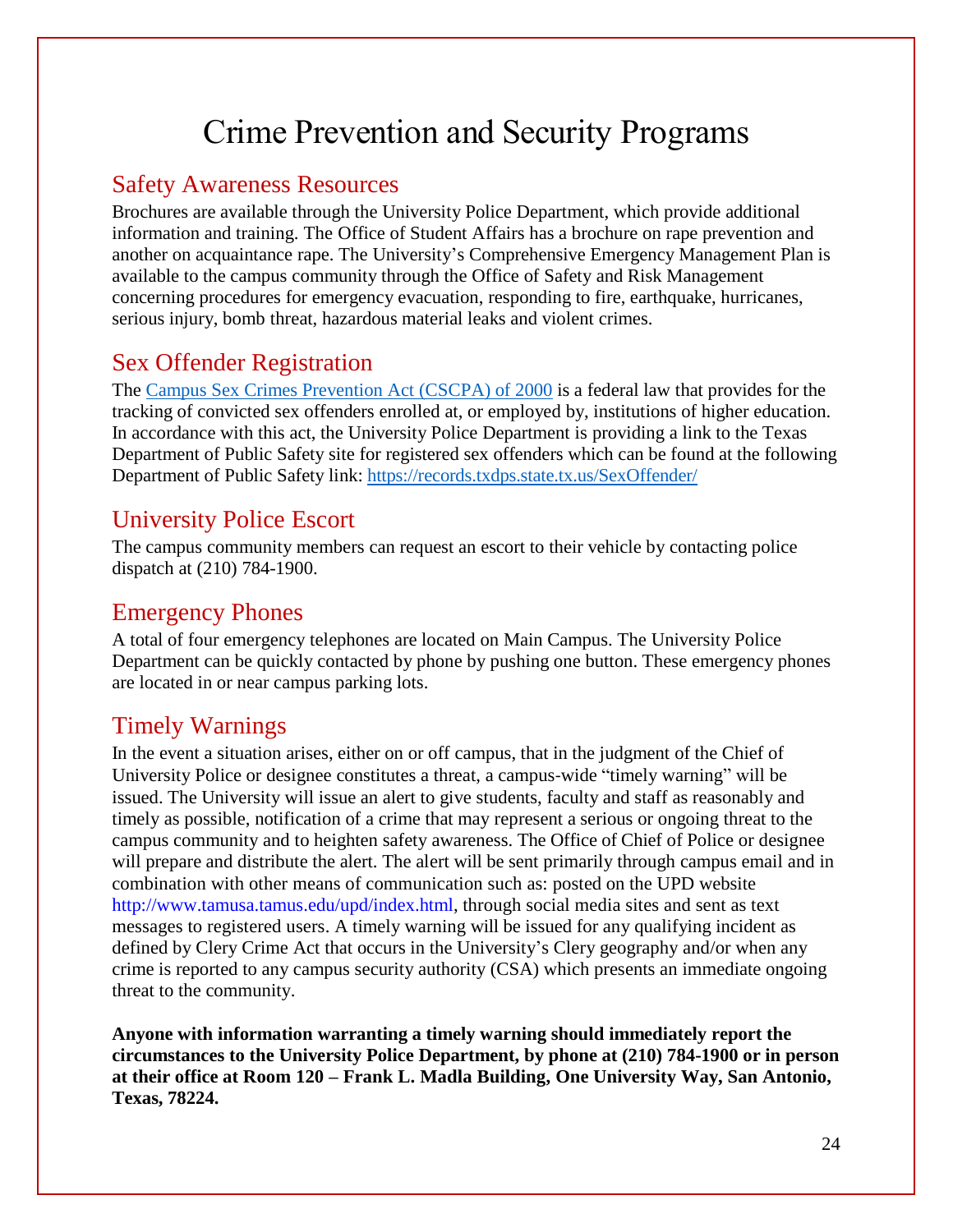## Crime Prevention and Security Programs

#### Safety Awareness Resources

Brochures are available through the University Police Department, which provide additional information and training. The Office of Student Affairs has a brochure on rape prevention and another on acquaintance rape. The University's Comprehensive Emergency Management Plan is available to the campus community through the Office of Safety and Risk Management concerning procedures for emergency evacuation, responding to fire, earthquake, hurricanes, serious injury, bomb threat, hazardous material leaks and violent crimes.

#### Sex Offender Registration

The [Campus Sex Crimes](http://www2.ed.gov/policy/gen/guid/fpco/hottopics/ht10-24-02.html) Prevention Act (CSCPA) of 2000 is a federal law that provides for the tracking of convicted sex offenders enrolled at, or employed by, institutions of higher education. In accordance with this act, the University Police Department is providing a link to the Texas Department of Public Safety site for registered sex offenders which can be found at the following Department of Public Safety link:<https://records.txdps.state.tx.us/SexOffender/>

#### University Police Escort

The campus community members can request an escort to their vehicle by contacting police dispatch at (210) 784-1900.

#### Emergency Phones

A total of four emergency telephones are located on Main Campus. The University Police Department can be quickly contacted by phone by pushing one button. These emergency phones are located in or near campus parking lots.

#### Timely Warnings

In the event a situation arises, either on or off campus, that in the judgment of the Chief of University Police or designee constitutes a threat, a campus‐wide "timely warning" will be issued. The University will issue an alert to give students, faculty and staff as reasonably and timely as possible, notification of a crime that may represent a serious or ongoing threat to the campus community and to heighten safety awareness. The Office of Chief of Police or designee will prepare and distribute the alert. The alert will be sent primarily through campus email and in combination with other means of communication such as: posted on the UPD website [http://www.tamusa.tamus.edu/upd/index.html,](http://www.tamusa.tamus.edu/upd/index.html) through social media sites and sent as text messages to registered users. A timely warning will be issued for any qualifying incident as defined by Clery Crime Act that occurs in the University's Clery geography and/or when any crime is reported to any campus security authority (CSA) which presents an immediate ongoing threat to the community.

**Anyone with information warranting a timely warning should immediately report the circumstances to the University Police Department, by phone at (210) 784-1900 or in person at their office at Room 120 – Frank L. Madla Building, One University Way, San Antonio, Texas, 78224.**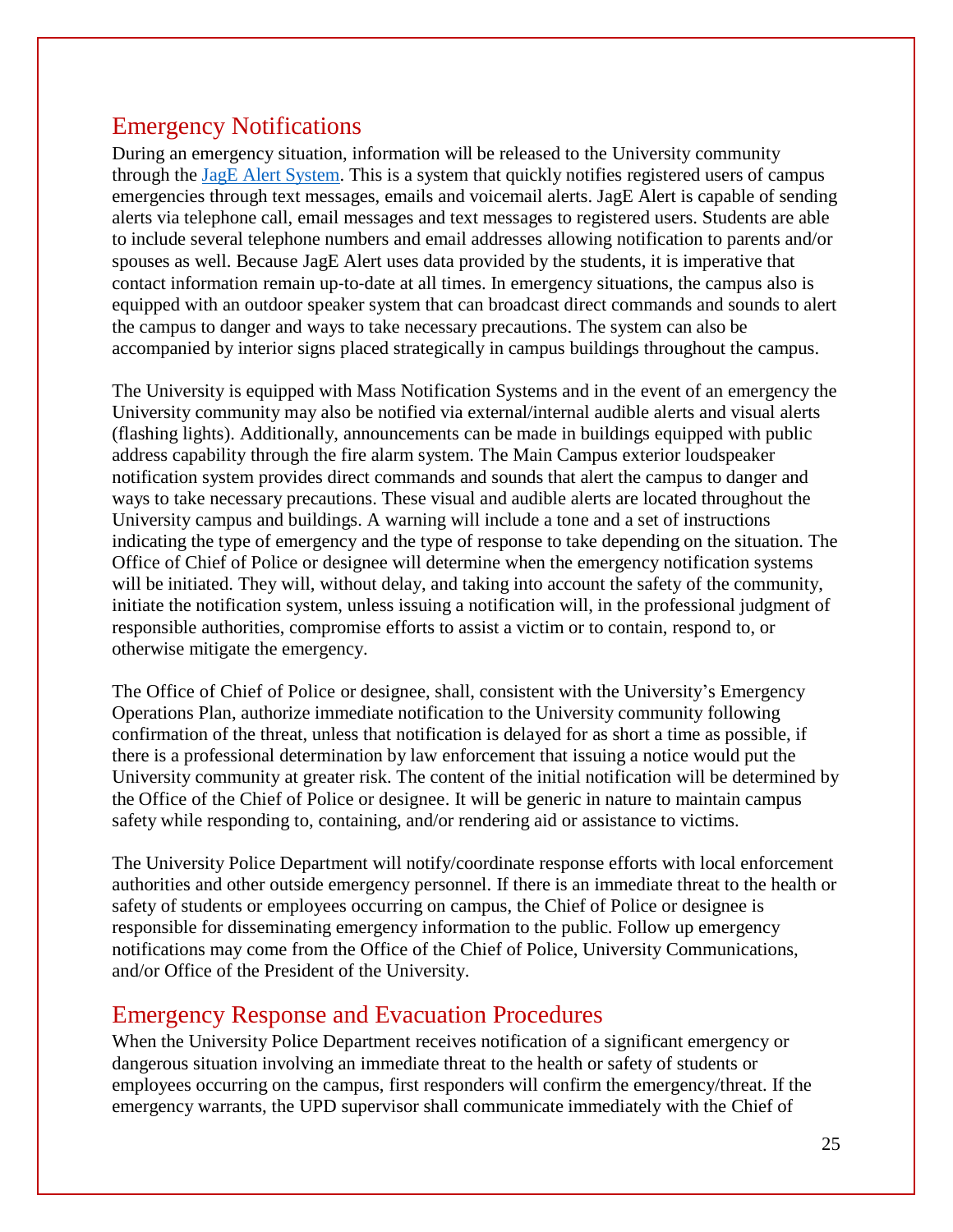#### Emergency Notifications

During an emergency situation, information will be released to the University community through the [JagE Alert System.](https://tamusa.bbcportal.com/) This is a system that quickly notifies registered users of campus emergencies through text messages, emails and voicemail alerts. JagE Alert is capable of sending alerts via telephone call, email messages and text messages to registered users. Students are able to include several telephone numbers and email addresses allowing notification to parents and/or spouses as well. Because JagE Alert uses data provided by the students, it is imperative that contact information remain up‐to‐date at all times. In emergency situations, the campus also is equipped with an outdoor speaker system that can broadcast direct commands and sounds to alert the campus to danger and ways to take necessary precautions. The system can also be accompanied by interior signs placed strategically in campus buildings throughout the campus.

The University is equipped with Mass Notification Systems and in the event of an emergency the University community may also be notified via external/internal audible alerts and visual alerts (flashing lights). Additionally, announcements can be made in buildings equipped with public address capability through the fire alarm system. The Main Campus exterior loudspeaker notification system provides direct commands and sounds that alert the campus to danger and ways to take necessary precautions. These visual and audible alerts are located throughout the University campus and buildings. A warning will include a tone and a set of instructions indicating the type of emergency and the type of response to take depending on the situation. The Office of Chief of Police or designee will determine when the emergency notification systems will be initiated. They will, without delay, and taking into account the safety of the community, initiate the notification system, unless issuing a notification will, in the professional judgment of responsible authorities, compromise efforts to assist a victim or to contain, respond to, or otherwise mitigate the emergency.

The Office of Chief of Police or designee, shall, consistent with the University's Emergency Operations Plan, authorize immediate notification to the University community following confirmation of the threat, unless that notification is delayed for as short a time as possible, if there is a professional determination by law enforcement that issuing a notice would put the University community at greater risk. The content of the initial notification will be determined by the Office of the Chief of Police or designee. It will be generic in nature to maintain campus safety while responding to, containing, and/or rendering aid or assistance to victims.

The University Police Department will notify/coordinate response efforts with local enforcement authorities and other outside emergency personnel. If there is an immediate threat to the health or safety of students or employees occurring on campus, the Chief of Police or designee is responsible for disseminating emergency information to the public. Follow up emergency notifications may come from the Office of the Chief of Police, University Communications, and/or Office of the President of the University.

#### Emergency Response and Evacuation Procedures

When the University Police Department receives notification of a significant emergency or dangerous situation involving an immediate threat to the health or safety of students or employees occurring on the campus, first responders will confirm the emergency/threat. If the emergency warrants, the UPD supervisor shall communicate immediately with the Chief of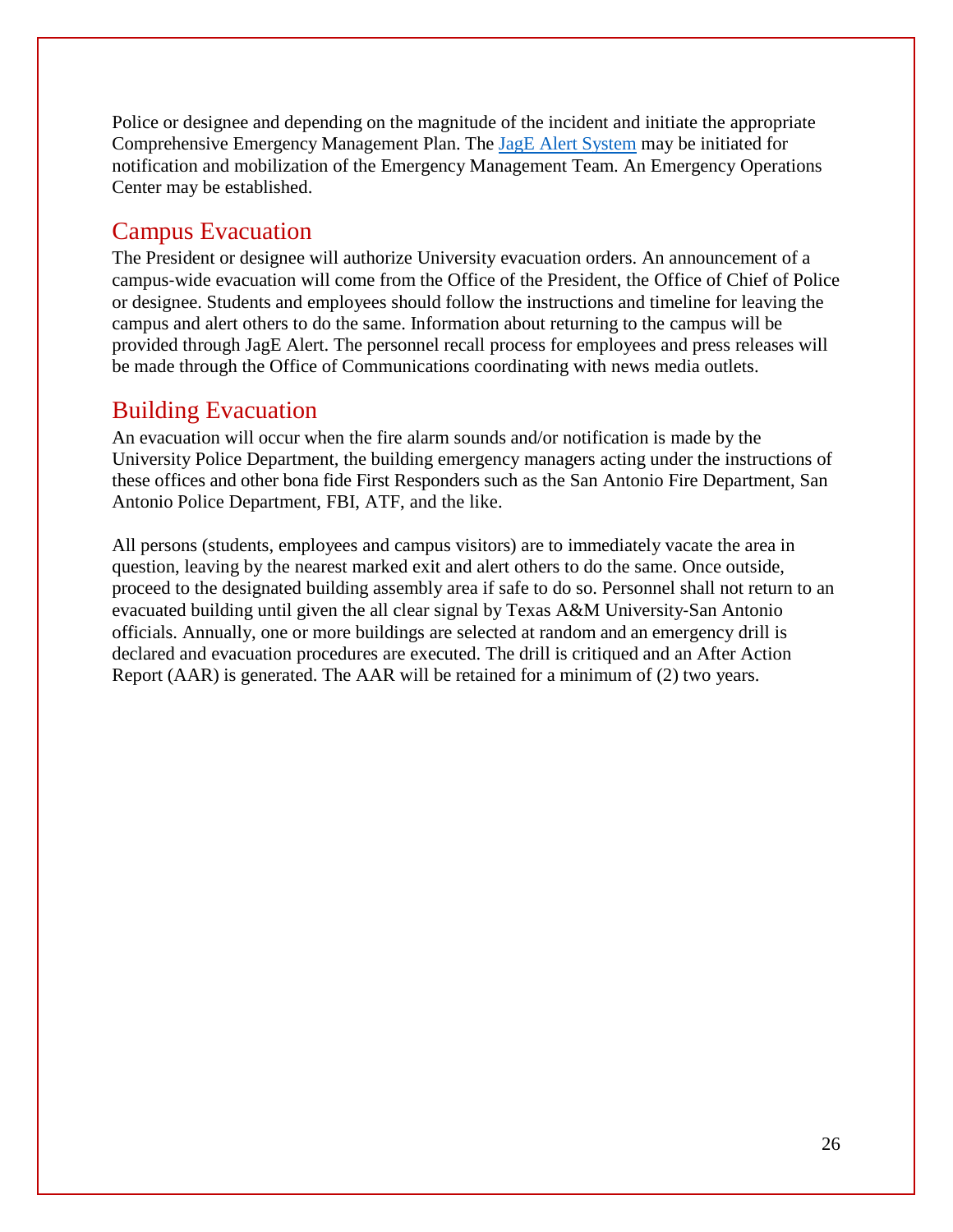Police or designee and depending on the magnitude of the incident and initiate the appropriate Comprehensive Emergency Management Plan. The [JagE Alert System](https://tamusa.bbcportal.com/) may be initiated for notification and mobilization of the Emergency Management Team. An Emergency Operations Center may be established.

#### Campus Evacuation

The President or designee will authorize University evacuation orders. An announcement of a campus‐wide evacuation will come from the Office of the President, the Office of Chief of Police or designee. Students and employees should follow the instructions and timeline for leaving the campus and alert others to do the same. Information about returning to the campus will be provided through JagE Alert. The personnel recall process for employees and press releases will be made through the Office of Communications coordinating with news media outlets.

#### Building Evacuation

An evacuation will occur when the fire alarm sounds and/or notification is made by the University Police Department, the building emergency managers acting under the instructions of these offices and other bona fide First Responders such as the San Antonio Fire Department, San Antonio Police Department, FBI, ATF, and the like.

All persons (students, employees and campus visitors) are to immediately vacate the area in question, leaving by the nearest marked exit and alert others to do the same. Once outside, proceed to the designated building assembly area if safe to do so. Personnel shall not return to an evacuated building until given the all clear signal by Texas A&M University‐San Antonio officials. Annually, one or more buildings are selected at random and an emergency drill is declared and evacuation procedures are executed. The drill is critiqued and an After Action Report (AAR) is generated. The AAR will be retained for a minimum of (2) two years.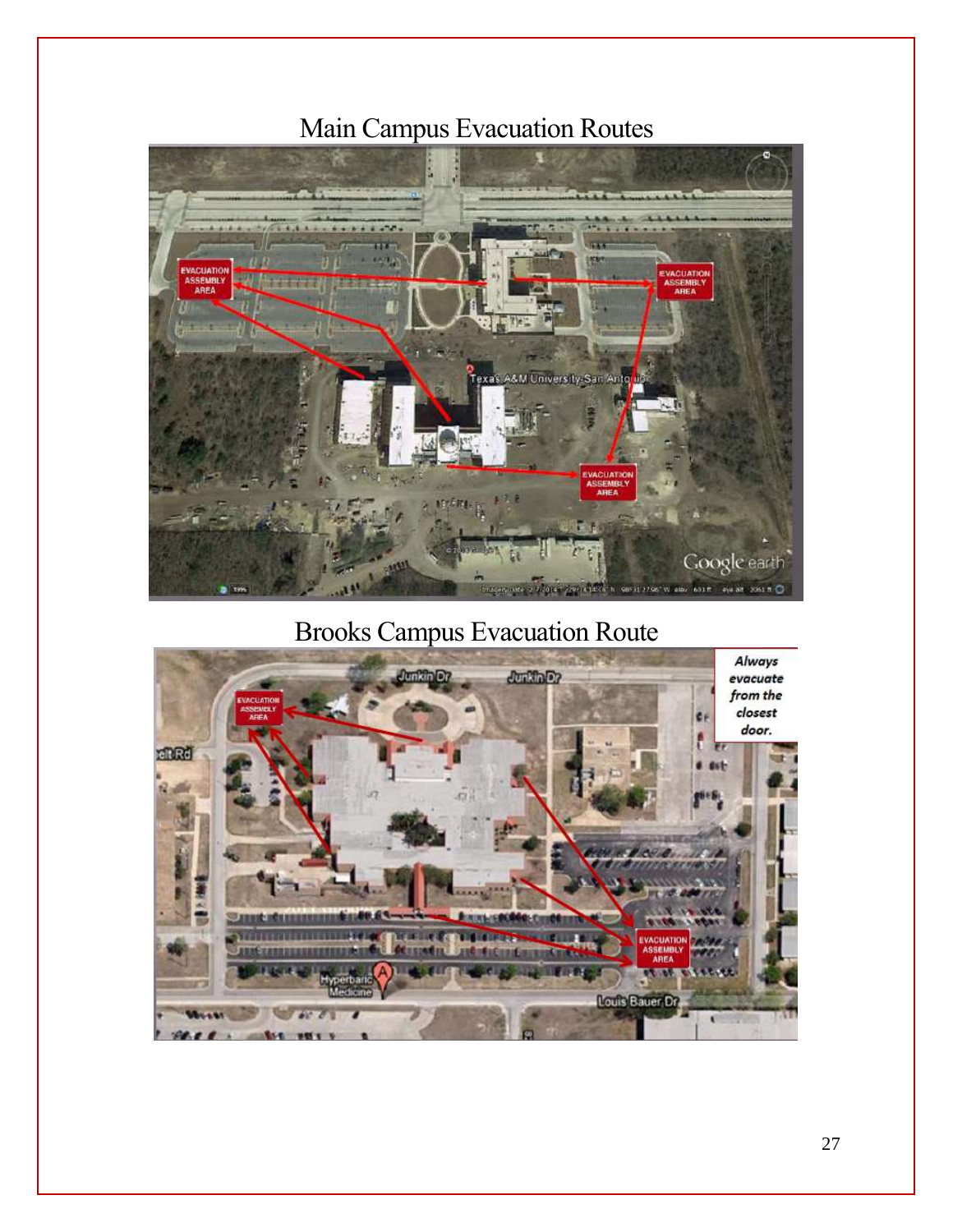## Main Campus Evacuation Routes



Brooks Campus Evacuation Route

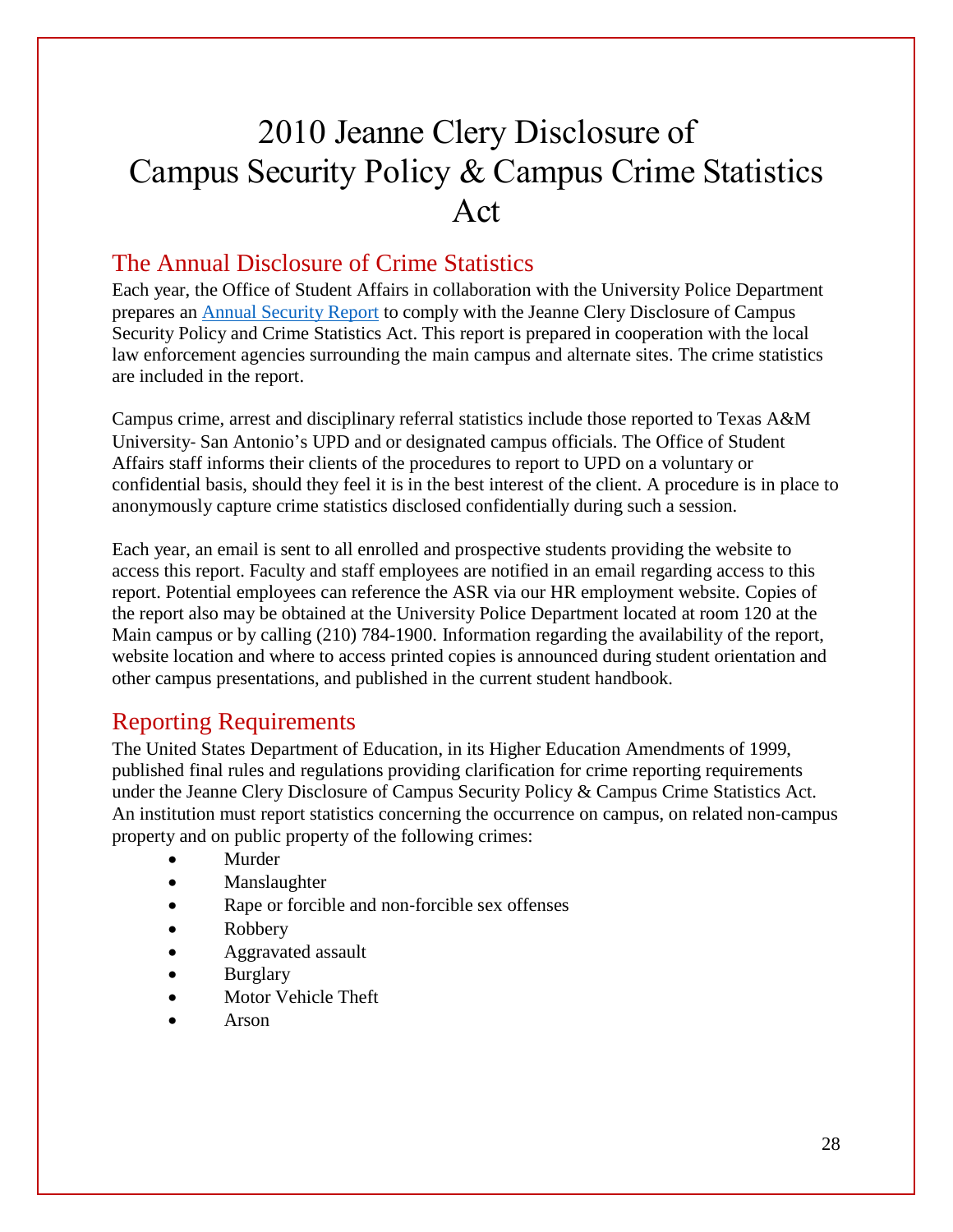## 2010 Jeanne Clery Disclosure of Campus Security Policy & Campus Crime Statistics Act

#### The Annual Disclosure of Crime Statistics

Each year, the Office of Student Affairs in collaboration with the University Police Department prepares an Annual [Security](http://www.tamusa.tamus.edu/uploadFile/folders/mbarrera/Pdf/Pdf-634998833251422695-10.100.20.116.pdf) Report to comply with the Jeanne Clery Disclosure of Campus Security Policy and Crime Statistics Act. This report is prepared in cooperation with the local law enforcement agencies surrounding the main campus and alternate sites. The crime statistics are included in the report.

Campus crime, arrest and disciplinary referral statistics include those reported to Texas A&M University‐ San Antonio's UPD and or designated campus officials. The Office of Student Affairs staff informs their clients of the procedures to report to UPD on a voluntary or confidential basis, should they feel it is in the best interest of the client. A procedure is in place to anonymously capture crime statistics disclosed confidentially during such a session.

Each year, an email is sent to all enrolled and prospective students providing the website to access this report. Faculty and staff employees are notified in an email regarding access to this report. Potential employees can reference the ASR via our HR employment website. Copies of the report also may be obtained at the University Police Department located at room 120 at the Main campus or by calling (210) 784-1900. Information regarding the availability of the report, website location and where to access printed copies is announced during student orientation and other campus presentations, and published in the current student handbook.

#### Reporting Requirements

The United States Department of Education, in its Higher Education Amendments of 1999, published final rules and regulations providing clarification for crime reporting requirements under the Jeanne Clery Disclosure of Campus Security Policy & Campus Crime Statistics Act. An institution must report statistics concerning the occurrence on campus, on related non‐campus property and on public property of the following crimes:

- Murder
- Manslaughter
- Rape or forcible and non‐forcible sex offenses
- Robbery
- Aggravated assault
- Burglary
- Motor Vehicle Theft
- Arson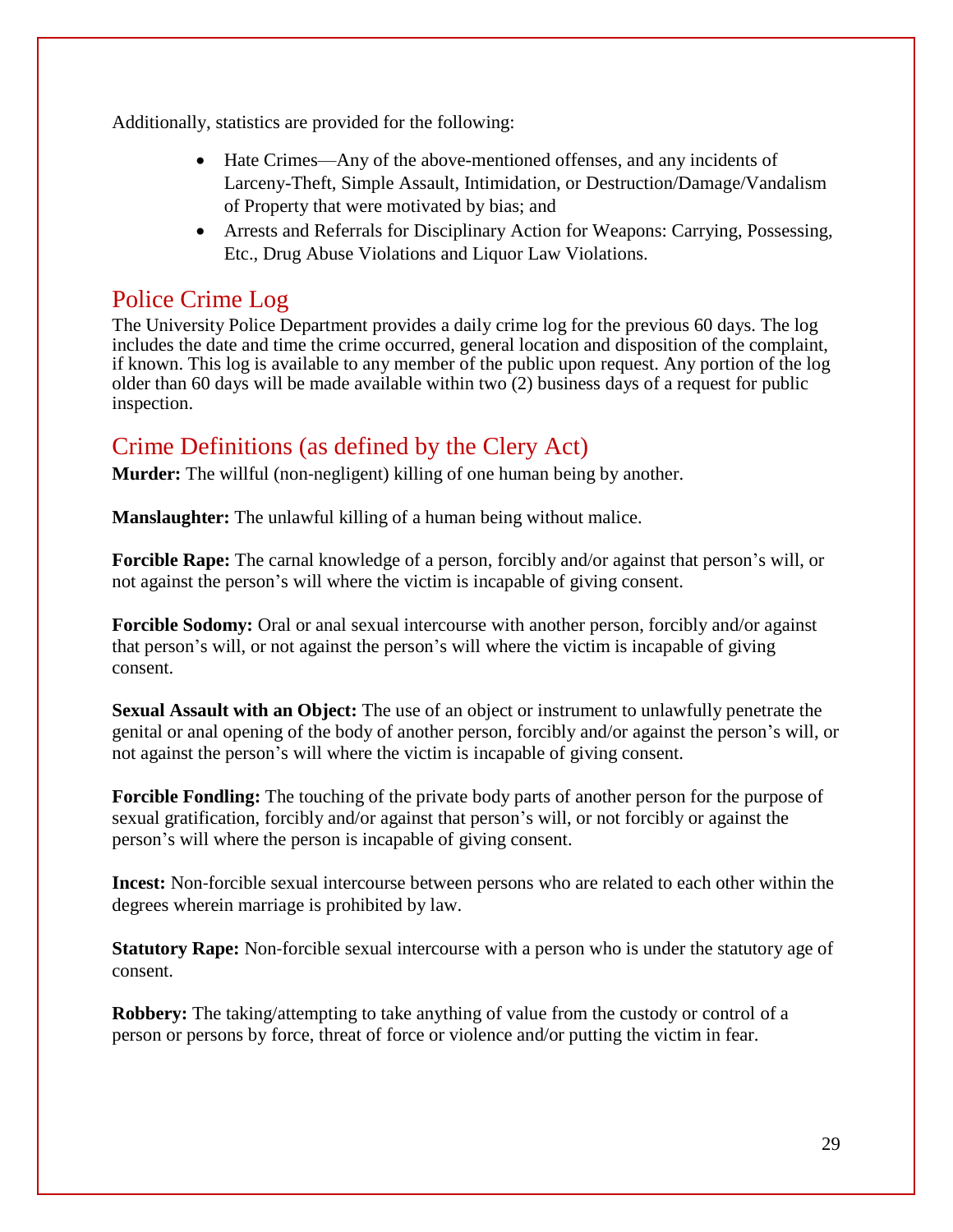Additionally, statistics are provided for the following:

- Hate Crimes—Any of the above-mentioned offenses, and any incidents of Larceny-Theft, Simple Assault, Intimidation, or Destruction/Damage/Vandalism of Property that were motivated by bias; and
- Arrests and Referrals for Disciplinary Action for Weapons: Carrying, Possessing, Etc., Drug Abuse Violations and Liquor Law Violations.

#### Police Crime Log

The University Police Department provides a daily crime log for the previous 60 days. The log includes the date and time the crime occurred, general location and disposition of the complaint, if known. This log is available to any member of the public upon request. Any portion of the log older than 60 days will be made available within two (2) business days of a request for public inspection.

#### Crime Definitions (as defined by the Clery Act)

**Murder:** The willful (non-negligent) killing of one human being by another.

**Manslaughter:** The unlawful killing of a human being without malice.

**Forcible Rape:** The carnal knowledge of a person, forcibly and/or against that person's will, or not against the person's will where the victim is incapable of giving consent.

**Forcible Sodomy:** Oral or anal sexual intercourse with another person, forcibly and/or against that person's will, or not against the person's will where the victim is incapable of giving consent.

**Sexual Assault with an Object:** The use of an object or instrument to unlawfully penetrate the genital or anal opening of the body of another person, forcibly and/or against the person's will, or not against the person's will where the victim is incapable of giving consent.

**Forcible Fondling:** The touching of the private body parts of another person for the purpose of sexual gratification, forcibly and/or against that person's will, or not forcibly or against the person's will where the person is incapable of giving consent.

**Incest:** Non-forcible sexual intercourse between persons who are related to each other within the degrees wherein marriage is prohibited by law.

**Statutory Rape:** Non-forcible sexual intercourse with a person who is under the statutory age of consent.

**Robbery:** The taking/attempting to take anything of value from the custody or control of a person or persons by force, threat of force or violence and/or putting the victim in fear.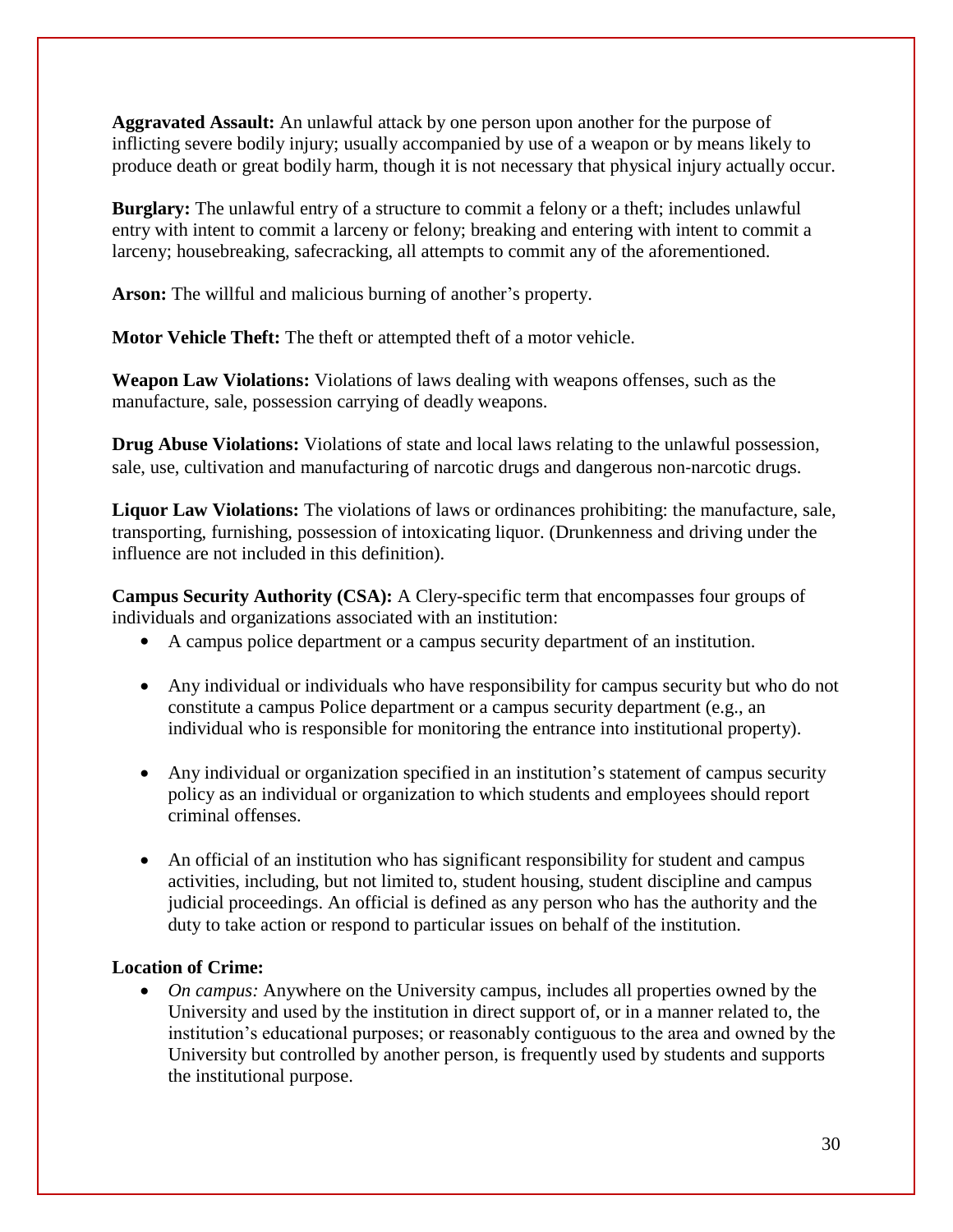**Aggravated Assault:** An unlawful attack by one person upon another for the purpose of inflicting severe bodily injury; usually accompanied by use of a weapon or by means likely to produce death or great bodily harm, though it is not necessary that physical injury actually occur.

**Burglary:** The unlawful entry of a structure to commit a felony or a theft; includes unlawful entry with intent to commit a larceny or felony; breaking and entering with intent to commit a larceny; housebreaking, safecracking, all attempts to commit any of the aforementioned.

**Arson:** The willful and malicious burning of another's property.

**Motor Vehicle Theft:** The theft or attempted theft of a motor vehicle.

**Weapon Law Violations:** Violations of laws dealing with weapons offenses, such as the manufacture, sale, possession carrying of deadly weapons.

**Drug Abuse Violations:** Violations of state and local laws relating to the unlawful possession, sale, use, cultivation and manufacturing of narcotic drugs and dangerous non-narcotic drugs.

**Liquor Law Violations:** The violations of laws or ordinances prohibiting: the manufacture, sale, transporting, furnishing, possession of intoxicating liquor. (Drunkenness and driving under the influence are not included in this definition).

**Campus Security Authority (CSA):** A Clery-specific term that encompasses four groups of individuals and organizations associated with an institution:

- A campus police department or a campus security department of an institution.
- Any individual or individuals who have responsibility for campus security but who do not constitute a campus Police department or a campus security department (e.g., an individual who is responsible for monitoring the entrance into institutional property).
- Any individual or organization specified in an institution's statement of campus security policy as an individual or organization to which students and employees should report criminal offenses.
- An official of an institution who has significant responsibility for student and campus activities, including, but not limited to, student housing, student discipline and campus judicial proceedings. An official is defined as any person who has the authority and the duty to take action or respond to particular issues on behalf of the institution.

#### **Location of Crime:**

 *On campus:* Anywhere on the University campus, includes all properties owned by the University and used by the institution in direct support of, or in a manner related to, the institution's educational purposes; or reasonably contiguous to the area and owned by the University but controlled by another person, is frequently used by students and supports the institutional purpose.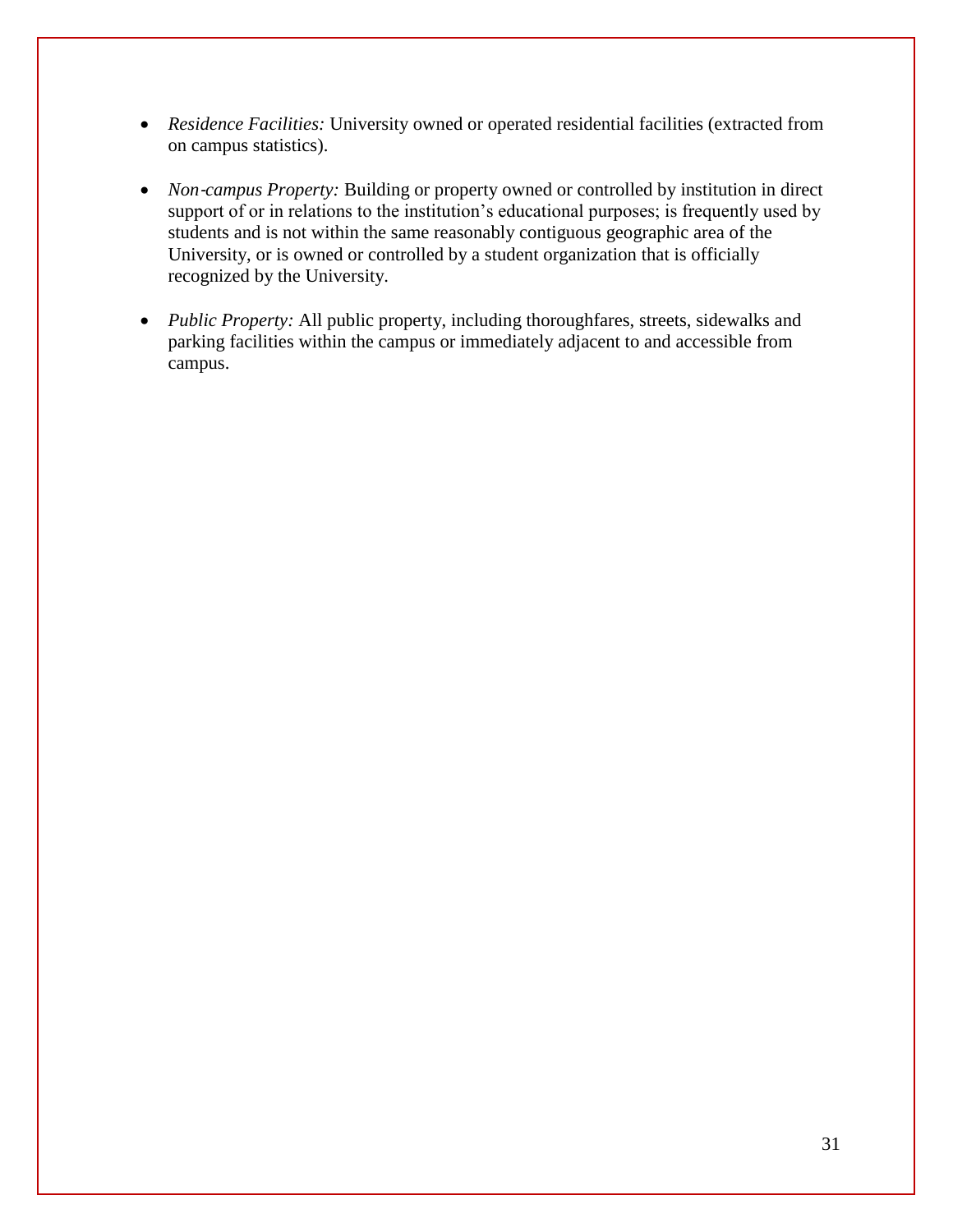- *Residence Facilities:* University owned or operated residential facilities (extracted from on campus statistics).
- *Non-campus Property:* Building or property owned or controlled by institution in direct support of or in relations to the institution's educational purposes; is frequently used by students and is not within the same reasonably contiguous geographic area of the University, or is owned or controlled by a student organization that is officially recognized by the University.
- *Public Property:* All public property, including thoroughfares, streets, sidewalks and parking facilities within the campus or immediately adjacent to and accessible from campus.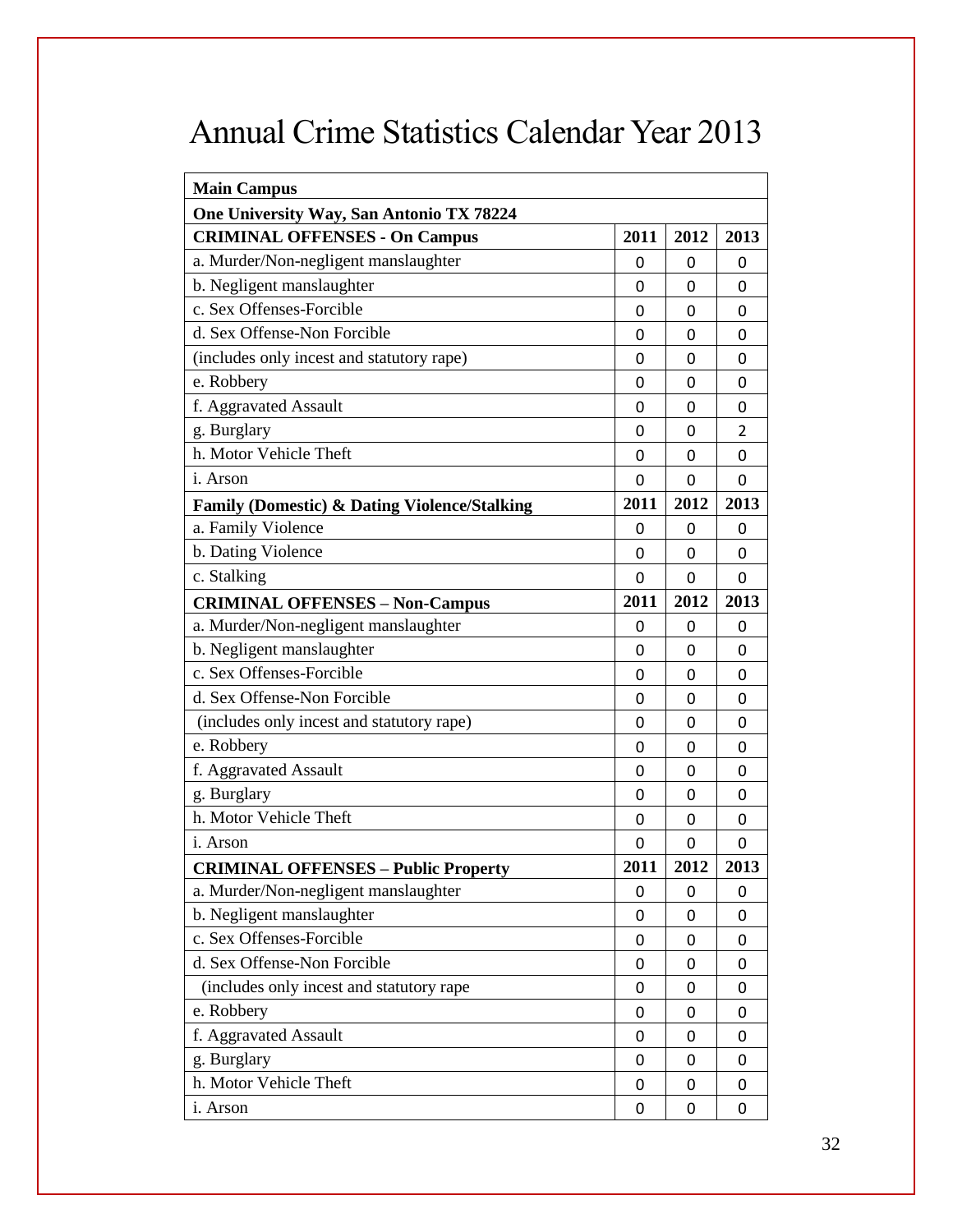## Annual Crime Statistics Calendar Year 2013

| <b>Main Campus</b>                                      |      |          |                |
|---------------------------------------------------------|------|----------|----------------|
| One University Way, San Antonio TX 78224                |      |          |                |
| <b>CRIMINAL OFFENSES - On Campus</b>                    | 2011 | 2012     | 2013           |
| a. Murder/Non-negligent manslaughter                    | 0    | 0        | 0              |
| b. Negligent manslaughter                               | 0    | 0        | 0              |
| c. Sex Offenses-Forcible                                | 0    | 0        | 0              |
| d. Sex Offense-Non Forcible                             | 0    | 0        | 0              |
| (includes only incest and statutory rape)               | 0    | 0        | 0              |
| e. Robbery                                              | 0    | 0        | 0              |
| f. Aggravated Assault                                   | 0    | 0        | 0              |
| g. Burglary                                             | 0    | 0        | $\overline{2}$ |
| h. Motor Vehicle Theft                                  | 0    | 0        | 0              |
| <i>i</i> . Arson                                        | 0    | $\Omega$ | 0              |
| <b>Family (Domestic) &amp; Dating Violence/Stalking</b> | 2011 | 2012     | 2013           |
| a. Family Violence                                      | 0    | 0        | 0              |
| b. Dating Violence                                      | 0    | 0        | $\mathbf{0}$   |
| c. Stalking                                             | 0    | $\Omega$ | 0              |
| <b>CRIMINAL OFFENSES - Non-Campus</b>                   | 2011 | 2012     | 2013           |
| a. Murder/Non-negligent manslaughter                    | 0    | 0        | 0              |
| b. Negligent manslaughter                               | 0    | 0        | 0              |
| c. Sex Offenses-Forcible                                | 0    | 0        | 0              |
| d. Sex Offense-Non Forcible                             | 0    | 0        | 0              |
| (includes only incest and statutory rape)               | 0    | 0        | 0              |
| e. Robbery                                              | 0    | 0        | 0              |
| f. Aggravated Assault                                   | 0    | 0        | 0              |
| g. Burglary                                             | 0    | 0        | 0              |
| h. Motor Vehicle Theft                                  | 0    | 0        | 0              |
| <i>i</i> . Arson                                        | 0    | 0        | $\mathbf{0}$   |
| <b>CRIMINAL OFFENSES - Public Property</b>              | 2011 | 2012     | 2013           |
| a. Murder/Non-negligent manslaughter                    | 0    | 0        | 0              |
| b. Negligent manslaughter                               | 0    | 0        | 0              |
| c. Sex Offenses-Forcible                                | 0    | 0        | 0              |
| d. Sex Offense-Non Forcible                             | 0    | 0        | 0              |
| (includes only incest and statutory rape                | 0    | 0        | 0              |
| e. Robbery                                              | 0    | 0        | 0              |
| f. Aggravated Assault                                   | 0    | 0        | 0              |
| g. Burglary                                             | 0    | 0        | 0              |
| h. Motor Vehicle Theft                                  | 0    | 0        | 0              |
| i. Arson                                                | 0    | 0        | 0              |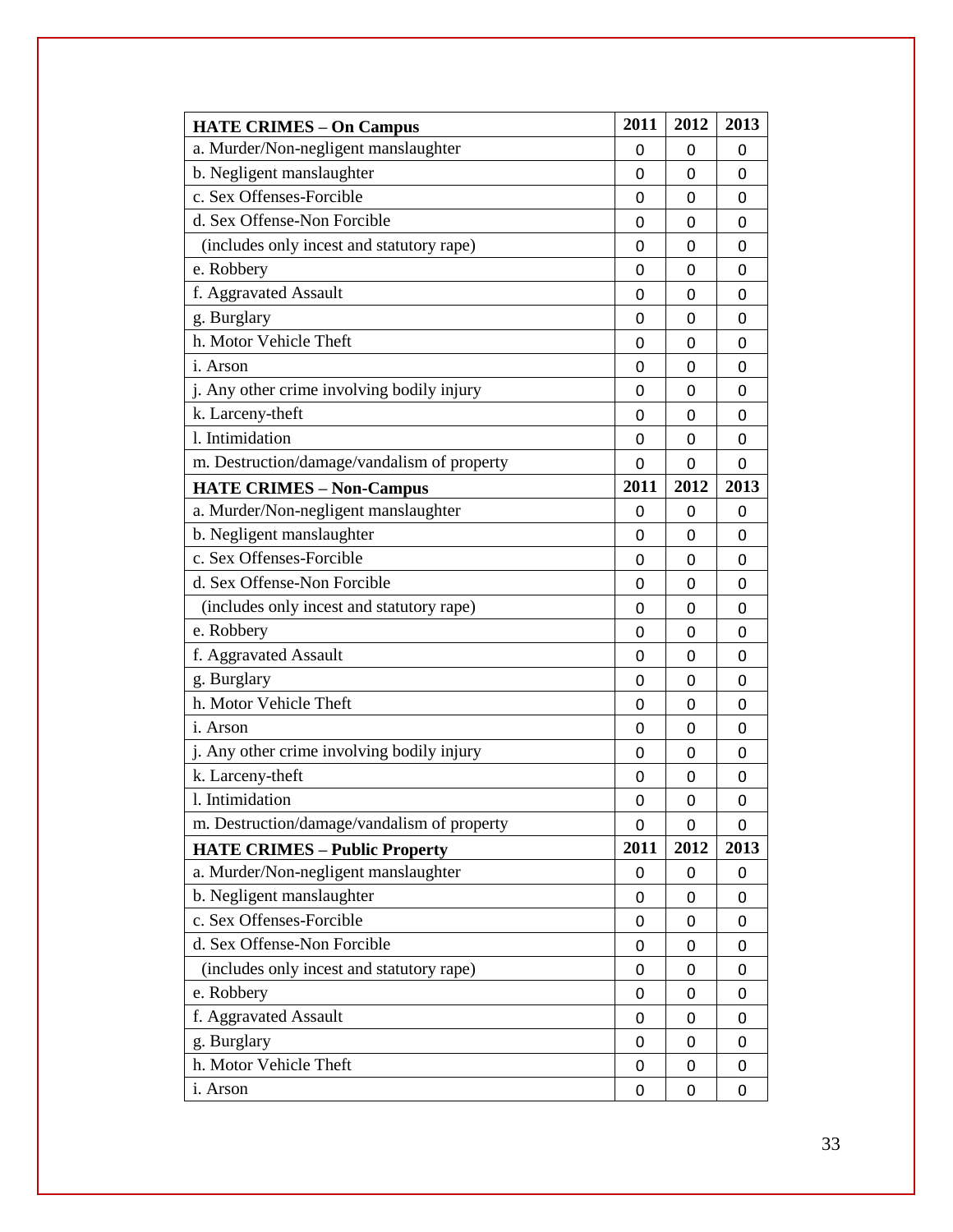| <b>HATE CRIMES - On Campus</b>              | 2011         | 2012     | 2013         |
|---------------------------------------------|--------------|----------|--------------|
| a. Murder/Non-negligent manslaughter        | 0            | 0        | 0            |
| b. Negligent manslaughter                   | 0            | 0        | 0            |
| c. Sex Offenses-Forcible                    | 0            | 0        | 0            |
| d. Sex Offense-Non Forcible                 | 0            | 0        | 0            |
| (includes only incest and statutory rape)   | 0            | 0        | 0            |
| e. Robbery                                  | 0            | 0        | 0            |
| f. Aggravated Assault                       | 0            | 0        | 0            |
| g. Burglary                                 | 0            | 0        | 0            |
| h. Motor Vehicle Theft                      | 0            | 0        | 0            |
| <i>i</i> . Arson                            | 0            | 0        | 0            |
| j. Any other crime involving bodily injury  | 0            | 0        | 0            |
| k. Larceny-theft                            | 0            | 0        | $\mathbf{0}$ |
| 1. Intimidation                             | 0            | 0        | 0            |
| m. Destruction/damage/vandalism of property | $\mathbf{0}$ | $\Omega$ | 0            |
| <b>HATE CRIMES - Non-Campus</b>             | 2011         | 2012     | 2013         |
| a. Murder/Non-negligent manslaughter        | 0            | 0        | 0            |
| b. Negligent manslaughter                   | 0            | 0        | 0            |
| c. Sex Offenses-Forcible                    | 0            | 0        | 0            |
| d. Sex Offense-Non Forcible                 | 0            | 0        | 0            |
| (includes only incest and statutory rape)   | 0            | 0        | 0            |
| e. Robbery                                  | 0            | 0        | 0            |
| f. Aggravated Assault                       | 0            | 0        | 0            |
| g. Burglary                                 | 0            | 0        | 0            |
| h. Motor Vehicle Theft                      | 0            | 0        | 0            |
| <i>i</i> . Arson                            | 0            | 0        | 0            |
| j. Any other crime involving bodily injury  | 0            | 0        | 0            |
| k. Larceny-theft                            | 0            | 0        | 0            |
| 1. Intimidation                             | 0            | 0        | 0            |
| m. Destruction/damage/vandalism of property | 0            | 0        | 0            |
| <b>HATE CRIMES - Public Property</b>        | 2011         | 2012     | 2013         |
| a. Murder/Non-negligent manslaughter        | 0            | 0        | 0            |
| b. Negligent manslaughter                   | 0            | 0        | 0            |
| c. Sex Offenses-Forcible                    | 0            | 0        | 0            |
| d. Sex Offense-Non Forcible                 | 0            | 0        | 0            |
| (includes only incest and statutory rape)   | 0            | 0        | 0            |
| e. Robbery                                  | 0            | 0        | 0            |
| f. Aggravated Assault                       | 0            | 0        | 0            |
| g. Burglary                                 | 0            | 0        | 0            |
| h. Motor Vehicle Theft                      | 0            | 0        | 0            |
| i. Arson                                    | 0            | 0        | 0            |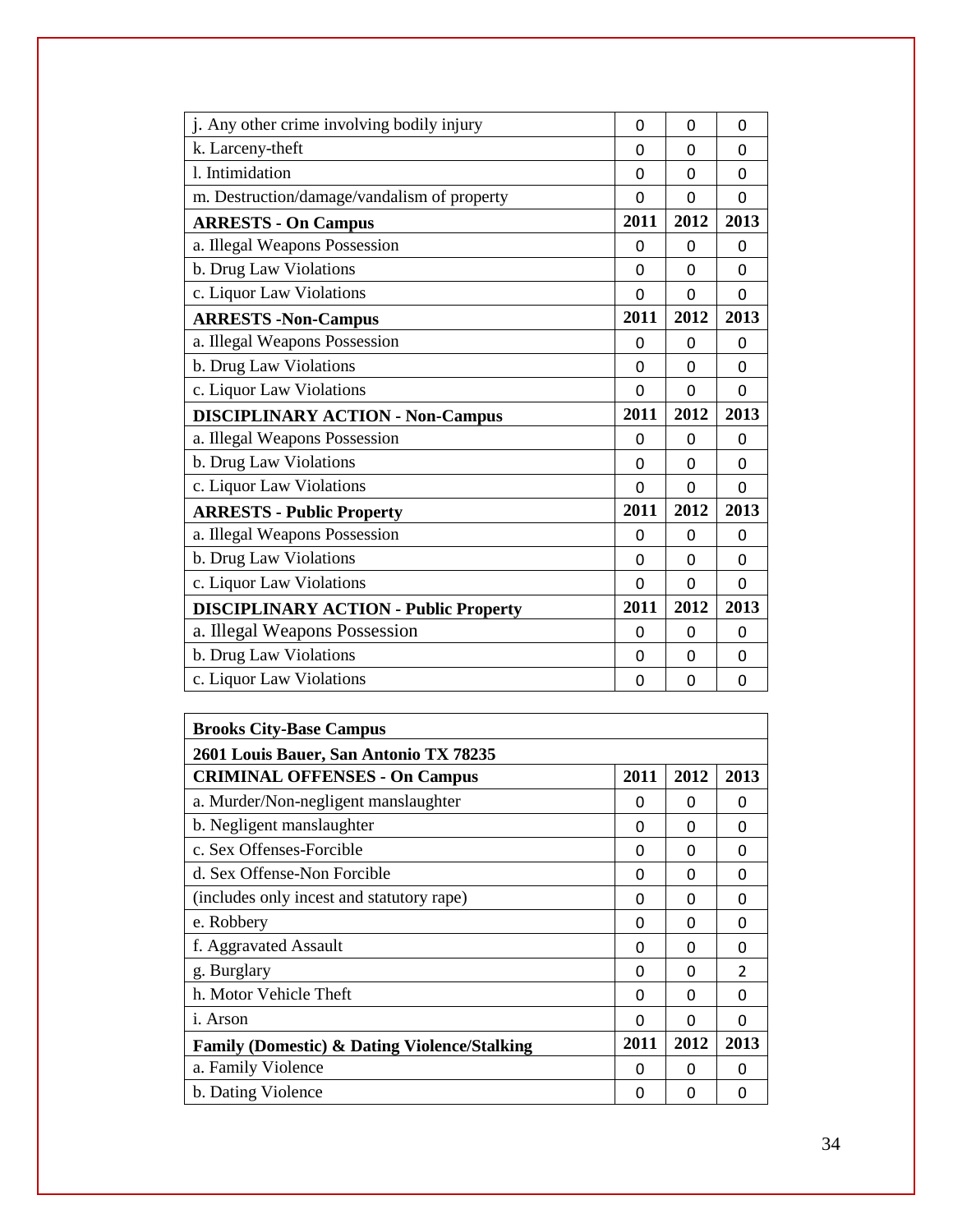| j. Any other crime involving bodily injury   | 0            | 0        | 0        |
|----------------------------------------------|--------------|----------|----------|
| k. Larceny-theft                             | 0            | $\Omega$ | $\Omega$ |
| 1. Intimidation                              | $\Omega$     | $\Omega$ | $\Omega$ |
| m. Destruction/damage/vandalism of property  | 0            | $\Omega$ | $\Omega$ |
| <b>ARRESTS - On Campus</b>                   | 2011         | 2012     | 2013     |
| a. Illegal Weapons Possession                | 0            | 0        | 0        |
| b. Drug Law Violations                       | $\Omega$     | $\Omega$ | $\Omega$ |
| c. Liquor Law Violations                     | $\Omega$     | $\Omega$ | $\Omega$ |
| <b>ARRESTS</b> - Non-Campus                  | 2011         | 2012     | 2013     |
| a. Illegal Weapons Possession                | $\Omega$     | 0        | 0        |
| b. Drug Law Violations                       | 0            | 0        | $\Omega$ |
| c. Liquor Law Violations                     | 0            | $\Omega$ | 0        |
| <b>DISCIPLINARY ACTION - Non-Campus</b>      | 2011         | 2012     | 2013     |
| a. Illegal Weapons Possession                | $\mathbf{0}$ | 0        | $\Omega$ |
| b. Drug Law Violations                       | 0            | 0        | 0        |
| c. Liquor Law Violations                     | 0            | 0        | $\Omega$ |
|                                              |              |          |          |
| <b>ARRESTS - Public Property</b>             | 2011         | 2012     | 2013     |
| a. Illegal Weapons Possession                | $\Omega$     | $\Omega$ | $\Omega$ |
| b. Drug Law Violations                       | $\Omega$     | $\Omega$ | 0        |
| c. Liquor Law Violations                     | 0            | $\Omega$ | $\Omega$ |
| <b>DISCIPLINARY ACTION - Public Property</b> | 2011         | 2012     | 2013     |
| a. Illegal Weapons Possession                | 0            | $\Omega$ | 0        |
| b. Drug Law Violations                       | 0            | 0        | 0        |

| <b>Brooks City-Base Campus</b>                          |      |      |               |
|---------------------------------------------------------|------|------|---------------|
| 2601 Louis Bauer, San Antonio TX 78235                  |      |      |               |
| <b>CRIMINAL OFFENSES - On Campus</b>                    | 2011 | 2012 | 2013          |
| a. Murder/Non-negligent manslaughter                    | 0    | 0    | 0             |
| b. Negligent manslaughter                               | 0    | O    | 0             |
| c. Sex Offenses-Forcible                                | 0    | 0    | 0             |
| d. Sex Offense-Non Forcible                             | 0    | O    | O             |
| (includes only incest and statutory rape)               | 0    | 0    | 0             |
| e. Robbery                                              | 0    | O    | O             |
| f. Aggravated Assault                                   | 0    | O    | O             |
| g. Burglary                                             | 0    | 0    | $\mathcal{P}$ |
| h. Motor Vehicle Theft                                  | 0    | O    | 0             |
| i. Arson                                                | O    | O    | 0             |
| <b>Family (Domestic) &amp; Dating Violence/Stalking</b> | 2011 | 2012 | 2013          |
| a. Family Violence                                      | 0    | O    | 0             |
| b. Dating Violence                                      | 0    | O    | 0             |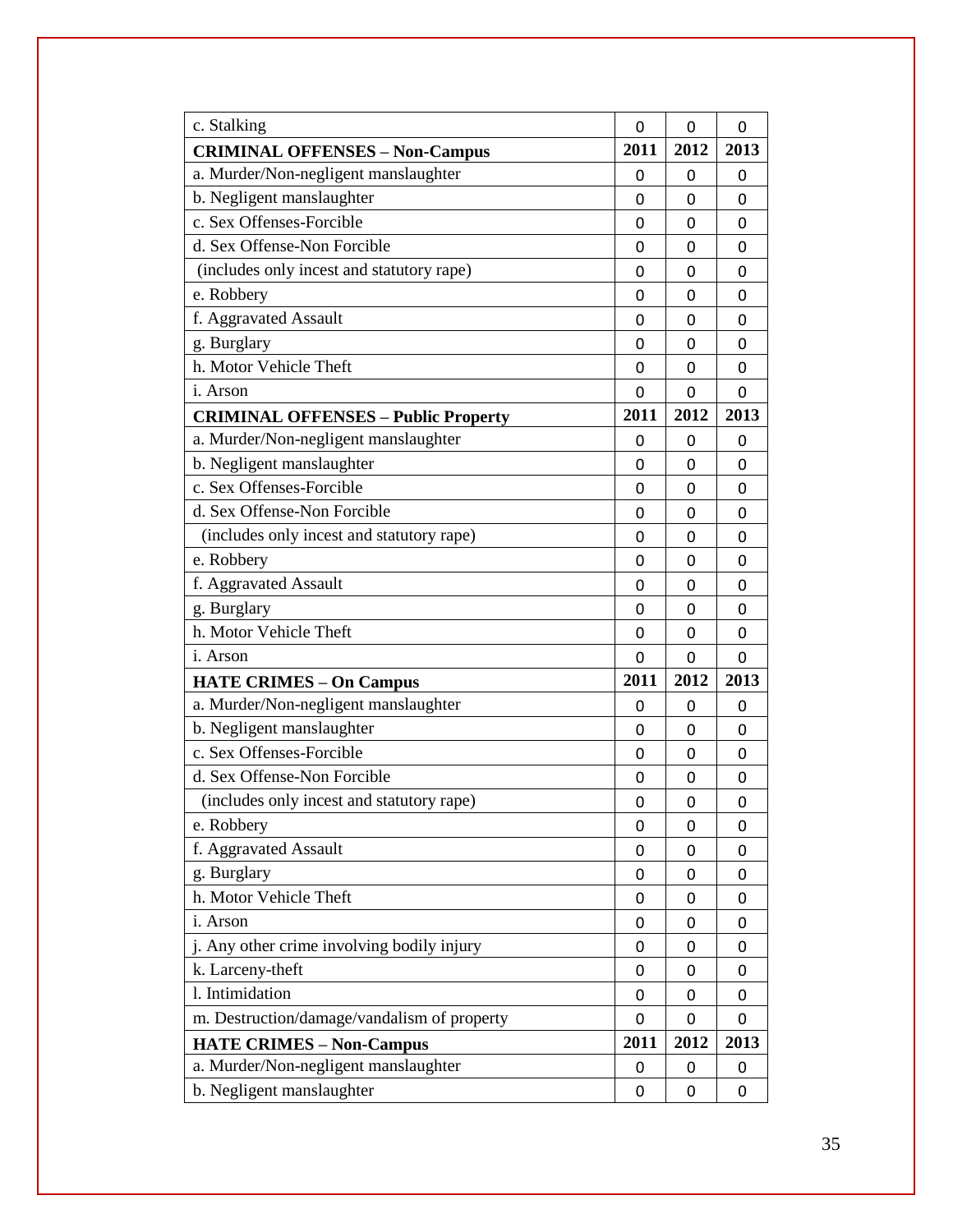| c. Stalking                                 | 0    | 0        | 0            |
|---------------------------------------------|------|----------|--------------|
| <b>CRIMINAL OFFENSES - Non-Campus</b>       | 2011 | 2012     | 2013         |
| a. Murder/Non-negligent manslaughter        | 0    | 0        | 0            |
| b. Negligent manslaughter                   | 0    | 0        | 0            |
| c. Sex Offenses-Forcible                    | 0    | 0        | 0            |
| d. Sex Offense-Non Forcible                 | 0    | 0        | 0            |
| (includes only incest and statutory rape)   | 0    | 0        | 0            |
| e. Robbery                                  | 0    | 0        | 0            |
| f. Aggravated Assault                       | 0    | 0        | $\mathbf{0}$ |
| g. Burglary                                 | 0    | 0        | 0            |
| h. Motor Vehicle Theft                      | 0    | 0        | 0            |
| <i>i</i> . Arson                            | 0    | $\Omega$ | 0            |
| <b>CRIMINAL OFFENSES - Public Property</b>  | 2011 | 2012     | 2013         |
| a. Murder/Non-negligent manslaughter        | 0    | 0        | 0            |
| b. Negligent manslaughter                   | 0    | 0        | 0            |
| c. Sex Offenses-Forcible                    | 0    | 0        | 0            |
| d. Sex Offense-Non Forcible                 | 0    | 0        | 0            |
| (includes only incest and statutory rape)   | 0    | 0        | 0            |
| e. Robbery                                  | 0    | 0        | 0            |
| f. Aggravated Assault                       | 0    | 0        | 0            |
| g. Burglary                                 | 0    | 0        | $\mathbf{0}$ |
| h. Motor Vehicle Theft                      | 0    | 0        | 0            |
| <i>i</i> . Arson                            | 0    | 0        | 0            |
| <b>HATE CRIMES - On Campus</b>              | 2011 | 2012     | 2013         |
| a. Murder/Non-negligent manslaughter        | 0    | 0        | 0            |
| b. Negligent manslaughter                   | 0    | 0        | 0            |
| c. Sex Offenses-Forcible                    | 0    | 0        | 0            |
| d. Sex Offense-Non Forcible                 | 0    | 0        | 0            |
| (includes only incest and statutory rape)   | 0    | 0        | 0            |
| e. Robbery                                  | 0    | 0        | 0            |
| f. Aggravated Assault                       | 0    | 0        | 0            |
| g. Burglary                                 | 0    | 0        | 0            |
| h. Motor Vehicle Theft                      | 0    | 0        | 0            |
| i. Arson                                    | 0    | 0        | 0            |
| j. Any other crime involving bodily injury  | 0    | 0        | 0            |
| k. Larceny-theft                            | 0    | 0        | 0            |
| 1. Intimidation                             | 0    | 0        | 0            |
| m. Destruction/damage/vandalism of property | 0    | 0        | 0            |
| <b>HATE CRIMES - Non-Campus</b>             | 2011 | 2012     | 2013         |
| a. Murder/Non-negligent manslaughter        | 0    | 0        | 0            |
| b. Negligent manslaughter                   | 0    | 0        | 0            |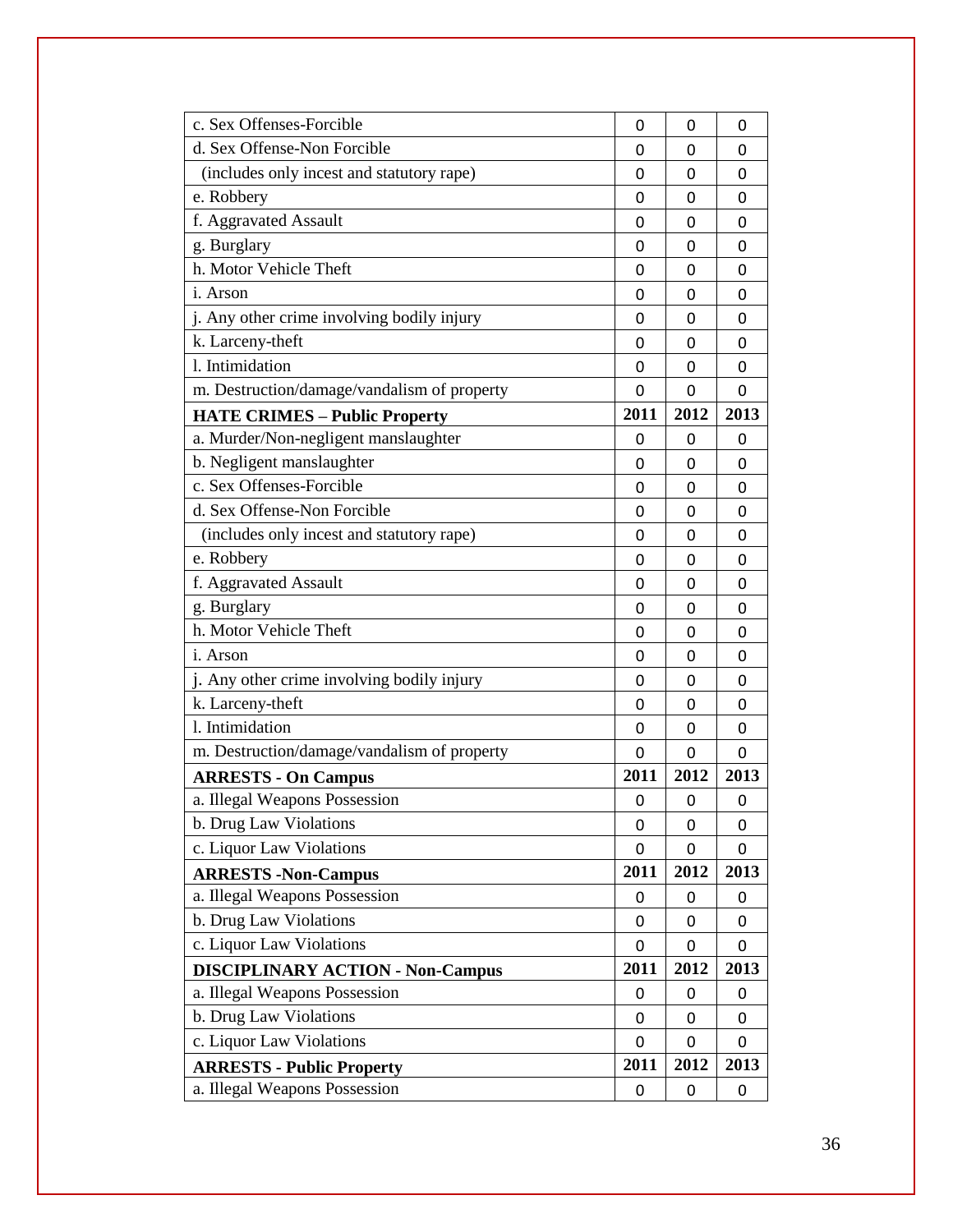| c. Sex Offenses-Forcible                    | 0    | 0         | 0            |
|---------------------------------------------|------|-----------|--------------|
| d. Sex Offense-Non Forcible                 | 0    | 0         | 0            |
| (includes only incest and statutory rape)   | 0    | 0         | 0            |
| e. Robbery                                  | 0    | 0         | 0            |
| f. Aggravated Assault                       | 0    | 0         | 0            |
| g. Burglary                                 | 0    | 0         | 0            |
| h. Motor Vehicle Theft                      | 0    | 0         | 0            |
| <i>i</i> . Arson                            | 0    | 0         | 0            |
| j. Any other crime involving bodily injury  | 0    | 0         | 0            |
| k. Larceny-theft                            | 0    | 0         | 0            |
| 1. Intimidation                             | 0    | 0         | 0            |
| m. Destruction/damage/vandalism of property | 0    | 0         | 0            |
| <b>HATE CRIMES - Public Property</b>        | 2011 | 2012      | 2013         |
| a. Murder/Non-negligent manslaughter        | 0    | 0         | 0            |
| b. Negligent manslaughter                   | 0    | $\Omega$  | $\Omega$     |
| c. Sex Offenses-Forcible                    | 0    | 0         | 0            |
| d. Sex Offense-Non Forcible                 | 0    | 0         | $\mathbf{0}$ |
| (includes only incest and statutory rape)   | 0    | 0         | 0            |
| e. Robbery                                  | 0    | 0         | 0            |
| f. Aggravated Assault                       | 0    | 0         | $\mathbf{0}$ |
| g. Burglary                                 | 0    | 0         | 0            |
| h. Motor Vehicle Theft                      | 0    | 0         | 0            |
| <i>i</i> . Arson                            | 0    | 0         | $\mathbf{0}$ |
| j. Any other crime involving bodily injury  | 0    | 0         | 0            |
| k. Larceny-theft                            | 0    | 0         | 0            |
| 1. Intimidation                             | 0    | 0         | 0            |
| m. Destruction/damage/vandalism of property | 0    | $\Omega$  | $\mathbf{0}$ |
| <b>ARRESTS - On Campus</b>                  | 2011 | 2012      | 2013         |
| a. Illegal Weapons Possession               | 0    | 0         | 0            |
| b. Drug Law Violations                      | 0    | $\pmb{0}$ | 0            |
| c. Liquor Law Violations                    | 0    | 0         | 0            |
| <b>ARRESTS -Non-Campus</b>                  | 2011 | 2012      | 2013         |
| a. Illegal Weapons Possession               | 0    | 0         | 0            |
| b. Drug Law Violations                      | 0    | 0         | 0            |
| c. Liquor Law Violations                    | 0    | 0         | 0            |
| <b>DISCIPLINARY ACTION - Non-Campus</b>     | 2011 | 2012      | 2013         |
| a. Illegal Weapons Possession               | 0    | 0         | 0            |
| b. Drug Law Violations                      | 0    | 0         | 0            |
| c. Liquor Law Violations                    | 0    | 0         | 0            |
| <b>ARRESTS - Public Property</b>            | 2011 | 2012      | 2013         |
| a. Illegal Weapons Possession               | 0    | 0         | 0            |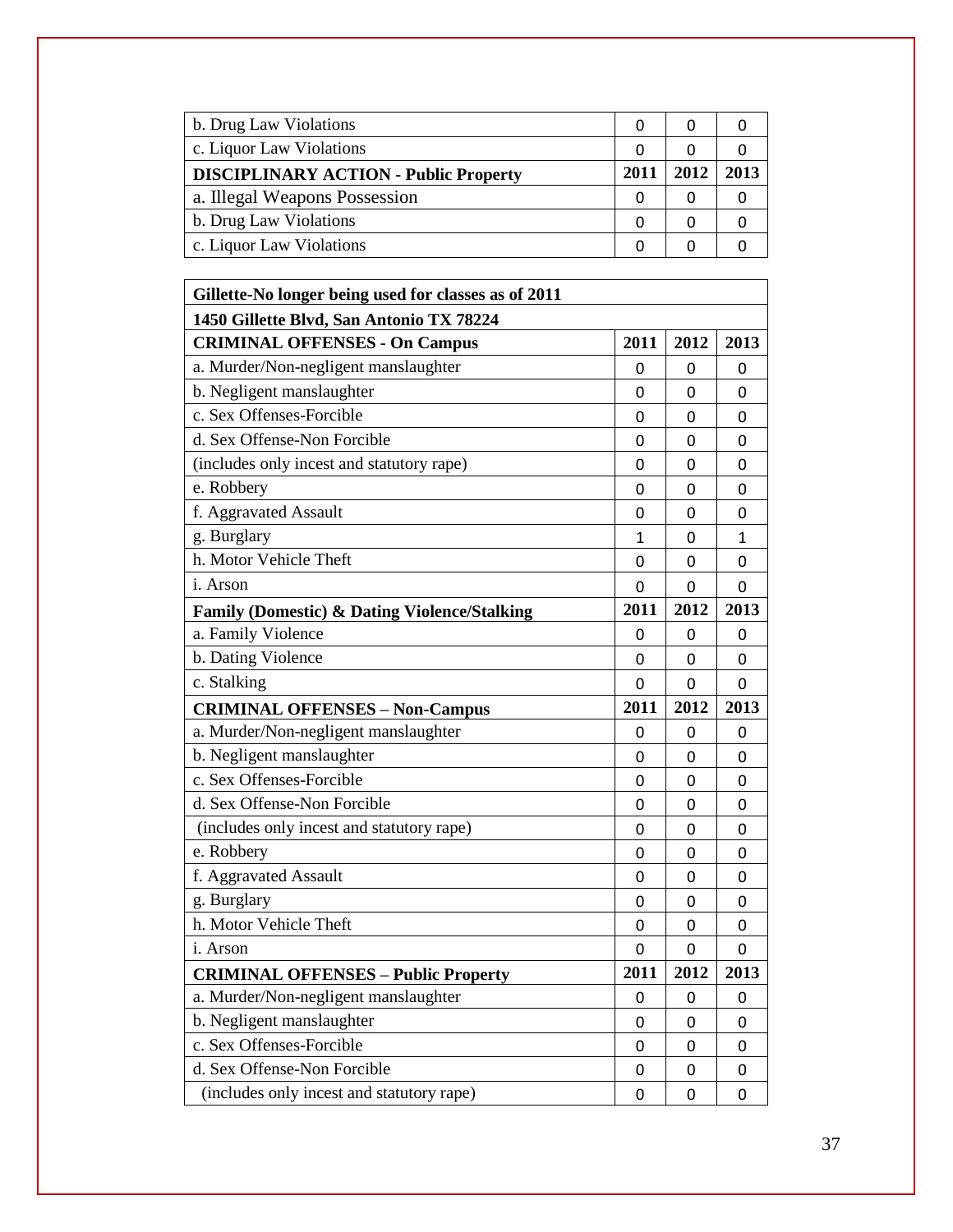| b. Drug Law Violations                       |      |      |      |
|----------------------------------------------|------|------|------|
| c. Liquor Law Violations                     |      |      |      |
| <b>DISCIPLINARY ACTION - Public Property</b> | 2011 | 2012 | 2013 |
| a. Illegal Weapons Possession                |      |      |      |
| b. Drug Law Violations                       |      |      |      |
| c. Liquor Law Violations                     |      |      |      |

| Gillette-No longer being used for classes as of 2011    |      |      |      |
|---------------------------------------------------------|------|------|------|
| 1450 Gillette Blvd, San Antonio TX 78224                |      |      |      |
| <b>CRIMINAL OFFENSES - On Campus</b>                    | 2011 | 2012 | 2013 |
| a. Murder/Non-negligent manslaughter                    | 0    | 0    | 0    |
| b. Negligent manslaughter                               | 0    | 0    | 0    |
| c. Sex Offenses-Forcible                                | 0    | 0    | 0    |
| d. Sex Offense-Non Forcible                             | 0    | 0    | 0    |
| (includes only incest and statutory rape)               | 0    | 0    | 0    |
| e. Robbery                                              | 0    | 0    | 0    |
| f. Aggravated Assault                                   | 0    | 0    | 0    |
| g. Burglary                                             | 1    | 0    | 1    |
| h. Motor Vehicle Theft                                  | 0    | 0    | 0    |
| i. Arson                                                | 0    | 0    | 0    |
| <b>Family (Domestic) &amp; Dating Violence/Stalking</b> | 2011 | 2012 | 2013 |
| a. Family Violence                                      | 0    | 0    | 0    |
| b. Dating Violence                                      | 0    | 0    | 0    |
| c. Stalking                                             | 0    | 0    | 0    |
| <b>CRIMINAL OFFENSES - Non-Campus</b>                   | 2011 | 2012 | 2013 |
| a. Murder/Non-negligent manslaughter                    | 0    | 0    | 0    |
| b. Negligent manslaughter                               | 0    | 0    | 0    |
| c. Sex Offenses-Forcible                                | 0    | 0    | 0    |
|                                                         |      |      |      |
| d. Sex Offense-Non Forcible                             | 0    | 0    | 0    |
| (includes only incest and statutory rape)               | 0    | 0    | 0    |
| e. Robbery                                              | 0    | 0    | 0    |
| f. Aggravated Assault                                   | 0    | 0    | 0    |
| g. Burglary                                             | 0    | 0    | 0    |
| h. Motor Vehicle Theft                                  | 0    | 0    | 0    |
| i. Arson                                                | 0    | 0    | 0    |
| <b>CRIMINAL OFFENSES - Public Property</b>              | 2011 | 2012 | 2013 |
| a. Murder/Non-negligent manslaughter                    | 0    | 0    | 0    |
| b. Negligent manslaughter                               | 0    | 0    | 0    |
| c. Sex Offenses-Forcible                                | 0    | 0    | 0    |
| d. Sex Offense-Non Forcible                             | 0    | 0    | 0    |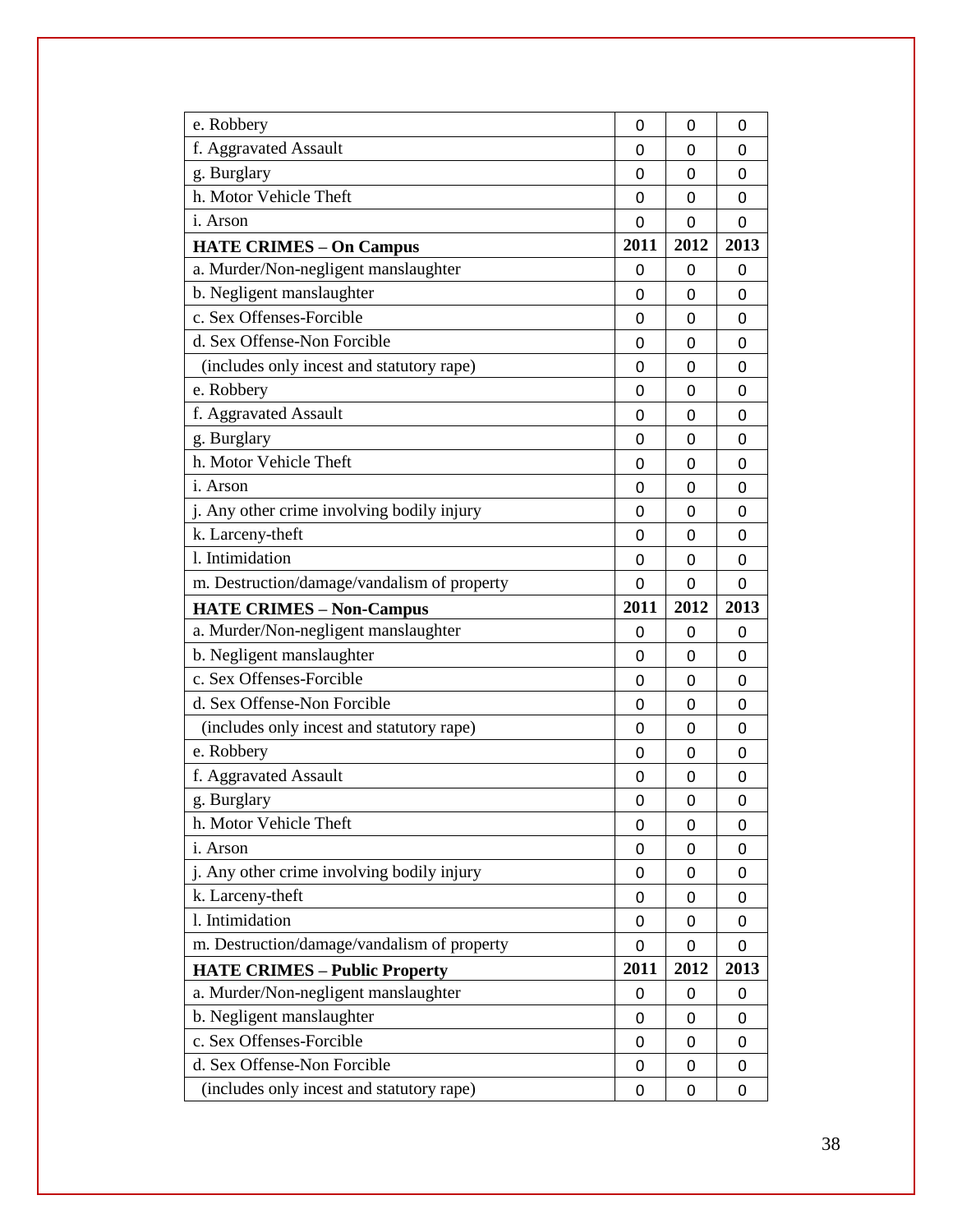| e. Robbery                                  | 0    | 0    | 0              |
|---------------------------------------------|------|------|----------------|
| f. Aggravated Assault                       | 0    | 0    | 0              |
| g. Burglary                                 | 0    | 0    | $\mathbf{0}$   |
| h. Motor Vehicle Theft                      | 0    | 0    | 0              |
| i. Arson                                    | 0    | 0    | $\mathbf{0}$   |
| <b>HATE CRIMES - On Campus</b>              | 2011 | 2012 | 2013           |
| a. Murder/Non-negligent manslaughter        | 0    | 0    | 0              |
| b. Negligent manslaughter                   | 0    | 0    | 0              |
| c. Sex Offenses-Forcible                    | 0    | 0    | 0              |
| d. Sex Offense-Non Forcible                 | 0    | 0    | $\mathbf{0}$   |
| (includes only incest and statutory rape)   | 0    | 0    | 0              |
| e. Robbery                                  | 0    | 0    | 0              |
| f. Aggravated Assault                       | 0    | 0    | $\mathbf{0}$   |
| g. Burglary                                 | 0    | 0    | 0              |
| h. Motor Vehicle Theft                      | 0    | 0    | 0              |
| <i>i</i> . Arson                            | 0    | 0    | 0              |
| j. Any other crime involving bodily injury  | 0    | 0    | 0              |
| k. Larceny-theft                            | 0    | 0    | $\mathbf{0}$   |
| 1. Intimidation                             | 0    | 0    | 0              |
| m. Destruction/damage/vandalism of property | 0    | 0    | $\overline{0}$ |
|                                             |      |      |                |
| <b>HATE CRIMES - Non-Campus</b>             | 2011 | 2012 | 2013           |
| a. Murder/Non-negligent manslaughter        | 0    | 0    | 0              |
| b. Negligent manslaughter                   | 0    | 0    | 0              |
| c. Sex Offenses-Forcible                    | 0    | 0    | 0              |
| d. Sex Offense-Non Forcible                 | 0    | 0    | 0              |
| (includes only incest and statutory rape)   | 0    | 0    | 0              |
| e. Robbery                                  | 0    | 0    | 0              |
| f. Aggravated Assault                       | 0    | 0    | 0              |
| g. Burglary                                 | 0    | 0    | 0              |
| h. Motor Vehicle Theft                      | 0    | 0    | 0              |
| <i>i</i> . Arson                            | 0    | 0    | 0              |
| j. Any other crime involving bodily injury  | 0    | 0    | 0              |
| k. Larceny-theft                            | 0    | 0    | 0              |
| 1. Intimidation                             | 0    | 0    | 0              |
| m. Destruction/damage/vandalism of property | 0    | 0    | 0              |
| <b>HATE CRIMES - Public Property</b>        | 2011 | 2012 | 2013           |
| a. Murder/Non-negligent manslaughter        | 0    | 0    | 0              |
| b. Negligent manslaughter                   | 0    | 0    | 0              |
| c. Sex Offenses-Forcible                    | 0    | 0    | 0              |
| d. Sex Offense-Non Forcible                 | 0    | 0    | 0              |